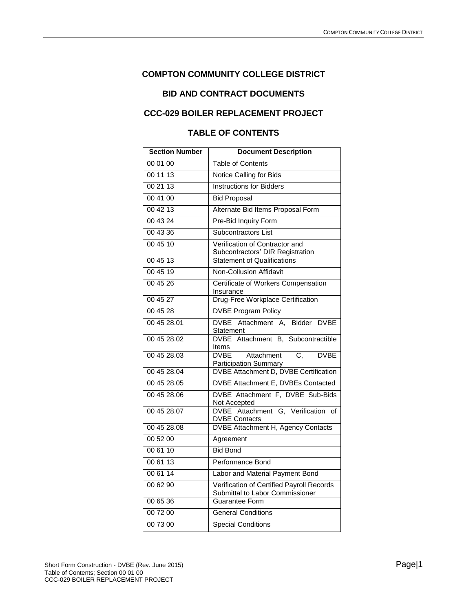## **COMPTON COMMUNITY COLLEGE DISTRICT**

## **BID AND CONTRACT DOCUMENTS**

### **CCC-029 BOILER REPLACEMENT PROJECT**

### **TABLE OF CONTENTS**

| <b>Section Number</b> | <b>Document Description</b>                                                                  |
|-----------------------|----------------------------------------------------------------------------------------------|
| 00 01 00              | <b>Table of Contents</b>                                                                     |
| 00 11 13              | <b>Notice Calling for Bids</b>                                                               |
| 002113                | <b>Instructions for Bidders</b>                                                              |
| 00 41 00              | <b>Bid Proposal</b>                                                                          |
| 004213                | Alternate Bid Items Proposal Form                                                            |
| 00 43 24              | Pre-Bid Inquiry Form                                                                         |
| 00 43 36              | Subcontractors List                                                                          |
| 004510                | Verification of Contractor and<br>Subcontractors' DIR Registration                           |
| 00 45 13              | <b>Statement of Qualifications</b>                                                           |
| 00 45 19              | Non-Collusion Affidavit                                                                      |
| 004526                | Certificate of Workers Compensation<br>Insurance                                             |
| 00 45 27              | Drug-Free Workplace Certification                                                            |
| 004528                | <b>DVBE Program Policy</b>                                                                   |
| 00 45 28.01           | DVBE Attachment A, Bidder DVBE<br>Statement                                                  |
| 00 45 28.02           | DVBE Attachment B, Subcontractible<br>Items                                                  |
| 00 45 28.03           | Attachment<br>$\overline{C}$ .<br><b>DVBE</b><br><b>DVBE</b><br><b>Participation Summary</b> |
| 00 45 28.04           | DVBE Attachment D, DVBE Certification                                                        |
| 00 45 28.05           | DVBE Attachment E, DVBEs Contacted                                                           |
| 00 45 28.06           | DVBE Attachment F, DVBE Sub-Bids<br>Not Accepted                                             |
| 00 45 28.07           | DVBE Attachment G, Verification of<br><b>DVBE Contacts</b>                                   |
| 00 45 28.08           | <b>DVBE Attachment H, Agency Contacts</b>                                                    |
| 00 52 00              | Agreement                                                                                    |
| 006110                | <b>Bid Bond</b>                                                                              |
| 00 61 13              | Performance Bond                                                                             |
| 00 61 14              | Labor and Material Payment Bond                                                              |
| 00 62 90              | Verification of Certified Payroll Records<br>Submittal to Labor Commissioner                 |
| 00 65 36              | <b>Guarantee Form</b>                                                                        |
| 00 72 00              | <b>General Conditions</b>                                                                    |
| 00 73 00              | <b>Special Conditions</b>                                                                    |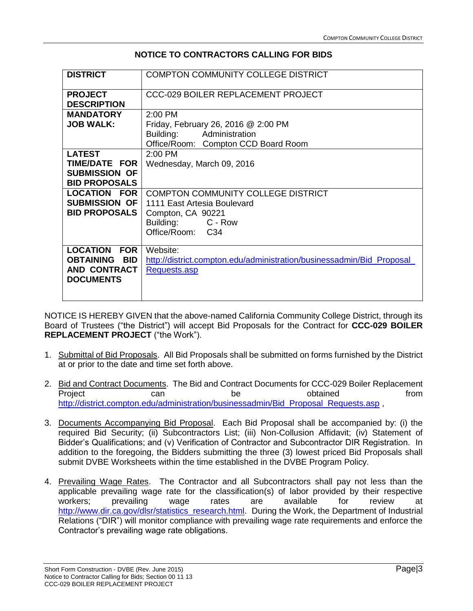#### **NOTICE TO CONTRACTORS CALLING FOR BIDS**

| <b>DISTRICT</b>                | <b>COMPTON COMMUNITY COLLEGE DISTRICT</b>                              |
|--------------------------------|------------------------------------------------------------------------|
|                                |                                                                        |
| <b>PROJECT</b>                 | CCC-029 BOILER REPLACEMENT PROJECT                                     |
| <b>DESCRIPTION</b>             |                                                                        |
| <b>MANDATORY</b>               | 2:00 PM                                                                |
| <b>JOB WALK:</b>               | Friday, February 26, 2016 @ 2:00 PM                                    |
|                                | Building:<br>Administration                                            |
|                                | Office/Room: Compton CCD Board Room                                    |
|                                |                                                                        |
| <b>LATEST</b>                  | 2:00 PM                                                                |
| <b>TIME/DATE FOR</b>           | Wednesday, March 09, 2016                                              |
| <b>SUBMISSION OF</b>           |                                                                        |
| <b>BID PROPOSALS</b>           |                                                                        |
| <b>LOCATION FOR</b>            | COMPTON COMMUNITY COLLEGE DISTRICT                                     |
| SUBMISSION OF                  | 1111 East Artesia Boulevard                                            |
| <b>BID PROPOSALS</b>           | Compton, CA 90221                                                      |
|                                | Building: C - Row                                                      |
|                                | Office/Room: C34                                                       |
|                                |                                                                        |
| <b>LOCATION</b><br><b>FOR</b>  | Website:                                                               |
| <b>OBTAINING</b><br><b>BID</b> | http://district.compton.edu/administration/businessadmin/Bid_Proposal_ |
| <b>AND CONTRACT</b>            | Requests.asp                                                           |
| <b>DOCUMENTS</b>               |                                                                        |
|                                |                                                                        |
|                                |                                                                        |
|                                |                                                                        |

NOTICE IS HEREBY GIVEN that the above-named California Community College District, through its Board of Trustees ("the District") will accept Bid Proposals for the Contract for **CCC-029 BOILER REPLACEMENT PROJECT** ("the Work").

- 1. Submittal of Bid Proposals. All Bid Proposals shall be submitted on forms furnished by the District at or prior to the date and time set forth above.
- 2. Bid and Contract Documents. The Bid and Contract Documents for CCC-029 Boiler Replacement Project can can be obtained from [http://district.compton.edu/administration/businessadmin/Bid\\_Proposal\\_Requests.asp](http://district.compton.edu/administration/businessadmin/Bid_Proposal_Requests.asp) ,
- 3. Documents Accompanying Bid Proposal. Each Bid Proposal shall be accompanied by: (i) the required Bid Security; (ii) Subcontractors List; (iii) Non-Collusion Affidavit; (iv) Statement of Bidder's Qualifications; and (v) Verification of Contractor and Subcontractor DIR Registration. In addition to the foregoing, the Bidders submitting the three (3) lowest priced Bid Proposals shall submit DVBE Worksheets within the time established in the DVBE Program Policy.
- 4. Prevailing Wage Rates. The Contractor and all Subcontractors shall pay not less than the applicable prevailing wage rate for the classification(s) of labor provided by their respective workers; prevailing wage rates are available for review at [http://www.dir.ca.gov/dlsr/statistics\\_research.html.](http://www.dir.ca.gov/dlsr/statistics_research.html) During the Work, the Department of Industrial Relations ("DIR") will monitor compliance with prevailing wage rate requirements and enforce the Contractor's prevailing wage rate obligations.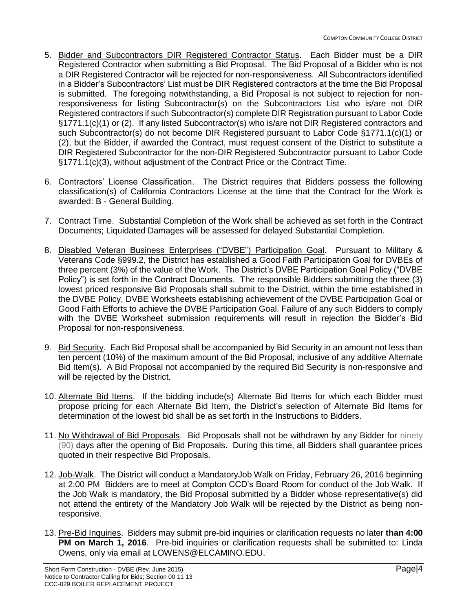- 5. Bidder and Subcontractors DIR Registered Contractor Status. Each Bidder must be a DIR Registered Contractor when submitting a Bid Proposal. The Bid Proposal of a Bidder who is not a DIR Registered Contractor will be rejected for non-responsiveness. All Subcontractors identified in a Bidder's Subcontractors' List must be DIR Registered contractors at the time the Bid Proposal is submitted. The foregoing notwithstanding, a Bid Proposal is not subject to rejection for nonresponsiveness for listing Subcontractor(s) on the Subcontractors List who is/are not DIR Registered contractors if such Subcontractor(s) complete DIR Registration pursuant to Labor Code §1771.1(c)(1) or (2). If any listed Subcontractor(s) who is/are not DIR Registered contractors and such Subcontractor(s) do not become DIR Registered pursuant to Labor Code §1771.1(c)(1) or (2), but the Bidder, if awarded the Contract, must request consent of the District to substitute a DIR Registered Subcontractor for the non-DIR Registered Subcontractor pursuant to Labor Code §1771.1(c)(3), without adjustment of the Contract Price or the Contract Time.
- 6. Contractors' License Classification. The District requires that Bidders possess the following classification(s) of California Contractors License at the time that the Contract for the Work is awarded: B - General Building.
- 7. Contract Time. Substantial Completion of the Work shall be achieved as set forth in the Contract Documents; Liquidated Damages will be assessed for delayed Substantial Completion.
- 8. Disabled Veteran Business Enterprises ("DVBE") Participation Goal. Pursuant to Military & Veterans Code §999.2, the District has established a Good Faith Participation Goal for DVBEs of three percent (3%) of the value of the Work. The District's DVBE Participation Goal Policy ("DVBE Policy") is set forth in the Contract Documents. The responsible Bidders submitting the three (3) lowest priced responsive Bid Proposals shall submit to the District, within the time established in the DVBE Policy, DVBE Worksheets establishing achievement of the DVBE Participation Goal or Good Faith Efforts to achieve the DVBE Participation Goal. Failure of any such Bidders to comply with the DVBE Worksheet submission requirements will result in rejection the Bidder's Bid Proposal for non-responsiveness.
- 9. Bid Security. Each Bid Proposal shall be accompanied by Bid Security in an amount not less than ten percent (10%) of the maximum amount of the Bid Proposal, inclusive of any additive Alternate Bid Item(s). A Bid Proposal not accompanied by the required Bid Security is non-responsive and will be rejected by the District.
- 10. Alternate Bid Items. If the bidding include(s) Alternate Bid Items for which each Bidder must propose pricing for each Alternate Bid Item, the District's selection of Alternate Bid Items for determination of the lowest bid shall be as set forth in the Instructions to Bidders.
- 11. No Withdrawal of Bid Proposals. Bid Proposals shall not be withdrawn by any Bidder for ninety (90) days after the opening of Bid Proposals. During this time, all Bidders shall guarantee prices quoted in their respective Bid Proposals.
- 12. Job-Walk. The District will conduct a MandatoryJob Walk on Friday, February 26, 2016 beginning at 2:00 PM Bidders are to meet at Compton CCD's Board Room for conduct of the Job Walk. If the Job Walk is mandatory, the Bid Proposal submitted by a Bidder whose representative(s) did not attend the entirety of the Mandatory Job Walk will be rejected by the District as being nonresponsive.
- 13. Pre-Bid Inquiries. Bidders may submit pre-bid inquiries or clarification requests no later **than 4:00 PM on March 1, 2016**. Pre-bid inquiries or clarification requests shall be submitted to: Linda Owens, only via email at LOWENS@ELCAMINO.EDU.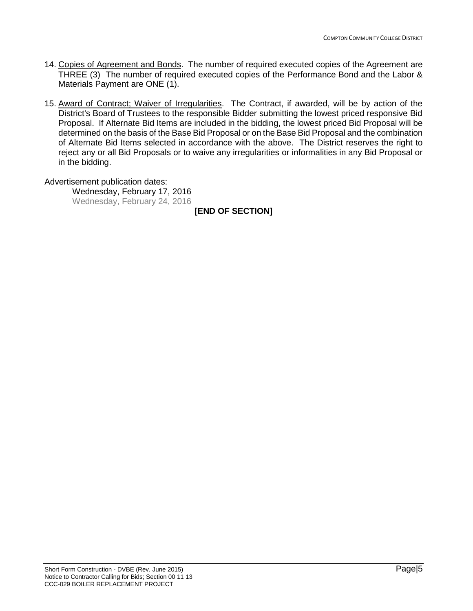- 14. Copies of Agreement and Bonds. The number of required executed copies of the Agreement are THREE (3) The number of required executed copies of the Performance Bond and the Labor & Materials Payment are ONE (1).
- 15. Award of Contract; Waiver of Irregularities. The Contract, if awarded, will be by action of the District's Board of Trustees to the responsible Bidder submitting the lowest priced responsive Bid Proposal. If Alternate Bid Items are included in the bidding, the lowest priced Bid Proposal will be determined on the basis of the Base Bid Proposal or on the Base Bid Proposal and the combination of Alternate Bid Items selected in accordance with the above. The District reserves the right to reject any or all Bid Proposals or to waive any irregularities or informalities in any Bid Proposal or in the bidding.

Advertisement publication dates:

Wednesday, February 17, 2016 Wednesday, February 24, 2016

### **[END OF SECTION]**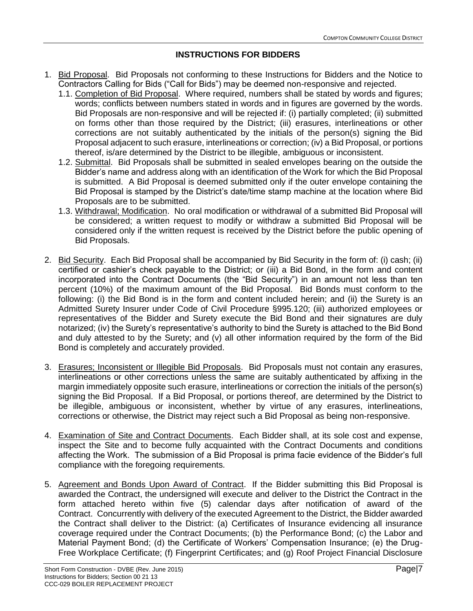### **INSTRUCTIONS FOR BIDDERS**

- 1. Bid Proposal. Bid Proposals not conforming to these Instructions for Bidders and the Notice to Contractors Calling for Bids ("Call for Bids") may be deemed non-responsive and rejected.
	- 1.1. Completion of Bid Proposal. Where required, numbers shall be stated by words and figures; words; conflicts between numbers stated in words and in figures are governed by the words. Bid Proposals are non-responsive and will be rejected if: (i) partially completed; (ii) submitted on forms other than those required by the District; (iii) erasures, interlineations or other corrections are not suitably authenticated by the initials of the person(s) signing the Bid Proposal adjacent to such erasure, interlineations or correction; (iv) a Bid Proposal, or portions thereof, is/are determined by the District to be illegible, ambiguous or inconsistent.
	- 1.2. Submittal. Bid Proposals shall be submitted in sealed envelopes bearing on the outside the Bidder's name and address along with an identification of the Work for which the Bid Proposal is submitted. A Bid Proposal is deemed submitted only if the outer envelope containing the Bid Proposal is stamped by the District's date/time stamp machine at the location where Bid Proposals are to be submitted.
	- 1.3. Withdrawal; Modification. No oral modification or withdrawal of a submitted Bid Proposal will be considered; a written request to modify or withdraw a submitted Bid Proposal will be considered only if the written request is received by the District before the public opening of Bid Proposals.
- 2. Bid Security. Each Bid Proposal shall be accompanied by Bid Security in the form of: (i) cash; (ii) certified or cashier's check payable to the District; or (iii) a Bid Bond, in the form and content incorporated into the Contract Documents (the "Bid Security") in an amount not less than ten percent (10%) of the maximum amount of the Bid Proposal. Bid Bonds must conform to the following: (i) the Bid Bond is in the form and content included herein; and (ii) the Surety is an Admitted Surety Insurer under Code of Civil Procedure §995.120; (iii) authorized employees or representatives of the Bidder and Surety execute the Bid Bond and their signatures are duly notarized; (iv) the Surety's representative's authority to bind the Surety is attached to the Bid Bond and duly attested to by the Surety; and (v) all other information required by the form of the Bid Bond is completely and accurately provided.
- 3. Erasures; Inconsistent or Illegible Bid Proposals. Bid Proposals must not contain any erasures, interlineations or other corrections unless the same are suitably authenticated by affixing in the margin immediately opposite such erasure, interlineations or correction the initials of the person(s) signing the Bid Proposal. If a Bid Proposal, or portions thereof, are determined by the District to be illegible, ambiguous or inconsistent, whether by virtue of any erasures, interlineations, corrections or otherwise, the District may reject such a Bid Proposal as being non-responsive.
- 4. Examination of Site and Contract Documents. Each Bidder shall, at its sole cost and expense, inspect the Site and to become fully acquainted with the Contract Documents and conditions affecting the Work. The submission of a Bid Proposal is prima facie evidence of the Bidder's full compliance with the foregoing requirements.
- 5. Agreement and Bonds Upon Award of Contract. If the Bidder submitting this Bid Proposal is awarded the Contract, the undersigned will execute and deliver to the District the Contract in the form attached hereto within five (5) calendar days after notification of award of the Contract. Concurrently with delivery of the executed Agreement to the District, the Bidder awarded the Contract shall deliver to the District: (a) Certificates of Insurance evidencing all insurance coverage required under the Contract Documents; (b) the Performance Bond; (c) the Labor and Material Payment Bond; (d) the Certificate of Workers' Compensation Insurance; (e) the Drug-Free Workplace Certificate; (f) Fingerprint Certificates; and (g) Roof Project Financial Disclosure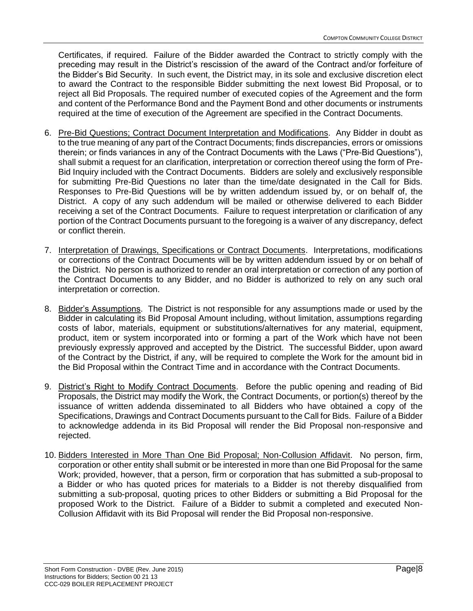Certificates, if required. Failure of the Bidder awarded the Contract to strictly comply with the preceding may result in the District's rescission of the award of the Contract and/or forfeiture of the Bidder's Bid Security. In such event, the District may, in its sole and exclusive discretion elect to award the Contract to the responsible Bidder submitting the next lowest Bid Proposal, or to reject all Bid Proposals. The required number of executed copies of the Agreement and the form and content of the Performance Bond and the Payment Bond and other documents or instruments required at the time of execution of the Agreement are specified in the Contract Documents.

- 6. Pre-Bid Questions; Contract Document Interpretation and Modifications. Any Bidder in doubt as to the true meaning of any part of the Contract Documents; finds discrepancies, errors or omissions therein; or finds variances in any of the Contract Documents with the Laws ("Pre-Bid Questions"), shall submit a request for an clarification, interpretation or correction thereof using the form of Pre-Bid Inquiry included with the Contract Documents. Bidders are solely and exclusively responsible for submitting Pre-Bid Questions no later than the time/date designated in the Call for Bids. Responses to Pre-Bid Questions will be by written addendum issued by, or on behalf of, the District. A copy of any such addendum will be mailed or otherwise delivered to each Bidder receiving a set of the Contract Documents. Failure to request interpretation or clarification of any portion of the Contract Documents pursuant to the foregoing is a waiver of any discrepancy, defect or conflict therein.
- 7. Interpretation of Drawings, Specifications or Contract Documents. Interpretations, modifications or corrections of the Contract Documents will be by written addendum issued by or on behalf of the District. No person is authorized to render an oral interpretation or correction of any portion of the Contract Documents to any Bidder, and no Bidder is authorized to rely on any such oral interpretation or correction.
- 8. Bidder's Assumptions. The District is not responsible for any assumptions made or used by the Bidder in calculating its Bid Proposal Amount including, without limitation, assumptions regarding costs of labor, materials, equipment or substitutions/alternatives for any material, equipment, product, item or system incorporated into or forming a part of the Work which have not been previously expressly approved and accepted by the District. The successful Bidder, upon award of the Contract by the District, if any, will be required to complete the Work for the amount bid in the Bid Proposal within the Contract Time and in accordance with the Contract Documents.
- 9. District's Right to Modify Contract Documents. Before the public opening and reading of Bid Proposals, the District may modify the Work, the Contract Documents, or portion(s) thereof by the issuance of written addenda disseminated to all Bidders who have obtained a copy of the Specifications, Drawings and Contract Documents pursuant to the Call for Bids. Failure of a Bidder to acknowledge addenda in its Bid Proposal will render the Bid Proposal non-responsive and rejected.
- 10. Bidders Interested in More Than One Bid Proposal; Non-Collusion Affidavit. No person, firm, corporation or other entity shall submit or be interested in more than one Bid Proposal for the same Work; provided, however, that a person, firm or corporation that has submitted a sub-proposal to a Bidder or who has quoted prices for materials to a Bidder is not thereby disqualified from submitting a sub-proposal, quoting prices to other Bidders or submitting a Bid Proposal for the proposed Work to the District. Failure of a Bidder to submit a completed and executed Non-Collusion Affidavit with its Bid Proposal will render the Bid Proposal non-responsive.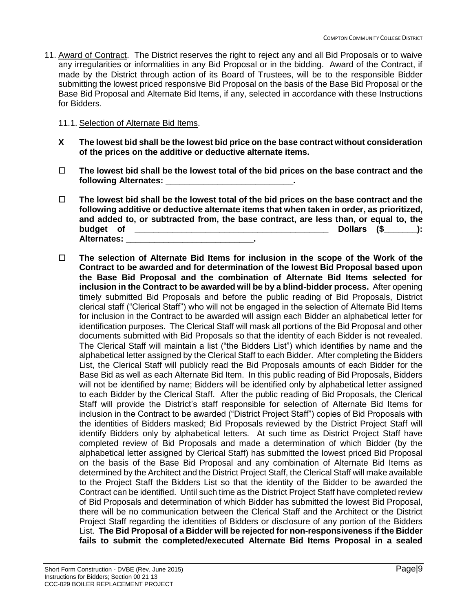- 11. Award of Contract. The District reserves the right to reject any and all Bid Proposals or to waive any irregularities or informalities in any Bid Proposal or in the bidding. Award of the Contract, if made by the District through action of its Board of Trustees, will be to the responsible Bidder submitting the lowest priced responsive Bid Proposal on the basis of the Base Bid Proposal or the Base Bid Proposal and Alternate Bid Items, if any, selected in accordance with these Instructions for Bidders.
	- 11.1. Selection of Alternate Bid Items.
	- **X The lowest bid shall be the lowest bid price on the base contract without consideration of the prices on the additive or deductive alternate items.**
	- **The lowest bid shall be the lowest total of the bid prices on the base contract and the following Alternates: \_\_\_\_\_\_\_\_\_\_\_\_\_\_\_\_\_\_\_\_\_\_\_\_\_\_\_.**
	- **The lowest bid shall be the lowest total of the bid prices on the base contract and the following additive or deductive alternate items that when taken in order, as prioritized, and added to, or subtracted from, the base contract, are less than, or equal to, the budget of \_\_\_\_\_\_\_\_\_\_\_\_\_\_\_\_\_\_\_\_\_\_\_\_\_\_\_\_\_\_\_\_\_\_\_\_\_\_\_\_\_ Dollars (\$\_\_\_\_\_\_\_):**  Alternates: **Alternates: Alternates: Alternates: Alternates: Alternates: Alternates: Alternates: Alternates: Alternates: Alternates: Alternates: Alternates: Alternates: Alternates: Alternates:**
	- **The selection of Alternate Bid Items for inclusion in the scope of the Work of the Contract to be awarded and for determination of the lowest Bid Proposal based upon the Base Bid Proposal and the combination of Alternate Bid Items selected for inclusion in the Contract to be awarded will be by a blind-bidder process.** After opening timely submitted Bid Proposals and before the public reading of Bid Proposals, District clerical staff ("Clerical Staff") who will not be engaged in the selection of Alternate Bid Items for inclusion in the Contract to be awarded will assign each Bidder an alphabetical letter for identification purposes. The Clerical Staff will mask all portions of the Bid Proposal and other documents submitted with Bid Proposals so that the identity of each Bidder is not revealed. The Clerical Staff will maintain a list ("the Bidders List") which identifies by name and the alphabetical letter assigned by the Clerical Staff to each Bidder. After completing the Bidders List, the Clerical Staff will publicly read the Bid Proposals amounts of each Bidder for the Base Bid as well as each Alternate Bid Item. In this public reading of Bid Proposals, Bidders will not be identified by name; Bidders will be identified only by alphabetical letter assigned to each Bidder by the Clerical Staff. After the public reading of Bid Proposals, the Clerical Staff will provide the District's staff responsible for selection of Alternate Bid Items for inclusion in the Contract to be awarded ("District Project Staff") copies of Bid Proposals with the identities of Bidders masked; Bid Proposals reviewed by the District Project Staff will identify Bidders only by alphabetical letters. At such time as District Project Staff have completed review of Bid Proposals and made a determination of which Bidder (by the alphabetical letter assigned by Clerical Staff) has submitted the lowest priced Bid Proposal on the basis of the Base Bid Proposal and any combination of Alternate Bid Items as determined by the Architect and the District Project Staff, the Clerical Staff will make available to the Project Staff the Bidders List so that the identity of the Bidder to be awarded the Contract can be identified. Until such time as the District Project Staff have completed review of Bid Proposals and determination of which Bidder has submitted the lowest Bid Proposal, there will be no communication between the Clerical Staff and the Architect or the District Project Staff regarding the identities of Bidders or disclosure of any portion of the Bidders List. **The Bid Proposal of a Bidder will be rejected for non-responsiveness if the Bidder fails to submit the completed/executed Alternate Bid Items Proposal in a sealed**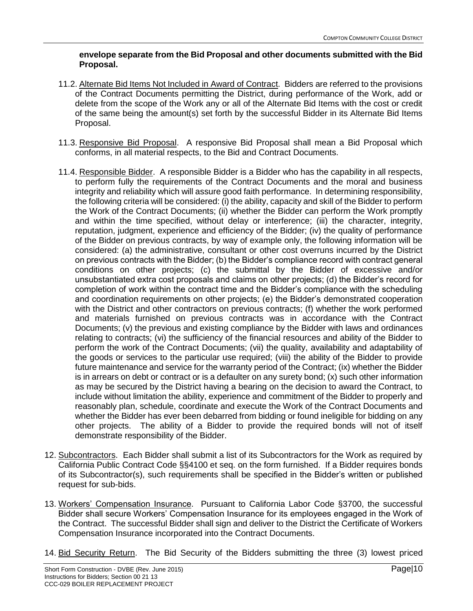#### **envelope separate from the Bid Proposal and other documents submitted with the Bid Proposal.**

- 11.2. Alternate Bid Items Not Included in Award of Contract. Bidders are referred to the provisions of the Contract Documents permitting the District, during performance of the Work, add or delete from the scope of the Work any or all of the Alternate Bid Items with the cost or credit of the same being the amount(s) set forth by the successful Bidder in its Alternate Bid Items Proposal.
- 11.3. Responsive Bid Proposal. A responsive Bid Proposal shall mean a Bid Proposal which conforms, in all material respects, to the Bid and Contract Documents.
- 11.4. Responsible Bidder. A responsible Bidder is a Bidder who has the capability in all respects, to perform fully the requirements of the Contract Documents and the moral and business integrity and reliability which will assure good faith performance. In determining responsibility, the following criteria will be considered: (i) the ability, capacity and skill of the Bidder to perform the Work of the Contract Documents; (ii) whether the Bidder can perform the Work promptly and within the time specified, without delay or interference; (iii) the character, integrity, reputation, judgment, experience and efficiency of the Bidder; (iv) the quality of performance of the Bidder on previous contracts, by way of example only, the following information will be considered: (a) the administrative, consultant or other cost overruns incurred by the District on previous contracts with the Bidder; (b) the Bidder's compliance record with contract general conditions on other projects; (c) the submittal by the Bidder of excessive and/or unsubstantiated extra cost proposals and claims on other projects; (d) the Bidder's record for completion of work within the contract time and the Bidder's compliance with the scheduling and coordination requirements on other projects; (e) the Bidder's demonstrated cooperation with the District and other contractors on previous contracts; (f) whether the work performed and materials furnished on previous contracts was in accordance with the Contract Documents; (v) the previous and existing compliance by the Bidder with laws and ordinances relating to contracts; (vi) the sufficiency of the financial resources and ability of the Bidder to perform the work of the Contract Documents; (vii) the quality, availability and adaptability of the goods or services to the particular use required; (viii) the ability of the Bidder to provide future maintenance and service for the warranty period of the Contract; (ix) whether the Bidder is in arrears on debt or contract or is a defaulter on any surety bond; (x) such other information as may be secured by the District having a bearing on the decision to award the Contract, to include without limitation the ability, experience and commitment of the Bidder to properly and reasonably plan, schedule, coordinate and execute the Work of the Contract Documents and whether the Bidder has ever been debarred from bidding or found ineligible for bidding on any other projects. The ability of a Bidder to provide the required bonds will not of itself demonstrate responsibility of the Bidder.
- 12. Subcontractors. Each Bidder shall submit a list of its Subcontractors for the Work as required by California Public Contract Code §§4100 et seq. on the form furnished. If a Bidder requires bonds of its Subcontractor(s), such requirements shall be specified in the Bidder's written or published request for sub-bids.
- 13. Workers' Compensation Insurance. Pursuant to California Labor Code §3700, the successful Bidder shall secure Workers' Compensation Insurance for its employees engaged in the Work of the Contract. The successful Bidder shall sign and deliver to the District the Certificate of Workers Compensation Insurance incorporated into the Contract Documents.
- 14. Bid Security Return. The Bid Security of the Bidders submitting the three (3) lowest priced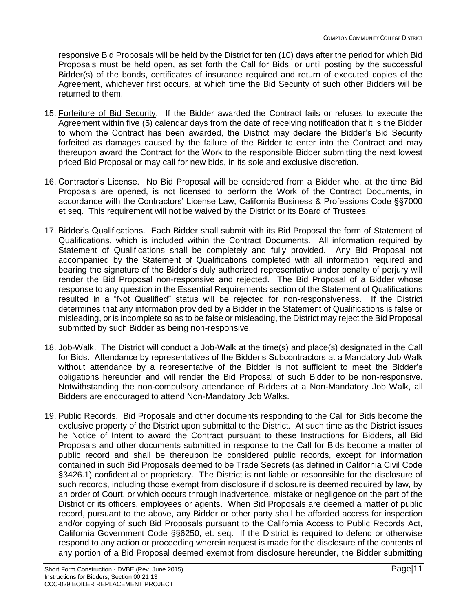responsive Bid Proposals will be held by the District for ten (10) days after the period for which Bid Proposals must be held open, as set forth the Call for Bids, or until posting by the successful Bidder(s) of the bonds, certificates of insurance required and return of executed copies of the Agreement, whichever first occurs, at which time the Bid Security of such other Bidders will be returned to them.

- 15. Forfeiture of Bid Security. If the Bidder awarded the Contract fails or refuses to execute the Agreement within five (5) calendar days from the date of receiving notification that it is the Bidder to whom the Contract has been awarded, the District may declare the Bidder's Bid Security forfeited as damages caused by the failure of the Bidder to enter into the Contract and may thereupon award the Contract for the Work to the responsible Bidder submitting the next lowest priced Bid Proposal or may call for new bids, in its sole and exclusive discretion.
- 16. Contractor's License. No Bid Proposal will be considered from a Bidder who, at the time Bid Proposals are opened, is not licensed to perform the Work of the Contract Documents, in accordance with the Contractors' License Law, California Business & Professions Code §§7000 et seq. This requirement will not be waived by the District or its Board of Trustees.
- 17. Bidder's Qualifications. Each Bidder shall submit with its Bid Proposal the form of Statement of Qualifications, which is included within the Contract Documents. All information required by Statement of Qualifications shall be completely and fully provided. Any Bid Proposal not accompanied by the Statement of Qualifications completed with all information required and bearing the signature of the Bidder's duly authorized representative under penalty of perjury will render the Bid Proposal non-responsive and rejected. The Bid Proposal of a Bidder whose response to any question in the Essential Requirements section of the Statement of Qualifications resulted in a "Not Qualified" status will be rejected for non-responsiveness. If the District determines that any information provided by a Bidder in the Statement of Qualifications is false or misleading, or is incomplete so as to be false or misleading, the District may reject the Bid Proposal submitted by such Bidder as being non-responsive.
- 18. Job-Walk. The District will conduct a Job-Walk at the time(s) and place(s) designated in the Call for Bids. Attendance by representatives of the Bidder's Subcontractors at a Mandatory Job Walk without attendance by a representative of the Bidder is not sufficient to meet the Bidder's obligations hereunder and will render the Bid Proposal of such Bidder to be non-responsive. Notwithstanding the non-compulsory attendance of Bidders at a Non-Mandatory Job Walk, all Bidders are encouraged to attend Non-Mandatory Job Walks.
- 19. Public Records. Bid Proposals and other documents responding to the Call for Bids become the exclusive property of the District upon submittal to the District. At such time as the District issues he Notice of Intent to award the Contract pursuant to these Instructions for Bidders, all Bid Proposals and other documents submitted in response to the Call for Bids become a matter of public record and shall be thereupon be considered public records, except for information contained in such Bid Proposals deemed to be Trade Secrets (as defined in California Civil Code §3426.1) confidential or proprietary. The District is not liable or responsible for the disclosure of such records, including those exempt from disclosure if disclosure is deemed required by law, by an order of Court, or which occurs through inadvertence, mistake or negligence on the part of the District or its officers, employees or agents. When Bid Proposals are deemed a matter of public record, pursuant to the above, any Bidder or other party shall be afforded access for inspection and/or copying of such Bid Proposals pursuant to the California Access to Public Records Act, California Government Code §§6250, et. seq. If the District is required to defend or otherwise respond to any action or proceeding wherein request is made for the disclosure of the contents of any portion of a Bid Proposal deemed exempt from disclosure hereunder, the Bidder submitting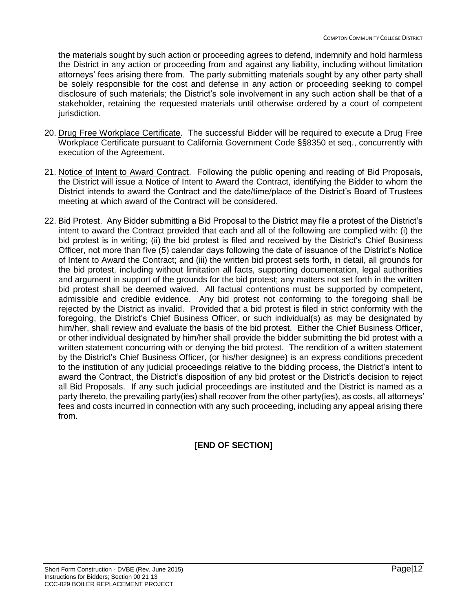the materials sought by such action or proceeding agrees to defend, indemnify and hold harmless the District in any action or proceeding from and against any liability, including without limitation attorneys' fees arising there from. The party submitting materials sought by any other party shall be solely responsible for the cost and defense in any action or proceeding seeking to compel disclosure of such materials; the District's sole involvement in any such action shall be that of a stakeholder, retaining the requested materials until otherwise ordered by a court of competent jurisdiction.

- 20. Drug Free Workplace Certificate. The successful Bidder will be required to execute a Drug Free Workplace Certificate pursuant to California Government Code §§8350 et seq., concurrently with execution of the Agreement.
- 21. Notice of Intent to Award Contract. Following the public opening and reading of Bid Proposals, the District will issue a Notice of Intent to Award the Contract, identifying the Bidder to whom the District intends to award the Contract and the date/time/place of the District's Board of Trustees meeting at which award of the Contract will be considered.
- 22. Bid Protest. Any Bidder submitting a Bid Proposal to the District may file a protest of the District's intent to award the Contract provided that each and all of the following are complied with: (i) the bid protest is in writing; (ii) the bid protest is filed and received by the District's Chief Business Officer, not more than five (5) calendar days following the date of issuance of the District's Notice of Intent to Award the Contract; and (iii) the written bid protest sets forth, in detail, all grounds for the bid protest, including without limitation all facts, supporting documentation, legal authorities and argument in support of the grounds for the bid protest; any matters not set forth in the written bid protest shall be deemed waived. All factual contentions must be supported by competent, admissible and credible evidence. Any bid protest not conforming to the foregoing shall be rejected by the District as invalid. Provided that a bid protest is filed in strict conformity with the foregoing, the District's Chief Business Officer, or such individual(s) as may be designated by him/her, shall review and evaluate the basis of the bid protest. Either the Chief Business Officer, or other individual designated by him/her shall provide the bidder submitting the bid protest with a written statement concurring with or denying the bid protest. The rendition of a written statement by the District's Chief Business Officer, (or his/her designee) is an express conditions precedent to the institution of any judicial proceedings relative to the bidding process, the District's intent to award the Contract, the District's disposition of any bid protest or the District's decision to reject all Bid Proposals. If any such judicial proceedings are instituted and the District is named as a party thereto, the prevailing party(ies) shall recover from the other party(ies), as costs, all attorneys' fees and costs incurred in connection with any such proceeding, including any appeal arising there from.

# **[END OF SECTION]**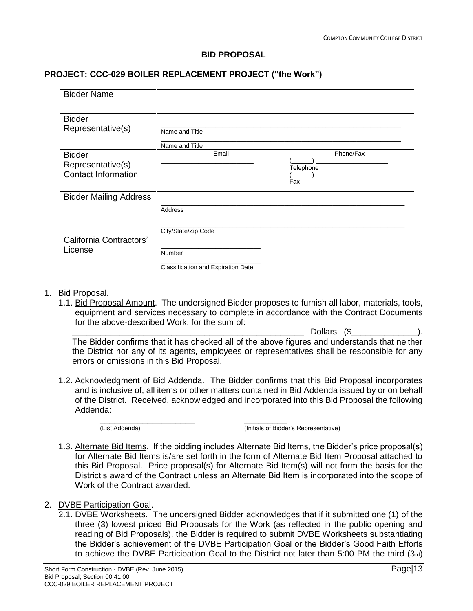### **BID PROPOSAL**

### **PROJECT: CCC-029 BOILER REPLACEMENT PROJECT ("the Work")**

| <b>Bidder Name</b>                                               |                                              |                               |
|------------------------------------------------------------------|----------------------------------------------|-------------------------------|
| <b>Bidder</b><br>Representative(s)                               | Name and Title<br>Name and Title             |                               |
| <b>Bidder</b><br>Representative(s)<br><b>Contact Information</b> | Email                                        | Phone/Fax<br>Telephone<br>Fax |
| <b>Bidder Mailing Address</b>                                    | <b>Address</b><br>City/State/Zip Code        |                               |
| California Contractors'<br>License                               | Number<br>Classification and Expiration Date |                               |

#### 1. Bid Proposal.

1.1. Bid Proposal Amount. The undersigned Bidder proposes to furnish all labor, materials, tools, equipment and services necessary to complete in accordance with the Contract Documents for the above-described Work, for the sum of:

\_\_\_\_\_\_\_\_\_\_\_\_\_\_\_\_\_\_\_\_\_\_\_\_\_\_\_\_\_\_\_\_\_\_\_\_\_\_\_\_\_\_\_\_\_\_\_\_\_ Dollars (\$\_\_\_\_\_\_\_\_\_\_\_\_\_\_). The Bidder confirms that it has checked all of the above figures and understands that neither the District nor any of its agents, employees or representatives shall be responsible for any errors or omissions in this Bid Proposal.

1.2. Acknowledgment of Bid Addenda. The Bidder confirms that this Bid Proposal incorporates and is inclusive of, all items or other matters contained in Bid Addenda issued by or on behalf of the District. Received, acknowledged and incorporated into this Bid Proposal the following Addenda:

> \_\_\_\_\_\_\_\_\_\_\_\_\_\_\_\_\_\_\_\_ \_\_\_\_\_\_\_\_\_ (List Addenda) (Initials of Bidder's Representative)

1.3. Alternate Bid Items. If the bidding includes Alternate Bid Items, the Bidder's price proposal(s) for Alternate Bid Items is/are set forth in the form of Alternate Bid Item Proposal attached to this Bid Proposal. Price proposal(s) for Alternate Bid Item(s) will not form the basis for the District's award of the Contract unless an Alternate Bid Item is incorporated into the scope of Work of the Contract awarded.

#### 2. DVBE Participation Goal.

2.1. DVBE Worksheets. The undersigned Bidder acknowledges that if it submitted one (1) of the three (3) lowest priced Bid Proposals for the Work (as reflected in the public opening and reading of Bid Proposals), the Bidder is required to submit DVBE Worksheets substantiating the Bidder's achievement of the DVBE Participation Goal or the Bidder's Good Faith Efforts to achieve the DVBE Participation Goal to the District not later than 5:00 PM the third (3rd)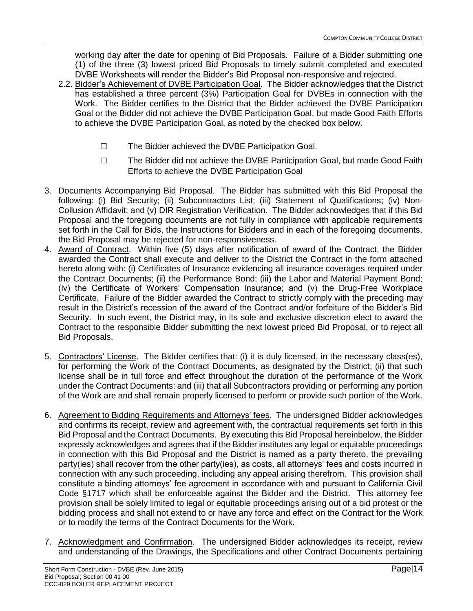working day after the date for opening of Bid Proposals. Failure of a Bidder submitting one (1) of the three (3) lowest priced Bid Proposals to timely submit completed and executed DVBE Worksheets will render the Bidder's Bid Proposal non-responsive and rejected.

- 2.2. Bidder's Achievement of DVBE Participation Goal. The Bidder acknowledges that the District has established a three percent (3%) Participation Goal for DVBEs in connection with the Work. The Bidder certifies to the District that the Bidder achieved the DVBE Participation Goal or the Bidder did not achieve the DVBE Participation Goal, but made Good Faith Efforts to achieve the DVBE Participation Goal, as noted by the checked box below.
	- □ The Bidder achieved the DVBE Participation Goal.
	- □ The Bidder did not achieve the DVBE Participation Goal, but made Good Faith Efforts to achieve the DVBE Participation Goal
- 3. Documents Accompanying Bid Proposal. The Bidder has submitted with this Bid Proposal the following: (i) Bid Security; (ii) Subcontractors List; (iii) Statement of Qualifications; (iv) Non-Collusion Affidavit; and (v) DIR Registration Verification. The Bidder acknowledges that if this Bid Proposal and the foregoing documents are not fully in compliance with applicable requirements set forth in the Call for Bids, the Instructions for Bidders and in each of the foregoing documents, the Bid Proposal may be rejected for non-responsiveness.
- 4. Award of Contract. Within five (5) days after notification of award of the Contract, the Bidder awarded the Contract shall execute and deliver to the District the Contract in the form attached hereto along with: (i) Certificates of Insurance evidencing all insurance coverages required under the Contract Documents; (ii) the Performance Bond; (iii) the Labor and Material Payment Bond; (iv) the Certificate of Workers' Compensation Insurance; and (v) the Drug-Free Workplace Certificate. Failure of the Bidder awarded the Contract to strictly comply with the preceding may result in the District's recession of the award of the Contract and/or forfeiture of the Bidder's Bid Security. In such event, the District may, in its sole and exclusive discretion elect to award the Contract to the responsible Bidder submitting the next lowest priced Bid Proposal, or to reject all Bid Proposals.
- 5. Contractors' License. The Bidder certifies that: (i) it is duly licensed, in the necessary class(es), for performing the Work of the Contract Documents, as designated by the District; (ii) that such license shall be in full force and effect throughout the duration of the performance of the Work under the Contract Documents; and (iii) that all Subcontractors providing or performing any portion of the Work are and shall remain properly licensed to perform or provide such portion of the Work.
- 6. Agreement to Bidding Requirements and Attorneys' fees. The undersigned Bidder acknowledges and confirms its receipt, review and agreement with, the contractual requirements set forth in this Bid Proposal and the Contract Documents. By executing this Bid Proposal hereinbelow, the Bidder expressly acknowledges and agrees that if the Bidder institutes any legal or equitable proceedings in connection with this Bid Proposal and the District is named as a party thereto, the prevailing party(ies) shall recover from the other party(ies), as costs, all attorneys' fees and costs incurred in connection with any such proceeding, including any appeal arising therefrom. This provision shall constitute a binding attorneys' fee agreement in accordance with and pursuant to California Civil Code §1717 which shall be enforceable against the Bidder and the District. This attorney fee provision shall be solely limited to legal or equitable proceedings arising out of a bid protest or the bidding process and shall not extend to or have any force and effect on the Contract for the Work or to modify the terms of the Contract Documents for the Work.
- 7. Acknowledgment and Confirmation. The undersigned Bidder acknowledges its receipt, review and understanding of the Drawings, the Specifications and other Contract Documents pertaining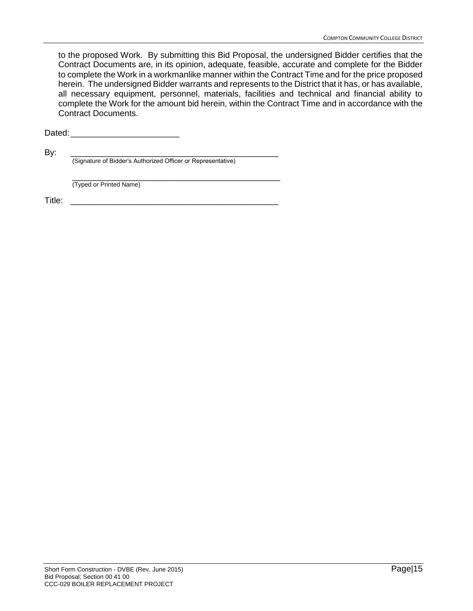to the proposed Work. By submitting this Bid Proposal, the undersigned Bidder certifies that the Contract Documents are, in its opinion, adequate, feasible, accurate and complete for the Bidder to complete the Work in a workmanlike manner within the Contract Time and for the price proposed herein. The undersigned Bidder warrants and represents to the District that it has, or has available, all necessary equipment, personnel, materials, facilities and technical and financial ability to complete the Work for the amount bid herein, within the Contract Time and in accordance with the Contract Documents.

Dated:

By: \_\_\_\_\_\_\_\_\_\_\_\_\_\_\_\_\_\_\_\_\_\_\_\_\_\_\_\_\_\_\_\_\_\_\_\_\_\_\_\_\_\_\_\_ (Signature of Bidder's Authorized Officer or Representative)

> \_\_\_\_\_\_\_\_\_\_\_\_\_\_\_\_\_\_\_\_\_\_\_\_\_\_\_\_\_\_\_\_\_\_\_\_\_\_\_\_\_\_\_\_ (Typed or Printed Name)

Title: \_\_\_\_\_\_\_\_\_\_\_\_\_\_\_\_\_\_\_\_\_\_\_\_\_\_\_\_\_\_\_\_\_\_\_\_\_\_\_\_\_\_\_\_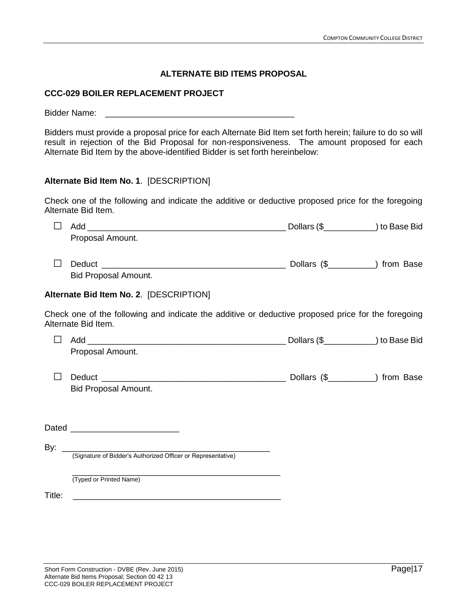## **ALTERNATE BID ITEMS PROPOSAL**

#### **CCC-029 BOILER REPLACEMENT PROJECT**

Bidder Name: \_\_\_\_\_\_\_\_\_\_\_\_\_\_\_\_\_\_\_\_\_\_\_\_\_\_\_\_\_\_\_\_\_\_\_\_\_\_\_\_

Bidders must provide a proposal price for each Alternate Bid Item set forth herein; failure to do so will result in rejection of the Bid Proposal for non-responsiveness. The amount proposed for each Alternate Bid Item by the above-identified Bidder is set forth hereinbelow:

### **Alternate Bid Item No. 1**. [DESCRIPTION]

Check one of the following and indicate the additive or deductive proposed price for the foregoing Alternate Bid Item.

|         | Proposal Amount.                                                                                                          |  |
|---------|---------------------------------------------------------------------------------------------------------------------------|--|
|         | <b>Bid Proposal Amount.</b>                                                                                               |  |
|         | Alternate Bid Item No. 2. [DESCRIPTION]                                                                                   |  |
|         | Check one of the following and indicate the additive or deductive proposed price for the foregoing<br>Alternate Bid Item. |  |
| □       | Proposal Amount.                                                                                                          |  |
| $\perp$ | <b>Bid Proposal Amount.</b>                                                                                               |  |
|         | Dated _____________________________                                                                                       |  |
|         |                                                                                                                           |  |
|         | (Typed or Printed Name)                                                                                                   |  |
| Title:  |                                                                                                                           |  |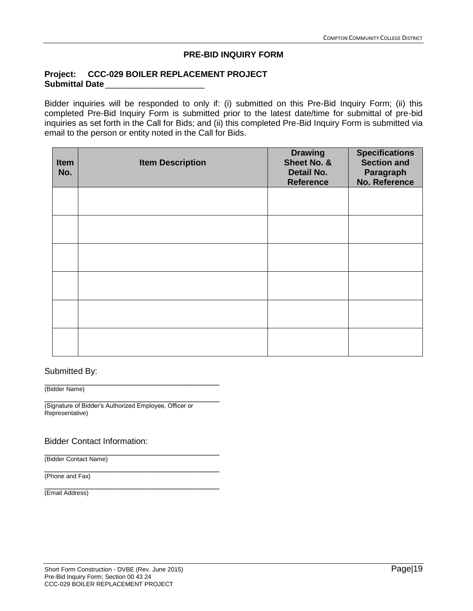### **PRE-BID INQUIRY FORM**

#### **Project: CCC-029 BOILER REPLACEMENT PROJECT Submittal Date** \_\_\_\_\_\_\_\_\_\_\_\_\_\_\_\_\_\_\_\_\_

Bidder inquiries will be responded to only if: (i) submitted on this Pre-Bid Inquiry Form; (ii) this completed Pre-Bid Inquiry Form is submitted prior to the latest date/time for submittal of pre-bid inquiries as set forth in the Call for Bids; and (ii) this completed Pre-Bid Inquiry Form is submitted via email to the person or entity noted in the Call for Bids.

| Item<br>No. | <b>Item Description</b> | <b>Drawing</b><br>Sheet No. &<br>Detail No.<br><b>Reference</b> | <b>Specifications</b><br><b>Section and</b><br>Paragraph<br>No. Reference |
|-------------|-------------------------|-----------------------------------------------------------------|---------------------------------------------------------------------------|
|             |                         |                                                                 |                                                                           |
|             |                         |                                                                 |                                                                           |
|             |                         |                                                                 |                                                                           |
|             |                         |                                                                 |                                                                           |
|             |                         |                                                                 |                                                                           |
|             |                         |                                                                 |                                                                           |

#### Submitted By:

\_\_\_\_\_\_\_\_\_\_\_\_\_\_\_\_\_\_\_\_\_\_\_\_\_\_\_\_\_\_\_\_\_\_\_\_\_ (Bidder Name)

\_\_\_\_\_\_\_\_\_\_\_\_\_\_\_\_\_\_\_\_\_\_\_\_\_\_\_\_\_\_\_\_\_\_\_\_\_ (Signature of Bidder's Authorized Employee, Officer or Representative)

\_\_\_\_\_\_\_\_\_\_\_\_\_\_\_\_\_\_\_\_\_\_\_\_\_\_\_\_\_\_\_\_\_\_\_\_\_

\_\_\_\_\_\_\_\_\_\_\_\_\_\_\_\_\_\_\_\_\_\_\_\_\_\_\_\_\_\_\_\_\_\_\_\_\_

### Bidder Contact Information:

\_\_\_\_\_\_\_\_\_\_\_\_\_\_\_\_\_\_\_\_\_\_\_\_\_\_\_\_\_\_\_\_\_\_\_\_\_ (Bidder Contact Name)

(Phone and Fax)

(Email Address)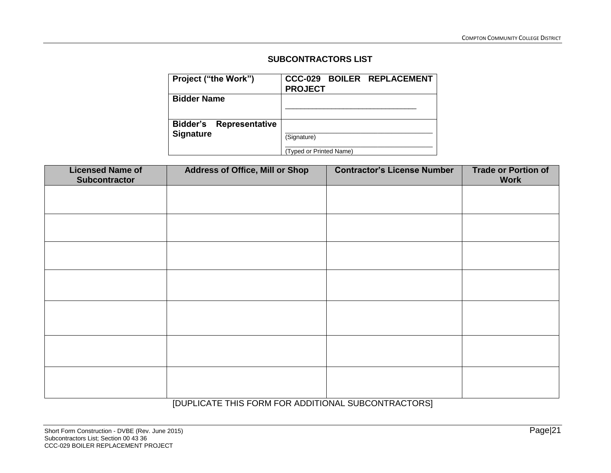## **SUBCONTRACTORS LIST**

| <b>Project ("the Work")</b>                        | <b>CCC-029 BOILER REPLACEMENT</b><br><b>PROJECT</b> |
|----------------------------------------------------|-----------------------------------------------------|
| <b>Bidder Name</b>                                 |                                                     |
| <b>Bidder's Representative</b><br><b>Signature</b> | (Signature)<br>(Typed or Printed Name)              |

| <b>Licensed Name of</b><br>Subcontractor | <b>Address of Office, Mill or Shop</b> | <b>Contractor's License Number</b> | <b>Trade or Portion of</b><br><b>Work</b> |
|------------------------------------------|----------------------------------------|------------------------------------|-------------------------------------------|
|                                          |                                        |                                    |                                           |
|                                          |                                        |                                    |                                           |
|                                          |                                        |                                    |                                           |
|                                          |                                        |                                    |                                           |
|                                          |                                        |                                    |                                           |
|                                          |                                        |                                    |                                           |
|                                          |                                        |                                    |                                           |
|                                          |                                        |                                    |                                           |
|                                          |                                        |                                    |                                           |
|                                          |                                        |                                    |                                           |
|                                          |                                        |                                    |                                           |

## [DUPLICATE THIS FORM FOR ADDITIONAL SUBCONTRACTORS]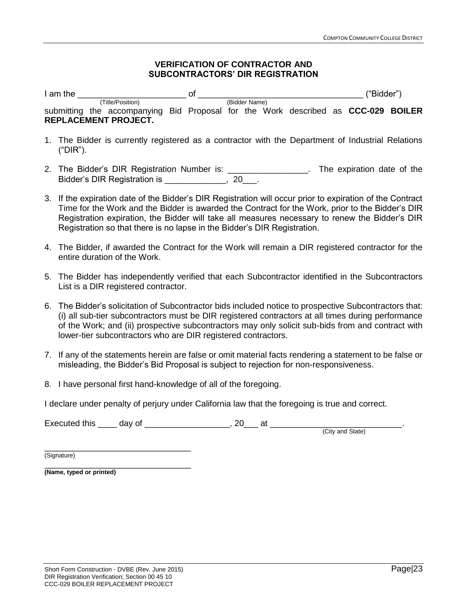### **VERIFICATION OF CONTRACTOR AND SUBCONTRACTORS' DIR REGISTRATION**

I am the \_\_\_\_\_\_\_\_\_\_\_\_\_\_\_\_\_\_\_\_\_\_\_ of \_\_\_\_\_\_\_\_\_\_\_\_\_\_\_\_\_\_\_\_\_\_\_\_\_\_\_\_\_\_\_\_\_\_\_ ("Bidder") (Title/Position) (Bidder Name) submitting the accompanying Bid Proposal for the Work described as **CCC-029 BOILER REPLACEMENT PROJECT.**

- 1. The Bidder is currently registered as a contractor with the Department of Industrial Relations ("DIR").
- 2. The Bidder's DIR Registration Number is: \_\_\_\_\_\_\_\_\_\_\_\_\_\_\_\_\_\_\_. The expiration date of the Bidder's DIR Registration is \_\_\_\_\_\_\_\_\_\_\_\_\_, 20\_\_\_.
- 3. If the expiration date of the Bidder's DIR Registration will occur prior to expiration of the Contract Time for the Work and the Bidder is awarded the Contract for the Work, prior to the Bidder's DIR Registration expiration, the Bidder will take all measures necessary to renew the Bidder's DIR Registration so that there is no lapse in the Bidder's DIR Registration.
- 4. The Bidder, if awarded the Contract for the Work will remain a DIR registered contractor for the entire duration of the Work.
- 5. The Bidder has independently verified that each Subcontractor identified in the Subcontractors List is a DIR registered contractor.
- 6. The Bidder's solicitation of Subcontractor bids included notice to prospective Subcontractors that: (i) all sub-tier subcontractors must be DIR registered contractors at all times during performance of the Work; and (ii) prospective subcontractors may only solicit sub-bids from and contract with lower-tier subcontractors who are DIR registered contractors.
- 7. If any of the statements herein are false or omit material facts rendering a statement to be false or misleading, the Bidder's Bid Proposal is subject to rejection for non-responsiveness.
- 8. I have personal first hand-knowledge of all of the foregoing.

I declare under penalty of perjury under California law that the foregoing is true and correct.

Executed this day of the control of the control of the control of the control of the control of the control of the control of the control of the control of the control of the control of the control of the control of the co

(City and State)

\_\_\_\_\_\_\_\_\_\_\_\_\_\_\_\_\_\_\_\_\_\_\_\_\_\_\_\_\_\_\_ (Signature)

\_\_\_\_\_\_\_\_\_\_\_\_\_\_\_\_\_\_\_\_\_\_\_\_\_\_\_\_\_\_\_ **(Name, typed or printed)**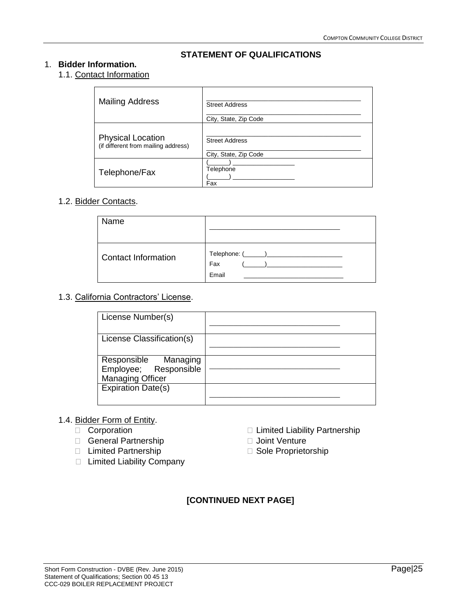### **STATEMENT OF QUALIFICATIONS**

# 1. **Bidder Information.**

1.1. Contact Information

| <b>Mailing Address</b>                                          | <b>Street Address</b><br>City, State, Zip Code |
|-----------------------------------------------------------------|------------------------------------------------|
| <b>Physical Location</b><br>(if different from mailing address) | <b>Street Address</b><br>City, State, Zip Code |
| Telephone/Fax                                                   | Telephone<br>Fax                               |

## 1.2. Bidder Contacts.

| Name                       |              |
|----------------------------|--------------|
| <b>Contact Information</b> | Fax<br>Email |

### 1.3. California Contractors' License.

| License Number(s)         |  |
|---------------------------|--|
|                           |  |
| License Classification(s) |  |
|                           |  |
| Managing<br>Responsible   |  |
| Employee; Responsible     |  |
| <b>Managing Officer</b>   |  |
| <b>Expiration Date(s)</b> |  |
|                           |  |
|                           |  |

### 1.4. Bidder Form of Entity.

- Corporation
- General Partnership
- □ Limited Partnership
- □ Limited Liability Company

□ Limited Liability Partnership

- Joint Venture
- □ Sole Proprietorship

## **[CONTINUED NEXT PAGE]**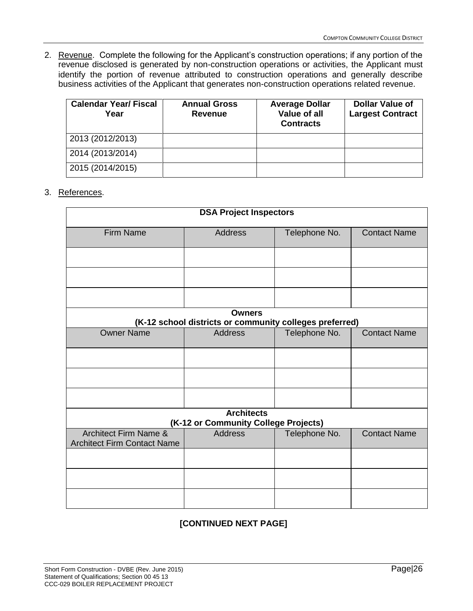2. Revenue. Complete the following for the Applicant's construction operations; if any portion of the revenue disclosed is generated by non-construction operations or activities, the Applicant must identify the portion of revenue attributed to construction operations and generally describe business activities of the Applicant that generates non-construction operations related revenue.

| <b>Calendar Year/ Fiscal</b><br>Year | <b>Annual Gross</b><br>Revenue | <b>Average Dollar</b><br><b>Value of all</b><br><b>Contracts</b> | <b>Dollar Value of</b><br><b>Largest Contract</b> |
|--------------------------------------|--------------------------------|------------------------------------------------------------------|---------------------------------------------------|
| 2013 (2012/2013)                     |                                |                                                                  |                                                   |
| 2014 (2013/2014)                     |                                |                                                                  |                                                   |
| 2015 (2014/2015)                     |                                |                                                                  |                                                   |

#### 3. References.

| <b>DSA Project Inspectors</b>                                          |                                                           |               |                     |
|------------------------------------------------------------------------|-----------------------------------------------------------|---------------|---------------------|
| Firm Name                                                              | <b>Address</b>                                            | Telephone No. | <b>Contact Name</b> |
|                                                                        |                                                           |               |                     |
|                                                                        |                                                           |               |                     |
|                                                                        | <b>Owners</b>                                             |               |                     |
|                                                                        | (K-12 school districts or community colleges preferred)   |               |                     |
| <b>Owner Name</b>                                                      | <b>Address</b>                                            | Telephone No. | <b>Contact Name</b> |
|                                                                        |                                                           |               |                     |
|                                                                        |                                                           |               |                     |
|                                                                        |                                                           |               |                     |
|                                                                        | <b>Architects</b><br>(K-12 or Community College Projects) |               |                     |
| <b>Architect Firm Name &amp;</b><br><b>Architect Firm Contact Name</b> | <b>Address</b>                                            | Telephone No. | <b>Contact Name</b> |
|                                                                        |                                                           |               |                     |
|                                                                        |                                                           |               |                     |
|                                                                        |                                                           |               |                     |

## **[CONTINUED NEXT PAGE]**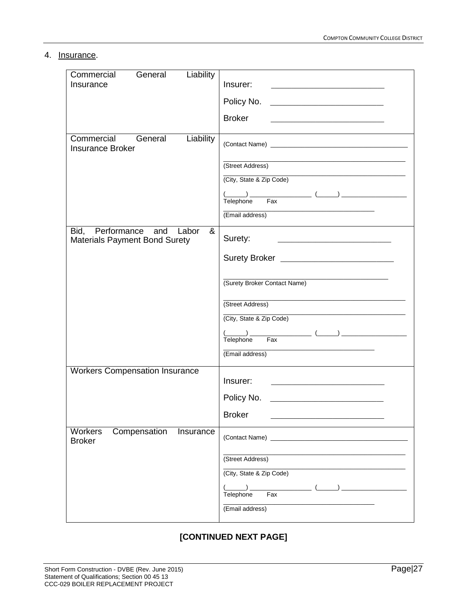#### 4. Insurance.

| Liability<br>Commercial<br>General                                      |                                                                                                                                                                                                                                      |
|-------------------------------------------------------------------------|--------------------------------------------------------------------------------------------------------------------------------------------------------------------------------------------------------------------------------------|
| Insurance                                                               | Insurer:                                                                                                                                                                                                                             |
|                                                                         | Policy No. <u>__________________________</u>                                                                                                                                                                                         |
|                                                                         | <b>Broker</b>                                                                                                                                                                                                                        |
| Liability<br>Commercial<br>General<br><b>Insurance Broker</b>           |                                                                                                                                                                                                                                      |
|                                                                         | (Street Address)                                                                                                                                                                                                                     |
|                                                                         | (City, State & Zip Code)                                                                                                                                                                                                             |
|                                                                         | $\underbrace{(\hspace{0.3cm}\underline{\hspace{0.3cm}})}_{\text{Telephone}} \hspace{0.5cm} \underbrace{\hspace{0.5cm}}_{\text{Fax}} \hspace{0.5cm} \underbrace{\hspace{0.5cm}}_{\text{Lelephone}}$                                   |
|                                                                         | (Email address)                                                                                                                                                                                                                      |
| Bid, Performance and Labor<br>&<br><b>Materials Payment Bond Surety</b> | Surety:<br><u> 1989 - Johann Harry Harry Harry Harry Harry Harry Harry Harry Harry Harry Harry Harry Harry Harry Harry Harry</u>                                                                                                     |
|                                                                         |                                                                                                                                                                                                                                      |
|                                                                         | (Surety Broker Contact Name)                                                                                                                                                                                                         |
|                                                                         | (Street Address)                                                                                                                                                                                                                     |
|                                                                         | (City, State & Zip Code)                                                                                                                                                                                                             |
|                                                                         | Telephone<br>Fax                                                                                                                                                                                                                     |
|                                                                         | (Email address)                                                                                                                                                                                                                      |
| <b>Workers Compensation Insurance</b>                                   | Insurer:                                                                                                                                                                                                                             |
|                                                                         | <u>and the state of the state of the state of the state of the state of the state of the state of the state of the state of the state of the state of the state of the state of the state of the state of the state of the state</u> |
|                                                                         | Policy No. <u>________________________</u> ______                                                                                                                                                                                    |
|                                                                         | <b>Broker</b>                                                                                                                                                                                                                        |
| Workers<br>Compensation<br>Insurance<br><b>Broker</b>                   |                                                                                                                                                                                                                                      |
|                                                                         | (Street Address)                                                                                                                                                                                                                     |
|                                                                         | (City, State & Zip Code)                                                                                                                                                                                                             |
|                                                                         | Fax<br>Telephone                                                                                                                                                                                                                     |
|                                                                         | (Email address)                                                                                                                                                                                                                      |

# **[CONTINUED NEXT PAGE]**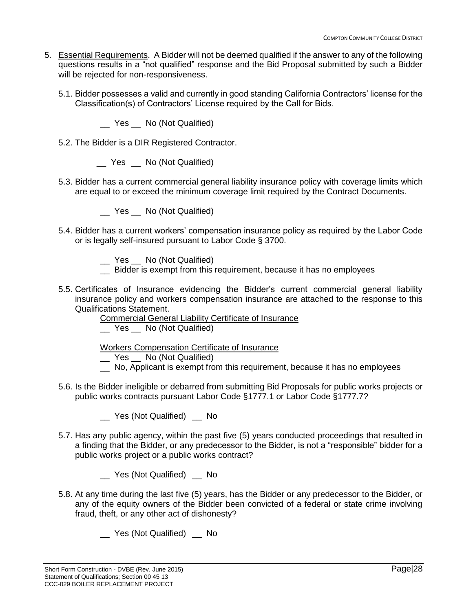- 5. Essential Requirements. A Bidder will not be deemed qualified if the answer to any of the following questions results in a "not qualified" response and the Bid Proposal submitted by such a Bidder will be rejected for non-responsiveness.
	- 5.1. Bidder possesses a valid and currently in good standing California Contractors' license for the Classification(s) of Contractors' License required by the Call for Bids.

\_\_ Yes \_\_ No (Not Qualified)

5.2. The Bidder is a DIR Registered Contractor.

Yes No (Not Qualified)

5.3. Bidder has a current commercial general liability insurance policy with coverage limits which are equal to or exceed the minimum coverage limit required by the Contract Documents.

Yes No (Not Qualified)

- 5.4. Bidder has a current workers' compensation insurance policy as required by the Labor Code or is legally self-insured pursuant to Labor Code § 3700.
	- \_\_ Yes \_\_ No (Not Qualified)
	- Bidder is exempt from this requirement, because it has no employees
- 5.5. Certificates of Insurance evidencing the Bidder's current commercial general liability insurance policy and workers compensation insurance are attached to the response to this Qualifications Statement.
	- Commercial General Liability Certificate of Insurance
	- Yes No (Not Qualified)

Workers Compensation Certificate of Insurance

\_\_ Yes \_\_ No (Not Qualified)

- \_\_ No, Applicant is exempt from this requirement, because it has no employees
- 5.6. Is the Bidder ineligible or debarred from submitting Bid Proposals for public works projects or public works contracts pursuant Labor Code §1777.1 or Labor Code §1777.7?

\_\_ Yes (Not Qualified) \_\_ No

5.7. Has any public agency, within the past five (5) years conducted proceedings that resulted in a finding that the Bidder, or any predecessor to the Bidder, is not a "responsible" bidder for a public works project or a public works contract?

\_\_ Yes (Not Qualified) \_\_ No

5.8. At any time during the last five (5) years, has the Bidder or any predecessor to the Bidder, or any of the equity owners of the Bidder been convicted of a federal or state crime involving fraud, theft, or any other act of dishonesty?

\_\_ Yes (Not Qualified) \_\_ No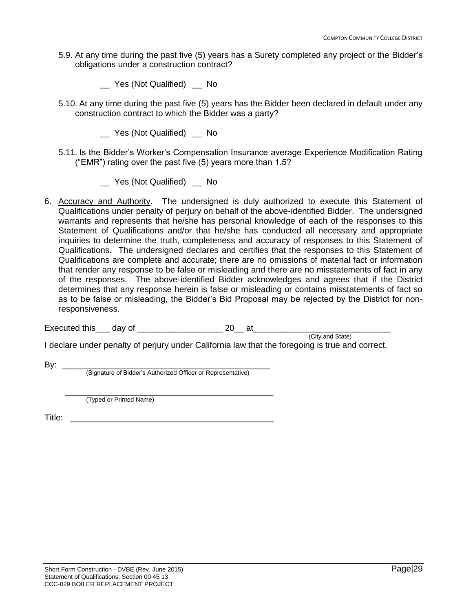5.9. At any time during the past five (5) years has a Surety completed any project or the Bidder's obligations under a construction contract?

\_\_ Yes (Not Qualified) \_\_ No

- 5.10. At any time during the past five (5) years has the Bidder been declared in default under any construction contract to which the Bidder was a party?
	- Yes (Not Qualified) **No**
- 5.11. Is the Bidder's Worker's Compensation Insurance average Experience Modification Rating ("EMR") rating over the past five (5) years more than 1.5?

\_\_ Yes (Not Qualified) \_\_ No

6. Accuracy and Authority. The undersigned is duly authorized to execute this Statement of Qualifications under penalty of perjury on behalf of the above-identified Bidder. The undersigned warrants and represents that he/she has personal knowledge of each of the responses to this Statement of Qualifications and/or that he/she has conducted all necessary and appropriate inquiries to determine the truth, completeness and accuracy of responses to this Statement of Qualifications. The undersigned declares and certifies that the responses to this Statement of Qualifications are complete and accurate; there are no omissions of material fact or information that render any response to be false or misleading and there are no misstatements of fact in any of the responses. The above-identified Bidder acknowledges and agrees that if the District determines that any response herein is false or misleading or contains misstatements of fact so as to be false or misleading, the Bidder's Bid Proposal may be rejected by the District for nonresponsiveness.

Executed this\_\_\_ day of \_\_\_\_\_\_\_\_\_\_\_\_\_\_\_\_\_\_\_\_\_\_ 20\_\_ at\_\_\_\_\_\_\_\_\_\_\_\_\_\_\_\_\_\_\_\_\_\_\_\_\_\_\_

(City and State)

I declare under penalty of perjury under California law that the foregoing is true and correct.

By: \_\_\_\_\_\_\_\_\_\_\_\_\_\_\_\_\_\_\_\_\_\_\_\_\_\_\_\_\_\_\_\_\_\_\_\_\_\_\_\_\_\_\_\_ (Signature of Bidder's Authorized Officer or Representative)

\_\_\_\_\_\_\_\_\_\_\_\_\_\_\_\_\_\_\_\_\_\_\_\_\_\_\_\_\_\_\_\_\_\_\_\_\_\_\_\_\_\_\_\_ (Typed or Printed Name)

Title: \_\_\_\_\_\_\_\_\_\_\_\_\_\_\_\_\_\_\_\_\_\_\_\_\_\_\_\_\_\_\_\_\_\_\_\_\_\_\_\_\_\_\_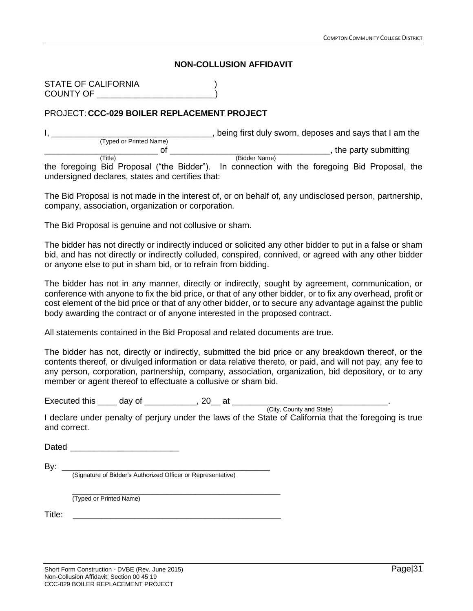### **NON-COLLUSION AFFIDAVIT**

STATE OF CALIFORNIA  $($ COUNTY OF \_\_\_\_\_\_\_\_\_\_\_\_\_\_\_\_\_\_\_\_\_\_\_\_\_)

### PROJECT: **CCC-029 BOILER REPLACEMENT PROJECT**

|                                          | being first duly sworn, deposes and says that I am the                                                                                                                                                                         |
|------------------------------------------|--------------------------------------------------------------------------------------------------------------------------------------------------------------------------------------------------------------------------------|
| (Typed or Printed Name)                  |                                                                                                                                                                                                                                |
|                                          | the party submitting                                                                                                                                                                                                           |
| Title)                                   | (Bidder Name)                                                                                                                                                                                                                  |
| the features Did Deceased (6the Didded)) | the composition of the field of the contract of the December of the contract of the contract of the contract of the contract of the contract of the contract of the contract of the contract of the contract of the contract o |

the foregoing Bid Proposal ("the Bidder"). In connection with the foregoing Bid Proposal, the undersigned declares, states and certifies that:

The Bid Proposal is not made in the interest of, or on behalf of, any undisclosed person, partnership, company, association, organization or corporation.

The Bid Proposal is genuine and not collusive or sham.

The bidder has not directly or indirectly induced or solicited any other bidder to put in a false or sham bid, and has not directly or indirectly colluded, conspired, connived, or agreed with any other bidder or anyone else to put in sham bid, or to refrain from bidding.

The bidder has not in any manner, directly or indirectly, sought by agreement, communication, or conference with anyone to fix the bid price, or that of any other bidder, or to fix any overhead, profit or cost element of the bid price or that of any other bidder, or to secure any advantage against the public body awarding the contract or of anyone interested in the proposed contract.

All statements contained in the Bid Proposal and related documents are true.

The bidder has not, directly or indirectly, submitted the bid price or any breakdown thereof, or the contents thereof, or divulged information or data relative thereto, or paid, and will not pay, any fee to any person, corporation, partnership, company, association, organization, bid depository, or to any member or agent thereof to effectuate a collusive or sham bid.

Executed this \_\_\_\_ day of \_\_\_\_\_\_\_\_\_\_\_, 20\_\_ at \_\_\_\_\_\_\_\_\_\_\_\_\_\_\_\_\_\_\_\_\_\_\_\_\_\_\_\_\_\_\_\_\_.

(City, County and State)

I declare under penalty of perjury under the laws of the State of California that the foregoing is true and correct.

Dated \_\_\_\_\_\_\_\_\_\_\_\_\_\_\_\_\_\_\_\_\_\_\_

By: \_\_\_\_\_\_\_\_\_\_\_\_\_\_\_\_\_\_\_\_\_\_\_\_\_\_\_\_\_\_\_\_\_\_\_\_\_\_\_\_\_\_\_\_

(Signature of Bidder's Authorized Officer or Representative)

\_\_\_\_\_\_\_\_\_\_\_\_\_\_\_\_\_\_\_\_\_\_\_\_\_\_\_\_\_\_\_\_\_\_\_\_\_\_\_\_\_\_\_\_ (Typed or Printed Name)

Title: \_\_\_\_\_\_\_\_\_\_\_\_\_\_\_\_\_\_\_\_\_\_\_\_\_\_\_\_\_\_\_\_\_\_\_\_\_\_\_\_\_\_\_\_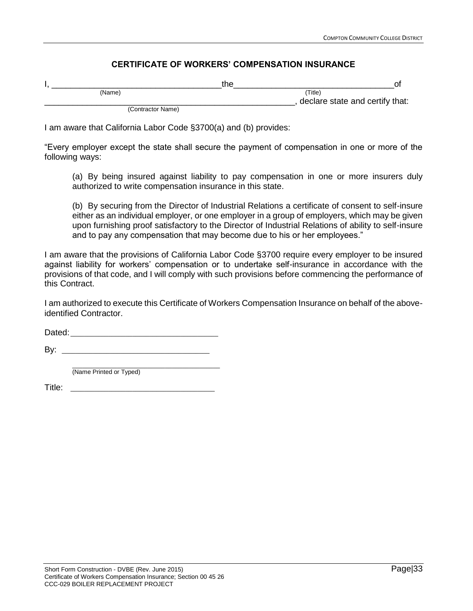### **CERTIFICATE OF WORKERS' COMPENSATION INSURANCE**

|                   | the |                                 |
|-------------------|-----|---------------------------------|
| (Name)            |     | (Title)                         |
|                   |     | declare state and certify that: |
| (Contractor Name) |     |                                 |

I am aware that California Labor Code §3700(a) and (b) provides:

"Every employer except the state shall secure the payment of compensation in one or more of the following ways:

(a) By being insured against liability to pay compensation in one or more insurers duly authorized to write compensation insurance in this state.

(b) By securing from the Director of Industrial Relations a certificate of consent to self-insure either as an individual employer, or one employer in a group of employers, which may be given upon furnishing proof satisfactory to the Director of Industrial Relations of ability to self-insure and to pay any compensation that may become due to his or her employees."

I am aware that the provisions of California Labor Code §3700 require every employer to be insured against liability for workers' compensation or to undertake self-insurance in accordance with the provisions of that code, and I will comply with such provisions before commencing the performance of this Contract.

I am authorized to execute this Certificate of Workers Compensation Insurance on behalf of the aboveidentified Contractor.

Dated:  $\Box$ 

 $\mathsf{By:}\nolimits$ 

\_\_\_\_\_\_\_\_\_\_\_\_\_\_\_\_\_\_\_\_\_\_\_\_\_\_\_\_\_\_\_\_\_\_\_\_\_\_\_\_\_\_\_ (Name Printed or Typed)

Title: \_\_\_\_\_\_\_\_\_\_\_\_\_\_\_\_\_\_\_\_\_\_\_\_\_\_\_\_\_\_\_\_\_\_\_\_\_\_\_\_\_\_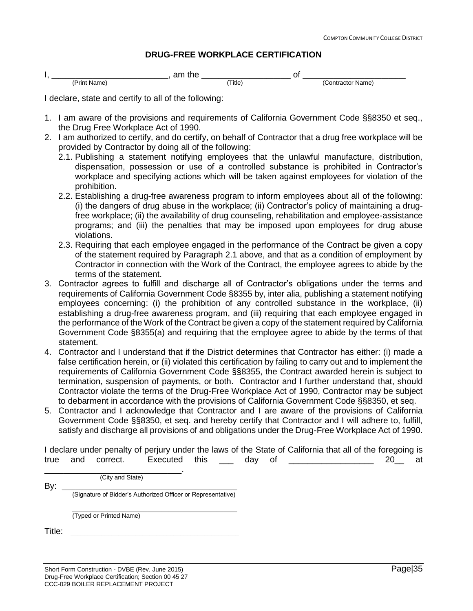### **DRUG-FREE WORKPLACE CERTIFICATION**

 $I, \_\_\_\_\_\_\_\$  am the  $\_\_\_\_\_\_\_\_\_\_\_$  of  $\_$ (Contractor Name)

I declare, state and certify to all of the following:

- 1. I am aware of the provisions and requirements of California Government Code §§8350 et seq., the Drug Free Workplace Act of 1990.
- 2. I am authorized to certify, and do certify, on behalf of Contractor that a drug free workplace will be provided by Contractor by doing all of the following:
	- 2.1. Publishing a statement notifying employees that the unlawful manufacture, distribution, dispensation, possession or use of a controlled substance is prohibited in Contractor's workplace and specifying actions which will be taken against employees for violation of the prohibition.
	- 2.2. Establishing a drug-free awareness program to inform employees about all of the following: (i) the dangers of drug abuse in the workplace; (ii) Contractor's policy of maintaining a drugfree workplace; (ii) the availability of drug counseling, rehabilitation and employee-assistance programs; and (iii) the penalties that may be imposed upon employees for drug abuse violations.
	- 2.3. Requiring that each employee engaged in the performance of the Contract be given a copy of the statement required by Paragraph 2.1 above, and that as a condition of employment by Contractor in connection with the Work of the Contract, the employee agrees to abide by the terms of the statement.
- 3. Contractor agrees to fulfill and discharge all of Contractor's obligations under the terms and requirements of California Government Code §8355 by, inter alia, publishing a statement notifying employees concerning: (i) the prohibition of any controlled substance in the workplace, (ii) establishing a drug-free awareness program, and (iii) requiring that each employee engaged in the performance of the Work of the Contract be given a copy of the statement required by California Government Code §8355(a) and requiring that the employee agree to abide by the terms of that statement.
- 4. Contractor and I understand that if the District determines that Contractor has either: (i) made a false certification herein, or (ii) violated this certification by failing to carry out and to implement the requirements of California Government Code §§8355, the Contract awarded herein is subject to termination, suspension of payments, or both. Contractor and I further understand that, should Contractor violate the terms of the Drug-Free Workplace Act of 1990, Contractor may be subject to debarment in accordance with the provisions of California Government Code §§8350, et seq.
- 5. Contractor and I acknowledge that Contractor and I are aware of the provisions of California Government Code §§8350, et seq. and hereby certify that Contractor and I will adhere to, fulfill, satisfy and discharge all provisions of and obligations under the Drug-Free Workplace Act of 1990.

I declare under penalty of perjury under the laws of the State of California that all of the foregoing is true and correct. Executed this a day of the control at the 20 at

|     | (City and State)                                             |
|-----|--------------------------------------------------------------|
| By: |                                                              |
|     | (Signature of Bidder's Authorized Officer or Representative) |
|     | (Typed or Printed Name)                                      |

Title: \_\_\_\_\_\_\_\_\_\_\_\_\_\_\_\_\_\_\_\_\_\_\_\_\_\_\_\_\_\_\_\_\_\_\_\_\_\_\_\_\_\_\_\_\_\_\_\_\_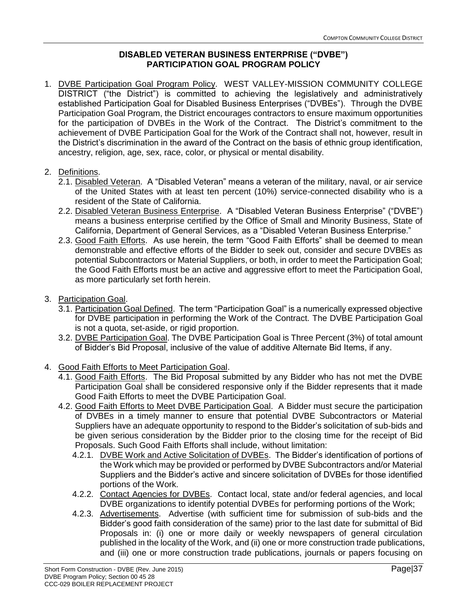## **DISABLED VETERAN BUSINESS ENTERPRISE ("DVBE") PARTICIPATION GOAL PROGRAM POLICY**

- 1. DVBE Participation Goal Program Policy. WEST VALLEY-MISSION COMMUNITY COLLEGE DISTRICT ("the District") is committed to achieving the legislatively and administratively established Participation Goal for Disabled Business Enterprises ("DVBEs"). Through the DVBE Participation Goal Program, the District encourages contractors to ensure maximum opportunities for the participation of DVBEs in the Work of the Contract. The District's commitment to the achievement of DVBE Participation Goal for the Work of the Contract shall not, however, result in the District's discrimination in the award of the Contract on the basis of ethnic group identification, ancestry, religion, age, sex, race, color, or physical or mental disability.
- 2. Definitions.
	- 2.1. Disabled Veteran. A "Disabled Veteran" means a veteran of the military, naval, or air service of the United States with at least ten percent (10%) service-connected disability who is a resident of the State of California.
	- 2.2. Disabled Veteran Business Enterprise. A "Disabled Veteran Business Enterprise" ("DVBE") means a business enterprise certified by the Office of Small and Minority Business, State of California, Department of General Services, as a "Disabled Veteran Business Enterprise."
	- 2.3. Good Faith Efforts. As use herein, the term "Good Faith Efforts" shall be deemed to mean demonstrable and effective efforts of the Bidder to seek out, consider and secure DVBEs as potential Subcontractors or Material Suppliers, or both, in order to meet the Participation Goal; the Good Faith Efforts must be an active and aggressive effort to meet the Participation Goal, as more particularly set forth herein.
- 3. Participation Goal.
	- 3.1. Participation Goal Defined. The term "Participation Goal" is a numerically expressed objective for DVBE participation in performing the Work of the Contract. The DVBE Participation Goal is not a quota, set-aside, or rigid proportion.
	- 3.2. DVBE Participation Goal. The DVBE Participation Goal is Three Percent (3%) of total amount of Bidder's Bid Proposal, inclusive of the value of additive Alternate Bid Items, if any.
- 4. Good Faith Efforts to Meet Participation Goal.
	- 4.1. Good Faith Efforts. The Bid Proposal submitted by any Bidder who has not met the DVBE Participation Goal shall be considered responsive only if the Bidder represents that it made Good Faith Efforts to meet the DVBE Participation Goal.
	- 4.2. Good Faith Efforts to Meet DVBE Participation Goal. A Bidder must secure the participation of DVBEs in a timely manner to ensure that potential DVBE Subcontractors or Material Suppliers have an adequate opportunity to respond to the Bidder's solicitation of sub-bids and be given serious consideration by the Bidder prior to the closing time for the receipt of Bid Proposals. Such Good Faith Efforts shall include, without limitation:
		- 4.2.1. DVBE Work and Active Solicitation of DVBEs. The Bidder's identification of portions of the Work which may be provided or performed by DVBE Subcontractors and/or Material Suppliers and the Bidder's active and sincere solicitation of DVBEs for those identified portions of the Work.
		- 4.2.2. Contact Agencies for DVBEs. Contact local, state and/or federal agencies, and local DVBE organizations to identify potential DVBEs for performing portions of the Work;
		- 4.2.3. Advertisements. Advertise (with sufficient time for submission of sub-bids and the Bidder's good faith consideration of the same) prior to the last date for submittal of Bid Proposals in: (i) one or more daily or weekly newspapers of general circulation published in the locality of the Work, and (ii) one or more construction trade publications, and (iii) one or more construction trade publications, journals or papers focusing on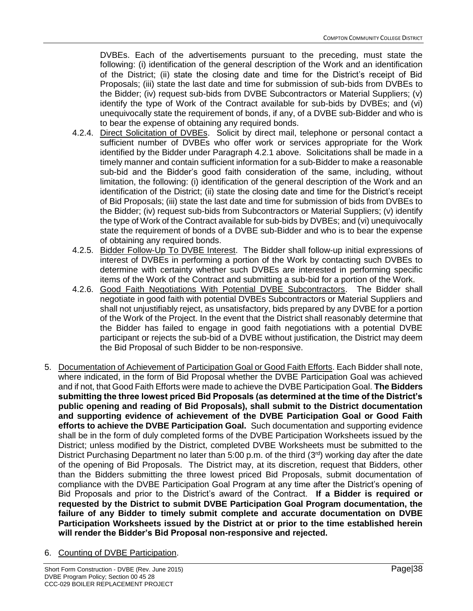DVBEs. Each of the advertisements pursuant to the preceding, must state the following: (i) identification of the general description of the Work and an identification of the District; (ii) state the closing date and time for the District's receipt of Bid Proposals; (iii) state the last date and time for submission of sub-bids from DVBEs to the Bidder; (iv) request sub-bids from DVBE Subcontractors or Material Suppliers; (v) identify the type of Work of the Contract available for sub-bids by DVBEs; and (vi) unequivocally state the requirement of bonds, if any, of a DVBE sub-Bidder and who is to bear the expense of obtaining any required bonds.

- 4.2.4. Direct Solicitation of DVBEs. Solicit by direct mail, telephone or personal contact a sufficient number of DVBEs who offer work or services appropriate for the Work identified by the Bidder under Paragraph 4.2.1 above. Solicitations shall be made in a timely manner and contain sufficient information for a sub-Bidder to make a reasonable sub-bid and the Bidder's good faith consideration of the same, including, without limitation, the following: (i) identification of the general description of the Work and an identification of the District; (ii) state the closing date and time for the District's receipt of Bid Proposals; (iii) state the last date and time for submission of bids from DVBEs to the Bidder; (iv) request sub-bids from Subcontractors or Material Suppliers; (v) identify the type of Work of the Contract available for sub-bids by DVBEs; and (vi) unequivocally state the requirement of bonds of a DVBE sub-Bidder and who is to bear the expense of obtaining any required bonds.
- 4.2.5. Bidder Follow-Up To DVBE Interest. The Bidder shall follow-up initial expressions of interest of DVBEs in performing a portion of the Work by contacting such DVBEs to determine with certainty whether such DVBEs are interested in performing specific items of the Work of the Contract and submitting a sub-bid for a portion of the Work.
- 4.2.6. Good Faith Negotiations With Potential DVBE Subcontractors. The Bidder shall negotiate in good faith with potential DVBEs Subcontractors or Material Suppliers and shall not unjustifiably reject, as unsatisfactory, bids prepared by any DVBE for a portion of the Work of the Project. In the event that the District shall reasonably determine that the Bidder has failed to engage in good faith negotiations with a potential DVBE participant or rejects the sub-bid of a DVBE without justification, the District may deem the Bid Proposal of such Bidder to be non-responsive.
- 5. Documentation of Achievement of Participation Goal or Good Faith Efforts. Each Bidder shall note, where indicated, in the form of Bid Proposal whether the DVBE Participation Goal was achieved and if not, that Good Faith Efforts were made to achieve the DVBE Participation Goal. **The Bidders submitting the three lowest priced Bid Proposals (as determined at the time of the District's public opening and reading of Bid Proposals), shall submit to the District documentation and supporting evidence of achievement of the DVBE Participation Goal or Good Faith efforts to achieve the DVBE Participation Goal.** Such documentation and supporting evidence shall be in the form of duly completed forms of the DVBE Participation Worksheets issued by the District; unless modified by the District, completed DVBE Worksheets must be submitted to the District Purchasing Department no later than 5:00 p.m. of the third  $(3<sup>rd</sup>)$  working day after the date of the opening of Bid Proposals. The District may, at its discretion, request that Bidders, other than the Bidders submitting the three lowest priced Bid Proposals, submit documentation of compliance with the DVBE Participation Goal Program at any time after the District's opening of Bid Proposals and prior to the District's award of the Contract. **If a Bidder is required or requested by the District to submit DVBE Participation Goal Program documentation, the failure of any Bidder to timely submit complete and accurate documentation on DVBE Participation Worksheets issued by the District at or prior to the time established herein will render the Bidder's Bid Proposal non-responsive and rejected.**
- 6. Counting of DVBE Participation.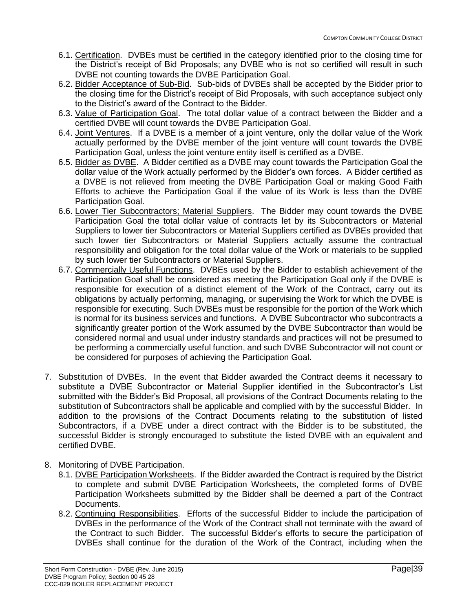- 6.1. Certification. DVBEs must be certified in the category identified prior to the closing time for the District's receipt of Bid Proposals; any DVBE who is not so certified will result in such DVBE not counting towards the DVBE Participation Goal.
- 6.2. Bidder Acceptance of Sub-Bid. Sub-bids of DVBEs shall be accepted by the Bidder prior to the closing time for the District's receipt of Bid Proposals, with such acceptance subject only to the District's award of the Contract to the Bidder.
- 6.3. Value of Participation Goal. The total dollar value of a contract between the Bidder and a certified DVBE will count towards the DVBE Participation Goal.
- 6.4. Joint Ventures. If a DVBE is a member of a joint venture, only the dollar value of the Work actually performed by the DVBE member of the joint venture will count towards the DVBE Participation Goal, unless the joint venture entity itself is certified as a DVBE.
- 6.5. Bidder as DVBE. A Bidder certified as a DVBE may count towards the Participation Goal the dollar value of the Work actually performed by the Bidder's own forces. A Bidder certified as a DVBE is not relieved from meeting the DVBE Participation Goal or making Good Faith Efforts to achieve the Participation Goal if the value of its Work is less than the DVBE Participation Goal.
- 6.6. Lower Tier Subcontractors; Material Suppliers. The Bidder may count towards the DVBE Participation Goal the total dollar value of contracts let by its Subcontractors or Material Suppliers to lower tier Subcontractors or Material Suppliers certified as DVBEs provided that such lower tier Subcontractors or Material Suppliers actually assume the contractual responsibility and obligation for the total dollar value of the Work or materials to be supplied by such lower tier Subcontractors or Material Suppliers.
- 6.7. Commercially Useful Functions. DVBEs used by the Bidder to establish achievement of the Participation Goal shall be considered as meeting the Participation Goal only if the DVBE is responsible for execution of a distinct element of the Work of the Contract, carry out its obligations by actually performing, managing, or supervising the Work for which the DVBE is responsible for executing. Such DVBEs must be responsible for the portion of the Work which is normal for its business services and functions. A DVBE Subcontractor who subcontracts a significantly greater portion of the Work assumed by the DVBE Subcontractor than would be considered normal and usual under industry standards and practices will not be presumed to be performing a commercially useful function, and such DVBE Subcontractor will not count or be considered for purposes of achieving the Participation Goal.
- 7. Substitution of DVBEs. In the event that Bidder awarded the Contract deems it necessary to substitute a DVBE Subcontractor or Material Supplier identified in the Subcontractor's List submitted with the Bidder's Bid Proposal, all provisions of the Contract Documents relating to the substitution of Subcontractors shall be applicable and complied with by the successful Bidder. In addition to the provisions of the Contract Documents relating to the substitution of listed Subcontractors, if a DVBE under a direct contract with the Bidder is to be substituted, the successful Bidder is strongly encouraged to substitute the listed DVBE with an equivalent and certified DVBE.
- 8. Monitoring of DVBE Participation.
	- 8.1. DVBE Participation Worksheets. If the Bidder awarded the Contract is required by the District to complete and submit DVBE Participation Worksheets, the completed forms of DVBE Participation Worksheets submitted by the Bidder shall be deemed a part of the Contract Documents.
	- 8.2. Continuing Responsibilities. Efforts of the successful Bidder to include the participation of DVBEs in the performance of the Work of the Contract shall not terminate with the award of the Contract to such Bidder. The successful Bidder's efforts to secure the participation of DVBEs shall continue for the duration of the Work of the Contract, including when the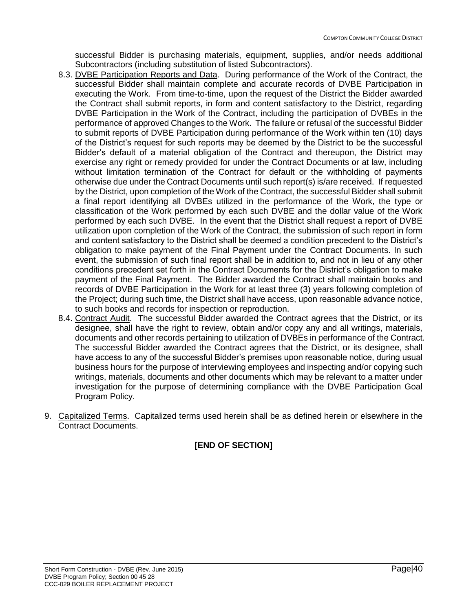successful Bidder is purchasing materials, equipment, supplies, and/or needs additional Subcontractors (including substitution of listed Subcontractors).

- 8.3. DVBE Participation Reports and Data. During performance of the Work of the Contract, the successful Bidder shall maintain complete and accurate records of DVBE Participation in executing the Work. From time-to-time, upon the request of the District the Bidder awarded the Contract shall submit reports, in form and content satisfactory to the District, regarding DVBE Participation in the Work of the Contract, including the participation of DVBEs in the performance of approved Changes to the Work. The failure or refusal of the successful Bidder to submit reports of DVBE Participation during performance of the Work within ten (10) days of the District's request for such reports may be deemed by the District to be the successful Bidder's default of a material obligation of the Contract and thereupon, the District may exercise any right or remedy provided for under the Contract Documents or at law, including without limitation termination of the Contract for default or the withholding of payments otherwise due under the Contract Documents until such report(s) is/are received. If requested by the District, upon completion of the Work of the Contract, the successful Bidder shall submit a final report identifying all DVBEs utilized in the performance of the Work, the type or classification of the Work performed by each such DVBE and the dollar value of the Work performed by each such DVBE. In the event that the District shall request a report of DVBE utilization upon completion of the Work of the Contract, the submission of such report in form and content satisfactory to the District shall be deemed a condition precedent to the District's obligation to make payment of the Final Payment under the Contract Documents. In such event, the submission of such final report shall be in addition to, and not in lieu of any other conditions precedent set forth in the Contract Documents for the District's obligation to make payment of the Final Payment. The Bidder awarded the Contract shall maintain books and records of DVBE Participation in the Work for at least three (3) years following completion of the Project; during such time, the District shall have access, upon reasonable advance notice, to such books and records for inspection or reproduction.
- 8.4. Contract Audit. The successful Bidder awarded the Contract agrees that the District, or its designee, shall have the right to review, obtain and/or copy any and all writings, materials, documents and other records pertaining to utilization of DVBEs in performance of the Contract. The successful Bidder awarded the Contract agrees that the District, or its designee, shall have access to any of the successful Bidder's premises upon reasonable notice, during usual business hours for the purpose of interviewing employees and inspecting and/or copying such writings, materials, documents and other documents which may be relevant to a matter under investigation for the purpose of determining compliance with the DVBE Participation Goal Program Policy.
- 9. Capitalized Terms. Capitalized terms used herein shall be as defined herein or elsewhere in the Contract Documents.

# **[END OF SECTION]**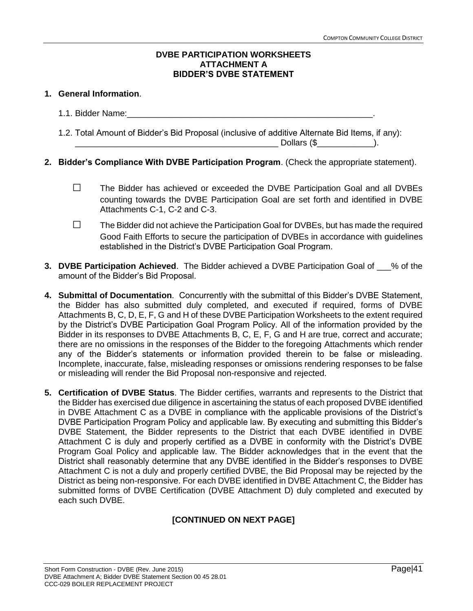## **DVBE PARTICIPATION WORKSHEETS ATTACHMENT A BIDDER'S DVBE STATEMENT**

### **1. General Information**.

- 1.1. Bidder Name:
- 1.2. Total Amount of Bidder's Bid Proposal (inclusive of additive Alternate Bid Items, if any):  $\Delta$  Dollars (\$  $\Delta$  ).

### **2. Bidder's Compliance With DVBE Participation Program**. (Check the appropriate statement).

- □ The Bidder has achieved or exceeded the DVBE Participation Goal and all DVBEs counting towards the DVBE Participation Goal are set forth and identified in DVBE Attachments C-1, C-2 and C-3.
- $\square$  The Bidder did not achieve the Participation Goal for DVBEs, but has made the required Good Faith Efforts to secure the participation of DVBEs in accordance with guidelines established in the District's DVBE Participation Goal Program.
- **3. DVBE Participation Achieved**. The Bidder achieved a DVBE Participation Goal of \_\_\_% of the amount of the Bidder's Bid Proposal.
- **4. Submittal of Documentation**. Concurrently with the submittal of this Bidder's DVBE Statement, the Bidder has also submitted duly completed, and executed if required, forms of DVBE Attachments B, C, D, E, F, G and H of these DVBE Participation Worksheets to the extent required by the District's DVBE Participation Goal Program Policy. All of the information provided by the Bidder in its responses to DVBE Attachments B, C, E, F, G and H are true, correct and accurate; there are no omissions in the responses of the Bidder to the foregoing Attachments which render any of the Bidder's statements or information provided therein to be false or misleading. Incomplete, inaccurate, false, misleading responses or omissions rendering responses to be false or misleading will render the Bid Proposal non-responsive and rejected.
- **5. Certification of DVBE Status**. The Bidder certifies, warrants and represents to the District that the Bidder has exercised due diligence in ascertaining the status of each proposed DVBE identified in DVBE Attachment C as a DVBE in compliance with the applicable provisions of the District's DVBE Participation Program Policy and applicable law. By executing and submitting this Bidder's DVBE Statement, the Bidder represents to the District that each DVBE identified in DVBE Attachment C is duly and properly certified as a DVBE in conformity with the District's DVBE Program Goal Policy and applicable law. The Bidder acknowledges that in the event that the District shall reasonably determine that any DVBE identified in the Bidder's responses to DVBE Attachment C is not a duly and properly certified DVBE, the Bid Proposal may be rejected by the District as being non-responsive. For each DVBE identified in DVBE Attachment C, the Bidder has submitted forms of DVBE Certification (DVBE Attachment D) duly completed and executed by each such DVBE.

# **[CONTINUED ON NEXT PAGE]**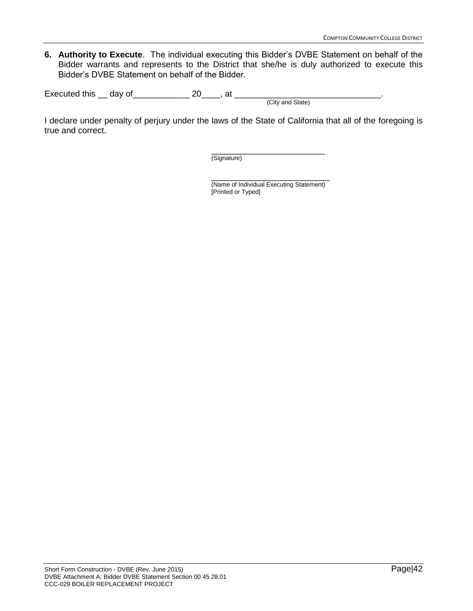**6. Authority to Execute**. The individual executing this Bidder's DVBE Statement on behalf of the Bidder warrants and represents to the District that she/he is duly authorized to execute this Bidder's DVBE Statement on behalf of the Bidder.

Executed this \_\_ day of\_\_\_\_\_\_\_\_\_\_\_\_ 20\_\_\_\_, at \_\_\_\_\_\_\_\_\_\_\_\_\_\_\_\_\_\_\_\_\_\_\_\_\_\_\_\_\_\_\_.

(City and State)

I declare under penalty of perjury under the laws of the State of California that all of the foregoing is true and correct.

> \_\_\_\_\_\_\_\_\_\_\_\_\_\_\_\_\_\_\_\_\_\_\_\_ (Signature)

\_\_\_\_\_\_\_\_\_\_\_\_\_\_\_\_\_\_\_\_\_\_\_\_\_ (Name of Individual Executing Statement) [Printed or Typed]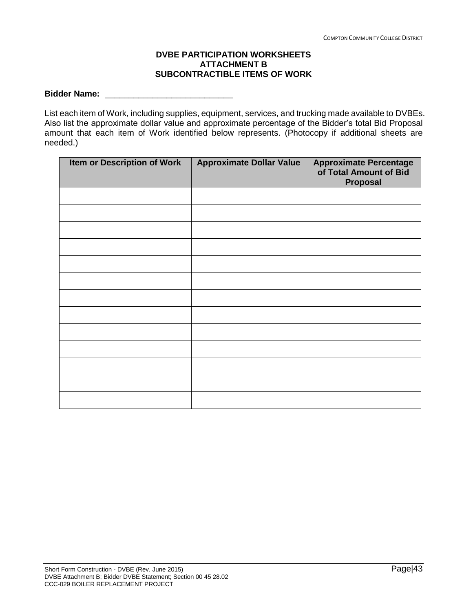## **DVBE PARTICIPATION WORKSHEETS ATTACHMENT B SUBCONTRACTIBLE ITEMS OF WORK**

#### **Bidder Name:**

List each item of Work, including supplies, equipment, services, and trucking made available to DVBEs. Also list the approximate dollar value and approximate percentage of the Bidder's total Bid Proposal amount that each item of Work identified below represents. (Photocopy if additional sheets are needed.)

| <b>Item or Description of Work</b> | <b>Approximate Dollar Value</b> | <b>Approximate Percentage</b><br>of Total Amount of Bid<br>Proposal |
|------------------------------------|---------------------------------|---------------------------------------------------------------------|
|                                    |                                 |                                                                     |
|                                    |                                 |                                                                     |
|                                    |                                 |                                                                     |
|                                    |                                 |                                                                     |
|                                    |                                 |                                                                     |
|                                    |                                 |                                                                     |
|                                    |                                 |                                                                     |
|                                    |                                 |                                                                     |
|                                    |                                 |                                                                     |
|                                    |                                 |                                                                     |
|                                    |                                 |                                                                     |
|                                    |                                 |                                                                     |
|                                    |                                 |                                                                     |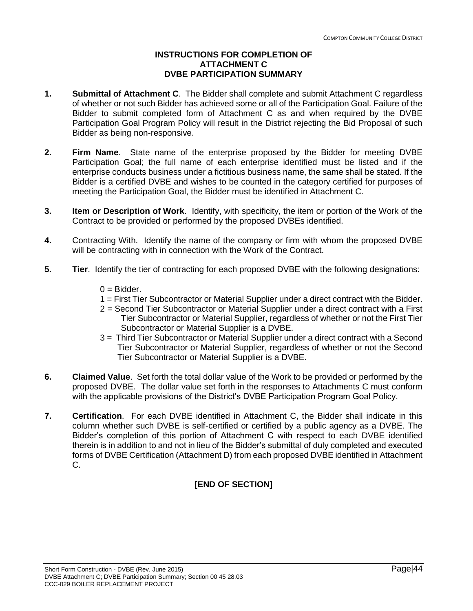# **INSTRUCTIONS FOR COMPLETION OF ATTACHMENT C DVBE PARTICIPATION SUMMARY**

- **1. Submittal of Attachment C**. The Bidder shall complete and submit Attachment C regardless of whether or not such Bidder has achieved some or all of the Participation Goal. Failure of the Bidder to submit completed form of Attachment C as and when required by the DVBE Participation Goal Program Policy will result in the District rejecting the Bid Proposal of such Bidder as being non-responsive.
- **2. Firm Name**. State name of the enterprise proposed by the Bidder for meeting DVBE Participation Goal; the full name of each enterprise identified must be listed and if the enterprise conducts business under a fictitious business name, the same shall be stated. If the Bidder is a certified DVBE and wishes to be counted in the category certified for purposes of meeting the Participation Goal, the Bidder must be identified in Attachment C.
- **3. Item or Description of Work**. Identify, with specificity, the item or portion of the Work of the Contract to be provided or performed by the proposed DVBEs identified.
- **4.** Contracting With. Identify the name of the company or firm with whom the proposed DVBE will be contracting with in connection with the Work of the Contract.
- **5. Tier**. Identify the tier of contracting for each proposed DVBE with the following designations:
	- $0 =$  Bidder.
	- 1 = First Tier Subcontractor or Material Supplier under a direct contract with the Bidder.
	- 2 = Second Tier Subcontractor or Material Supplier under a direct contract with a First Tier Subcontractor or Material Supplier, regardless of whether or not the First Tier Subcontractor or Material Supplier is a DVBE.
	- 3 = Third Tier Subcontractor or Material Supplier under a direct contract with a Second Tier Subcontractor or Material Supplier, regardless of whether or not the Second Tier Subcontractor or Material Supplier is a DVBE.
- **6. Claimed Value**. Set forth the total dollar value of the Work to be provided or performed by the proposed DVBE. The dollar value set forth in the responses to Attachments C must conform with the applicable provisions of the District's DVBE Participation Program Goal Policy.
- **7. Certification**. For each DVBE identified in Attachment C, the Bidder shall indicate in this column whether such DVBE is self-certified or certified by a public agency as a DVBE. The Bidder's completion of this portion of Attachment C with respect to each DVBE identified therein is in addition to and not in lieu of the Bidder's submittal of duly completed and executed forms of DVBE Certification (Attachment D) from each proposed DVBE identified in Attachment C.

# **[END OF SECTION]**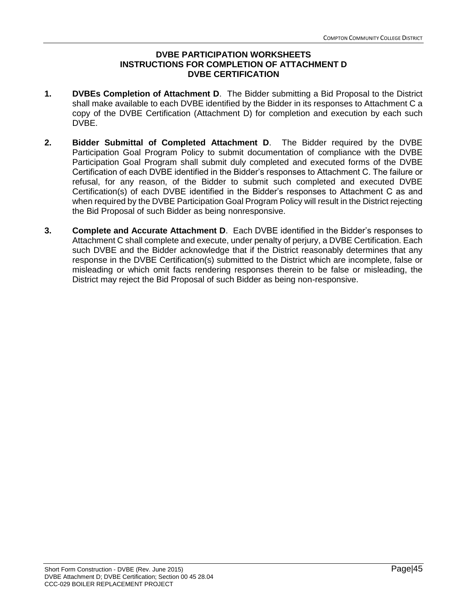## **DVBE PARTICIPATION WORKSHEETS INSTRUCTIONS FOR COMPLETION OF ATTACHMENT D DVBE CERTIFICATION**

- **1. DVBEs Completion of Attachment D**. The Bidder submitting a Bid Proposal to the District shall make available to each DVBE identified by the Bidder in its responses to Attachment C a copy of the DVBE Certification (Attachment D) for completion and execution by each such DVBE.
- **2. Bidder Submittal of Completed Attachment D**. The Bidder required by the DVBE Participation Goal Program Policy to submit documentation of compliance with the DVBE Participation Goal Program shall submit duly completed and executed forms of the DVBE Certification of each DVBE identified in the Bidder's responses to Attachment C. The failure or refusal, for any reason, of the Bidder to submit such completed and executed DVBE Certification(s) of each DVBE identified in the Bidder's responses to Attachment C as and when required by the DVBE Participation Goal Program Policy will result in the District rejecting the Bid Proposal of such Bidder as being nonresponsive.
- **3. Complete and Accurate Attachment D**. Each DVBE identified in the Bidder's responses to Attachment C shall complete and execute, under penalty of perjury, a DVBE Certification. Each such DVBE and the Bidder acknowledge that if the District reasonably determines that any response in the DVBE Certification(s) submitted to the District which are incomplete, false or misleading or which omit facts rendering responses therein to be false or misleading, the District may reject the Bid Proposal of such Bidder as being non-responsive.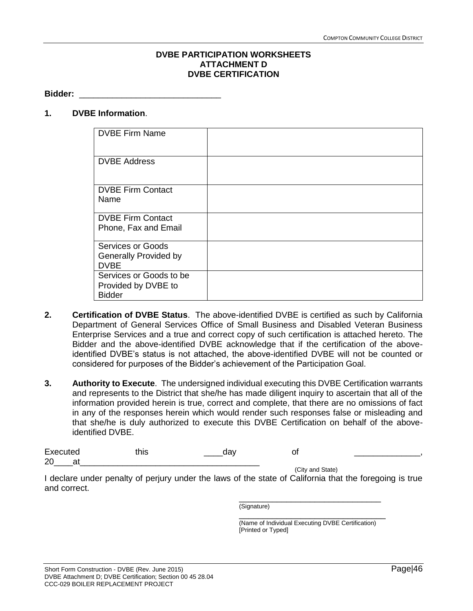### **DVBE PARTICIPATION WORKSHEETS ATTACHMENT D DVBE CERTIFICATION**

### Bidder:

#### **1. DVBE Information**.

| <b>DVBE Firm Name</b>                                                   |  |
|-------------------------------------------------------------------------|--|
| <b>DVBE Address</b>                                                     |  |
| <b>DVBE Firm Contact</b><br>Name                                        |  |
| <b>DVBE Firm Contact</b><br>Phone, Fax and Email                        |  |
| <b>Services or Goods</b><br><b>Generally Provided by</b><br><b>DVBE</b> |  |
| Services or Goods to be<br>Provided by DVBE to<br><b>Bidder</b>         |  |

- **2. Certification of DVBE Status**. The above-identified DVBE is certified as such by California Department of General Services Office of Small Business and Disabled Veteran Business Enterprise Services and a true and correct copy of such certification is attached hereto. The Bidder and the above-identified DVBE acknowledge that if the certification of the aboveidentified DVBE's status is not attached, the above-identified DVBE will not be counted or considered for purposes of the Bidder's achievement of the Participation Goal.
- **3. Authority to Execute**. The undersigned individual executing this DVBE Certification warrants and represents to the District that she/he has made diligent inquiry to ascertain that all of the information provided herein is true, correct and complete, that there are no omissions of fact in any of the responses herein which would render such responses false or misleading and that she/he is duly authorized to execute this DVBE Certification on behalf of the aboveidentified DVBE.

Executed this \_\_\_\_day of \_\_\_\_\_\_\_\_\_\_\_\_\_\_, 20 at

(City and State)

I declare under penalty of perjury under the laws of the state of California that the foregoing is true and correct.

> \_\_\_\_\_\_\_\_\_\_\_\_\_\_\_\_\_\_\_\_\_\_\_\_\_\_\_\_\_\_ (Signature)

\_\_\_\_\_\_\_\_\_\_\_\_\_\_\_\_\_\_\_\_\_\_\_\_\_\_\_\_\_\_\_ (Name of Individual Executing DVBE Certification) [Printed or Typed]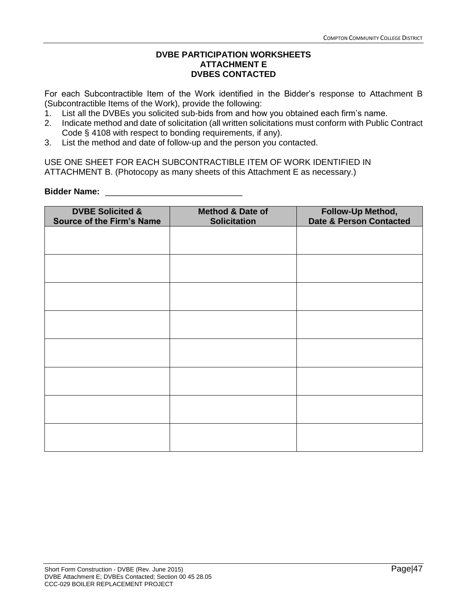## **DVBE PARTICIPATION WORKSHEETS ATTACHMENT E DVBES CONTACTED**

For each Subcontractible Item of the Work identified in the Bidder's response to Attachment B (Subcontractible Items of the Work), provide the following:

- 1. List all the DVBEs you solicited sub-bids from and how you obtained each firm's name.
- 2. Indicate method and date of solicitation (all written solicitations must conform with Public Contract Code § 4108 with respect to bonding requirements, if any).
- 3. List the method and date of follow-up and the person you contacted.

USE ONE SHEET FOR EACH SUBCONTRACTIBLE ITEM OF WORK IDENTIFIED IN ATTACHMENT B. (Photocopy as many sheets of this Attachment E as necessary.)

#### **Bidder Name:** \_\_\_\_\_\_\_\_\_\_\_\_\_\_\_\_\_\_\_\_\_\_\_\_\_\_\_\_\_

| <b>DVBE Solicited &amp;</b><br><b>Source of the Firm's Name</b> | Method & Date of<br><b>Solicitation</b> | Follow-Up Method,<br><b>Date &amp; Person Contacted</b> |
|-----------------------------------------------------------------|-----------------------------------------|---------------------------------------------------------|
|                                                                 |                                         |                                                         |
|                                                                 |                                         |                                                         |
|                                                                 |                                         |                                                         |
|                                                                 |                                         |                                                         |
|                                                                 |                                         |                                                         |
|                                                                 |                                         |                                                         |
|                                                                 |                                         |                                                         |
|                                                                 |                                         |                                                         |
|                                                                 |                                         |                                                         |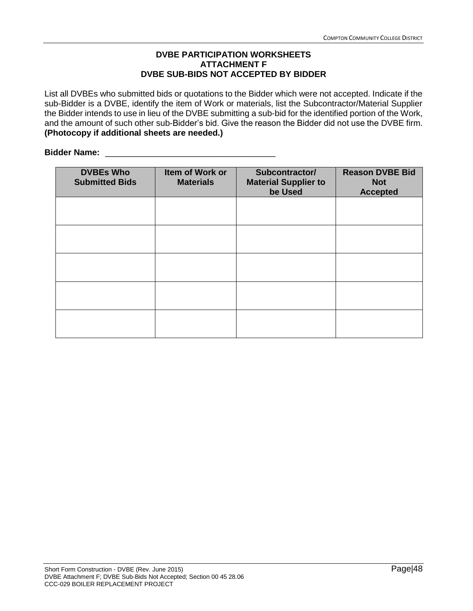## **DVBE PARTICIPATION WORKSHEETS ATTACHMENT F DVBE SUB-BIDS NOT ACCEPTED BY BIDDER**

List all DVBEs who submitted bids or quotations to the Bidder which were not accepted. Indicate if the sub-Bidder is a DVBE, identify the item of Work or materials, list the Subcontractor/Material Supplier the Bidder intends to use in lieu of the DVBE submitting a sub-bid for the identified portion of the Work, and the amount of such other sub-Bidder's bid. Give the reason the Bidder did not use the DVBE firm. **(Photocopy if additional sheets are needed.)**

#### **Bidder Name:** \_\_\_\_\_\_\_\_\_\_\_\_\_\_\_\_\_\_\_\_\_\_\_\_\_\_\_\_\_\_\_\_\_\_\_\_

| <b>DVBEs Who</b><br><b>Submitted Bids</b> | Item of Work or<br><b>Materials</b> | Subcontractor/<br><b>Material Supplier to</b><br>be Used | <b>Reason DVBE Bid</b><br><b>Not</b><br><b>Accepted</b> |
|-------------------------------------------|-------------------------------------|----------------------------------------------------------|---------------------------------------------------------|
|                                           |                                     |                                                          |                                                         |
|                                           |                                     |                                                          |                                                         |
|                                           |                                     |                                                          |                                                         |
|                                           |                                     |                                                          |                                                         |
|                                           |                                     |                                                          |                                                         |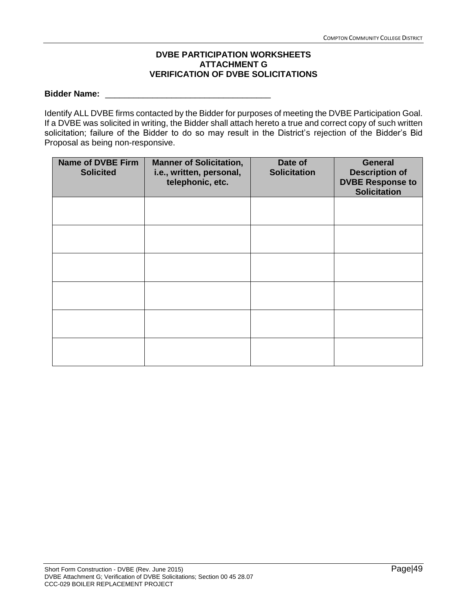## **DVBE PARTICIPATION WORKSHEETS ATTACHMENT G VERIFICATION OF DVBE SOLICITATIONS**

#### **Bidder Name:** \_\_\_\_\_\_\_\_\_\_\_\_\_\_\_\_\_\_\_\_\_\_\_\_\_\_\_\_\_\_\_\_\_\_\_

Identify ALL DVBE firms contacted by the Bidder for purposes of meeting the DVBE Participation Goal. If a DVBE was solicited in writing, the Bidder shall attach hereto a true and correct copy of such written solicitation; failure of the Bidder to do so may result in the District's rejection of the Bidder's Bid Proposal as being non-responsive.

| <b>Name of DVBE Firm</b><br><b>Solicited</b> | <b>Manner of Solicitation,</b><br>i.e., written, personal,<br>telephonic, etc. | Date of<br><b>Solicitation</b> | <b>General</b><br><b>Description of</b><br><b>DVBE Response to</b><br><b>Solicitation</b> |
|----------------------------------------------|--------------------------------------------------------------------------------|--------------------------------|-------------------------------------------------------------------------------------------|
|                                              |                                                                                |                                |                                                                                           |
|                                              |                                                                                |                                |                                                                                           |
|                                              |                                                                                |                                |                                                                                           |
|                                              |                                                                                |                                |                                                                                           |
|                                              |                                                                                |                                |                                                                                           |
|                                              |                                                                                |                                |                                                                                           |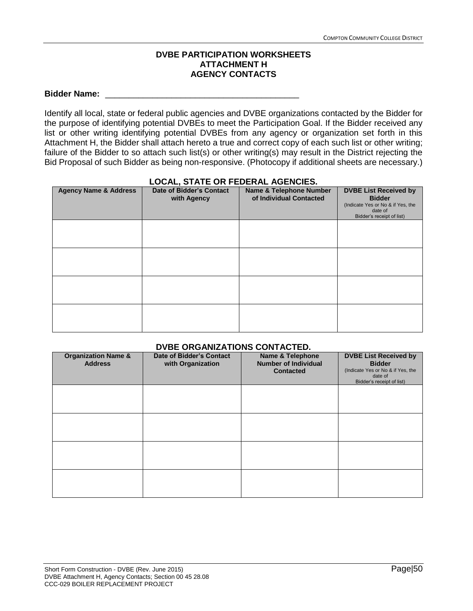## **DVBE PARTICIPATION WORKSHEETS ATTACHMENT H AGENCY CONTACTS**

#### **Bidder Name:**

Identify all local, state or federal public agencies and DVBE organizations contacted by the Bidder for the purpose of identifying potential DVBEs to meet the Participation Goal. If the Bidder received any list or other writing identifying potential DVBEs from any agency or organization set forth in this Attachment H, the Bidder shall attach hereto a true and correct copy of each such list or other writing; failure of the Bidder to so attach such list(s) or other writing(s) may result in the District rejecting the Bid Proposal of such Bidder as being non-responsive. (Photocopy if additional sheets are necessary.)

#### **LOCAL, STATE OR FEDERAL AGENCIES.**

| <b>Agency Name &amp; Address</b> | Date of Bidder's Contact | <b>Name &amp; Telephone Number</b> | <b>DVBE List Received by</b>      |
|----------------------------------|--------------------------|------------------------------------|-----------------------------------|
|                                  |                          |                                    |                                   |
|                                  | with Agency              | of Individual Contacted            | <b>Bidder</b>                     |
|                                  |                          |                                    | (Indicate Yes or No & if Yes, the |
|                                  |                          |                                    | date of                           |
|                                  |                          |                                    | Bidder's receipt of list)         |
|                                  |                          |                                    |                                   |
|                                  |                          |                                    |                                   |
|                                  |                          |                                    |                                   |
|                                  |                          |                                    |                                   |
|                                  |                          |                                    |                                   |
|                                  |                          |                                    |                                   |
|                                  |                          |                                    |                                   |
|                                  |                          |                                    |                                   |
|                                  |                          |                                    |                                   |
|                                  |                          |                                    |                                   |
|                                  |                          |                                    |                                   |
|                                  |                          |                                    |                                   |
|                                  |                          |                                    |                                   |
|                                  |                          |                                    |                                   |
|                                  |                          |                                    |                                   |
|                                  |                          |                                    |                                   |
|                                  |                          |                                    |                                   |
|                                  |                          |                                    |                                   |
|                                  |                          |                                    |                                   |
|                                  |                          |                                    |                                   |
|                                  |                          |                                    |                                   |

#### **DVBE ORGANIZATIONS CONTACTED.**

| <b>Organization Name &amp;</b><br><b>Address</b> | <b>Date of Bidder's Contact</b><br>with Organization | Name & Telephone<br><b>Number of Individual</b><br><b>Contacted</b> | <b>DVBE List Received by</b><br><b>Bidder</b><br>(Indicate Yes or No & if Yes, the<br>date of<br>Bidder's receipt of list) |
|--------------------------------------------------|------------------------------------------------------|---------------------------------------------------------------------|----------------------------------------------------------------------------------------------------------------------------|
|                                                  |                                                      |                                                                     |                                                                                                                            |
|                                                  |                                                      |                                                                     |                                                                                                                            |
|                                                  |                                                      |                                                                     |                                                                                                                            |
|                                                  |                                                      |                                                                     |                                                                                                                            |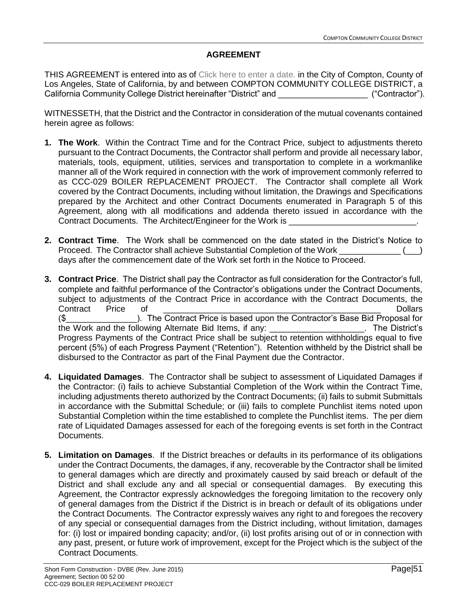## **AGREEMENT**

THIS AGREEMENT is entered into as of Click here to enter a date. in the City of Compton, County of Los Angeles, State of California, by and between COMPTON COMMUNITY COLLEGE DISTRICT, a California Community College District hereinafter "District" and 
("Contractor").

WITNESSETH, that the District and the Contractor in consideration of the mutual covenants contained herein agree as follows:

- **1. The Work**. Within the Contract Time and for the Contract Price, subject to adjustments thereto pursuant to the Contract Documents, the Contractor shall perform and provide all necessary labor, materials, tools, equipment, utilities, services and transportation to complete in a workmanlike manner all of the Work required in connection with the work of improvement commonly referred to as CCC-029 BOILER REPLACEMENT PROJECT. The Contractor shall complete all Work covered by the Contract Documents, including without limitation, the Drawings and Specifications prepared by the Architect and other Contract Documents enumerated in Paragraph 5 of this Agreement, along with all modifications and addenda thereto issued in accordance with the Contract Documents. The Architect/Engineer for the Work is
- **2. Contract Time**. The Work shall be commenced on the date stated in the District's Notice to Proceed. The Contractor shall achieve Substantial Completion of the Work days after the commencement date of the Work set forth in the Notice to Proceed.
- **3. Contract Price**. The District shall pay the Contractor as full consideration for the Contractor's full, complete and faithful performance of the Contractor's obligations under the Contract Documents, subject to adjustments of the Contract Price in accordance with the Contract Documents, the Contract Price of \_\_\_\_\_\_\_\_\_\_\_\_\_\_\_\_\_\_\_\_\_\_\_\_\_\_\_\_\_\_\_\_\_\_\_\_\_\_\_\_\_\_\_\_\_\_ Dollars (\$\_\_\_\_\_\_\_\_\_\_\_\_\_\_\_\_\_\_\_\_\_\_). The Contract Price is based upon the Contractor's Base Bid Proposal for the Work and the following Alternate Bid Items, if any: the Work and the following Alternate Bid Items, if any: Progress Payments of the Contract Price shall be subject to retention withholdings equal to five percent (5%) of each Progress Payment ("Retention"). Retention withheld by the District shall be disbursed to the Contractor as part of the Final Payment due the Contractor.
- **4. Liquidated Damages**. The Contractor shall be subject to assessment of Liquidated Damages if the Contractor: (i) fails to achieve Substantial Completion of the Work within the Contract Time, including adjustments thereto authorized by the Contract Documents; (ii) fails to submit Submittals in accordance with the Submittal Schedule; or (iii) fails to complete Punchlist items noted upon Substantial Completion within the time established to complete the Punchlist items. The per diem rate of Liquidated Damages assessed for each of the foregoing events is set forth in the Contract Documents.
- **5. Limitation on Damages**. If the District breaches or defaults in its performance of its obligations under the Contract Documents, the damages, if any, recoverable by the Contractor shall be limited to general damages which are directly and proximately caused by said breach or default of the District and shall exclude any and all special or consequential damages. By executing this Agreement, the Contractor expressly acknowledges the foregoing limitation to the recovery only of general damages from the District if the District is in breach or default of its obligations under the Contract Documents. The Contractor expressly waives any right to and foregoes the recovery of any special or consequential damages from the District including, without limitation, damages for: (i) lost or impaired bonding capacity; and/or, (ii) lost profits arising out of or in connection with any past, present, or future work of improvement, except for the Project which is the subject of the Contract Documents.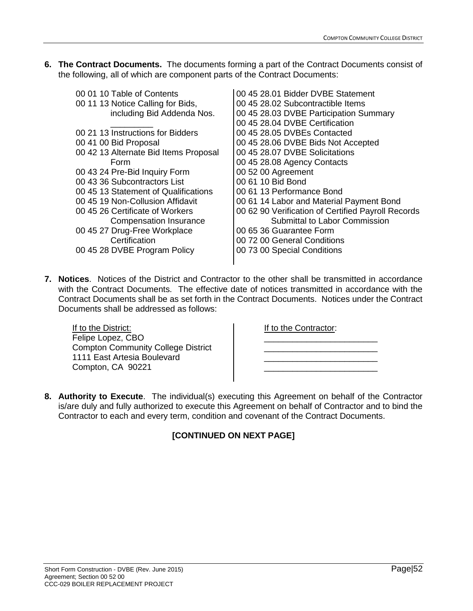- **6. The Contract Documents.** The documents forming a part of the Contract Documents consist of the following, all of which are component parts of the Contract Documents:
	- 00 01 10 Table of Contents 00 11 13 Notice Calling for Bids, including Bid Addenda Nos. \_\_\_\_\_\_\_\_\_ 00 21 13 Instructions for Bidders 00 41 00 Bid Proposal 00 42 13 Alternate Bid Items Proposal Form 00 43 24 Pre-Bid Inquiry Form 00 43 36 Subcontractors List 00 45 13 Statement of Qualifications 00 45 19 Non-Collusion Affidavit 00 45 26 Certificate of Workers Compensation Insurance 00 45 27 Drug-Free Workplace **Certification** 00 45 28 DVBE Program Policy 00 45 28.01 Bidder DVBE Statement 00 45 28.02 Subcontractible Items 00 45 28.03 DVBE Participation Summary 00 45 28.04 DVBE Certification 00 45 28.05 DVBEs Contacted 00 45 28.06 DVBE Bids Not Accepted 00 45 28.07 DVBE Solicitations 00 45 28.08 Agency Contacts 00 52 00 Agreement 00 61 10 Bid Bond 00 61 13 Performance Bond 00 61 14 Labor and Material Payment Bond 00 62 90 Verification of Certified Payroll Records Submittal to Labor Commission 00 65 36 Guarantee Form 00 72 00 General Conditions 00 73 00 Special Conditions
- **7. Notices**. Notices of the District and Contractor to the other shall be transmitted in accordance with the Contract Documents. The effective date of notices transmitted in accordance with the Contract Documents shall be as set forth in the Contract Documents. Notices under the Contract Documents shall be addressed as follows:

| If to the Contractor: |
|-----------------------|
|                       |
|                       |
|                       |
|                       |
|                       |

**8. Authority to Execute**. The individual(s) executing this Agreement on behalf of the Contractor is/are duly and fully authorized to execute this Agreement on behalf of Contractor and to bind the Contractor to each and every term, condition and covenant of the Contract Documents.

# **[CONTINUED ON NEXT PAGE]**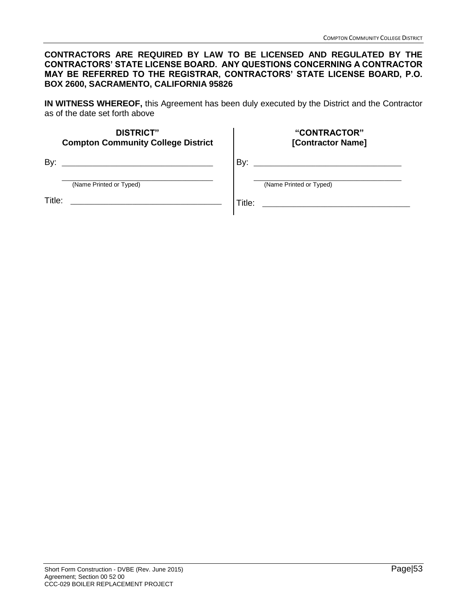### **CONTRACTORS ARE REQUIRED BY LAW TO BE LICENSED AND REGULATED BY THE CONTRACTORS' STATE LICENSE BOARD. ANY QUESTIONS CONCERNING A CONTRACTOR MAY BE REFERRED TO THE REGISTRAR, CONTRACTORS' STATE LICENSE BOARD, P.O. BOX 2600, SACRAMENTO, CALIFORNIA 95826**

**IN WITNESS WHEREOF,** this Agreement has been duly executed by the District and the Contractor as of the date set forth above

| <b>DISTRICT"</b>                                                                   | "CONTRACTOR"                                                                                                          |
|------------------------------------------------------------------------------------|-----------------------------------------------------------------------------------------------------------------------|
| <b>Compton Community College District</b>                                          | [Contractor Name]                                                                                                     |
| By:                                                                                | By:                                                                                                                   |
|                                                                                    | <u> 1980 - Johann Barbara, martin amerikan basal dan berasal dalam basal dalam basal dalam basal dalam basal dala</u> |
| (Name Printed or Typed)<br>Title:<br><u> 1980 - Andrea Andrew Maria (h. 1980).</u> | (Name Printed or Typed)                                                                                               |
|                                                                                    |                                                                                                                       |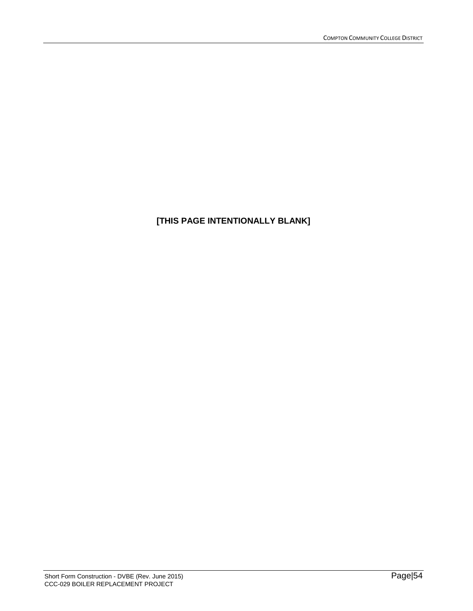# **[THIS PAGE INTENTIONALLY BLANK]**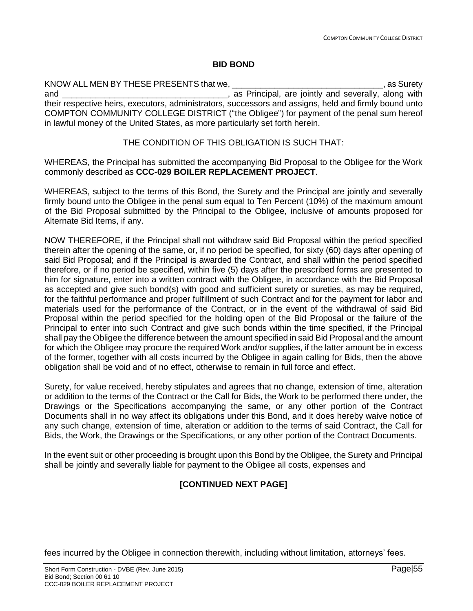### **BID BOND**

KNOW ALL MEN BY THESE PRESENTS that we, \_\_\_\_\_\_\_\_\_\_\_\_\_\_\_\_\_\_\_\_\_\_\_\_\_\_\_\_\_\_\_\_\_, as Surety and \_\_\_\_\_\_\_\_\_\_\_\_\_\_\_\_\_\_\_\_\_\_\_\_\_\_\_\_\_\_\_\_\_\_\_, as Principal, are jointly and severally, along with their respective heirs, executors, administrators, successors and assigns, held and firmly bound unto COMPTON COMMUNITY COLLEGE DISTRICT ("the Obligee") for payment of the penal sum hereof in lawful money of the United States, as more particularly set forth herein.

### THE CONDITION OF THIS OBLIGATION IS SUCH THAT:

WHEREAS, the Principal has submitted the accompanying Bid Proposal to the Obligee for the Work commonly described as **CCC-029 BOILER REPLACEMENT PROJECT**.

WHEREAS, subject to the terms of this Bond, the Surety and the Principal are jointly and severally firmly bound unto the Obligee in the penal sum equal to Ten Percent (10%) of the maximum amount of the Bid Proposal submitted by the Principal to the Obligee, inclusive of amounts proposed for Alternate Bid Items, if any.

NOW THEREFORE, if the Principal shall not withdraw said Bid Proposal within the period specified therein after the opening of the same, or, if no period be specified, for sixty (60) days after opening of said Bid Proposal; and if the Principal is awarded the Contract, and shall within the period specified therefore, or if no period be specified, within five (5) days after the prescribed forms are presented to him for signature, enter into a written contract with the Obligee, in accordance with the Bid Proposal as accepted and give such bond(s) with good and sufficient surety or sureties, as may be required, for the faithful performance and proper fulfillment of such Contract and for the payment for labor and materials used for the performance of the Contract, or in the event of the withdrawal of said Bid Proposal within the period specified for the holding open of the Bid Proposal or the failure of the Principal to enter into such Contract and give such bonds within the time specified, if the Principal shall pay the Obligee the difference between the amount specified in said Bid Proposal and the amount for which the Obligee may procure the required Work and/or supplies, if the latter amount be in excess of the former, together with all costs incurred by the Obligee in again calling for Bids, then the above obligation shall be void and of no effect, otherwise to remain in full force and effect.

Surety, for value received, hereby stipulates and agrees that no change, extension of time, alteration or addition to the terms of the Contract or the Call for Bids, the Work to be performed there under, the Drawings or the Specifications accompanying the same, or any other portion of the Contract Documents shall in no way affect its obligations under this Bond, and it does hereby waive notice of any such change, extension of time, alteration or addition to the terms of said Contract, the Call for Bids, the Work, the Drawings or the Specifications, or any other portion of the Contract Documents.

In the event suit or other proceeding is brought upon this Bond by the Obligee, the Surety and Principal shall be jointly and severally liable for payment to the Obligee all costs, expenses and

# **[CONTINUED NEXT PAGE]**

fees incurred by the Obligee in connection therewith, including without limitation, attorneys' fees.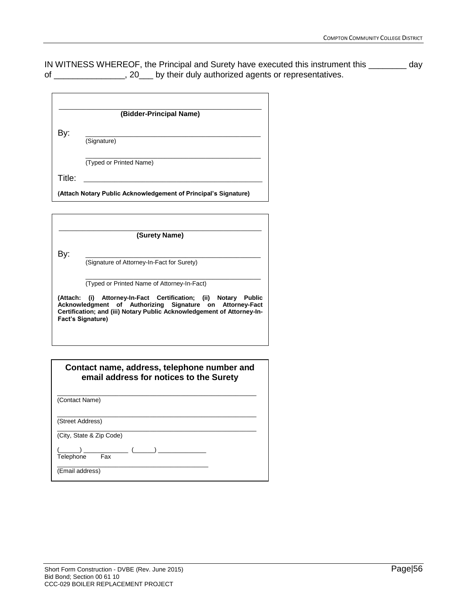IN WITNESS WHEREOF, the Principal and Surety have executed this instrument this \_\_\_\_\_\_\_\_ day of \_\_\_\_\_\_\_\_\_\_\_\_\_\_\_, 20\_\_\_ by their duly authorized agents or representatives.

|        | (Bidder-Principal Name)                                         |
|--------|-----------------------------------------------------------------|
| By:    |                                                                 |
|        | (Signature)                                                     |
|        | (Typed or Printed Name)                                         |
| Title: |                                                                 |
|        | (Attach Notary Public Acknowledgement of Principal's Signature) |

| (Surety Name)                                                                                                                                                                                                                               |
|---------------------------------------------------------------------------------------------------------------------------------------------------------------------------------------------------------------------------------------------|
|                                                                                                                                                                                                                                             |
| (Signature of Attorney-In-Fact for Surety)                                                                                                                                                                                                  |
| (Typed or Printed Name of Attorney-In-Fact)                                                                                                                                                                                                 |
| (Attach: (i) Attorney-In-Fact Certification; (ii) Notary<br><b>Public</b><br>Acknowledgment of Authorizing Signature on Attorney-Fact<br>Certification; and (iii) Notary Public Acknowledgement of Attorney-In-<br><b>Fact's Signature)</b> |

| Contact name, address, telephone number and<br>email address for notices to the Surety |  |
|----------------------------------------------------------------------------------------|--|
| (Contact Name)                                                                         |  |
| (Street Address)                                                                       |  |
| (City, State & Zip Code)                                                               |  |
| Telephone<br>Fax                                                                       |  |
| (Email address)                                                                        |  |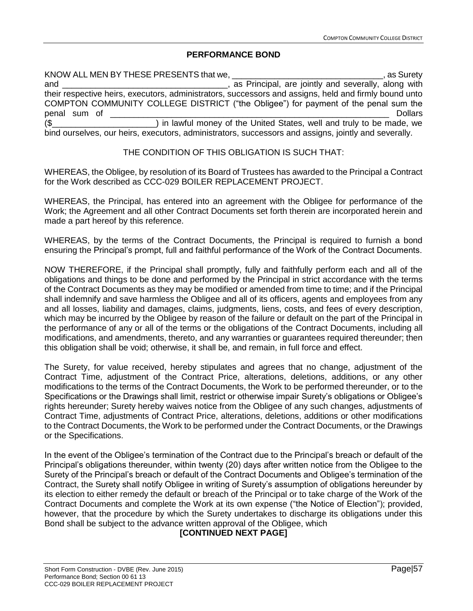#### **PERFORMANCE BOND**

KNOW ALL MEN BY THESE PRESENTS that we, the contract of the contract of the contract of the contract of the contra and \_\_\_\_\_\_\_\_\_\_\_\_\_\_\_\_\_\_\_\_\_\_\_\_\_\_\_\_\_\_\_\_\_\_\_, as Principal, are jointly and severally, along with their respective heirs, executors, administrators, successors and assigns, held and firmly bound unto COMPTON COMMUNITY COLLEGE DISTRICT ("the Obligee") for payment of the penal sum the penal sum of **Dollars** (\$\_\_\_\_\_\_\_\_\_\_\_\_\_\_\_\_\_\_\_\_\_\_) in lawful money of the United States, well and truly to be made, we bind ourselves, our heirs, executors, administrators, successors and assigns, jointly and severally.

## THE CONDITION OF THIS OBLIGATION IS SUCH THAT:

WHEREAS, the Obligee, by resolution of its Board of Trustees has awarded to the Principal a Contract for the Work described as CCC-029 BOILER REPLACEMENT PROJECT.

WHEREAS, the Principal, has entered into an agreement with the Obligee for performance of the Work; the Agreement and all other Contract Documents set forth therein are incorporated herein and made a part hereof by this reference.

WHEREAS, by the terms of the Contract Documents, the Principal is required to furnish a bond ensuring the Principal's prompt, full and faithful performance of the Work of the Contract Documents.

NOW THEREFORE, if the Principal shall promptly, fully and faithfully perform each and all of the obligations and things to be done and performed by the Principal in strict accordance with the terms of the Contract Documents as they may be modified or amended from time to time; and if the Principal shall indemnify and save harmless the Obligee and all of its officers, agents and employees from any and all losses, liability and damages, claims, judgments, liens, costs, and fees of every description, which may be incurred by the Obligee by reason of the failure or default on the part of the Principal in the performance of any or all of the terms or the obligations of the Contract Documents, including all modifications, and amendments, thereto, and any warranties or guarantees required thereunder; then this obligation shall be void; otherwise, it shall be, and remain, in full force and effect.

The Surety, for value received, hereby stipulates and agrees that no change, adjustment of the Contract Time, adjustment of the Contract Price, alterations, deletions, additions, or any other modifications to the terms of the Contract Documents, the Work to be performed thereunder, or to the Specifications or the Drawings shall limit, restrict or otherwise impair Surety's obligations or Obligee's rights hereunder; Surety hereby waives notice from the Obligee of any such changes, adjustments of Contract Time, adjustments of Contract Price, alterations, deletions, additions or other modifications to the Contract Documents, the Work to be performed under the Contract Documents, or the Drawings or the Specifications.

In the event of the Obligee's termination of the Contract due to the Principal's breach or default of the Principal's obligations thereunder, within twenty (20) days after written notice from the Obligee to the Surety of the Principal's breach or default of the Contract Documents and Obligee's termination of the Contract, the Surety shall notify Obligee in writing of Surety's assumption of obligations hereunder by its election to either remedy the default or breach of the Principal or to take charge of the Work of the Contract Documents and complete the Work at its own expense ("the Notice of Election"); provided, however, that the procedure by which the Surety undertakes to discharge its obligations under this Bond shall be subject to the advance written approval of the Obligee, which

## **[CONTINUED NEXT PAGE]**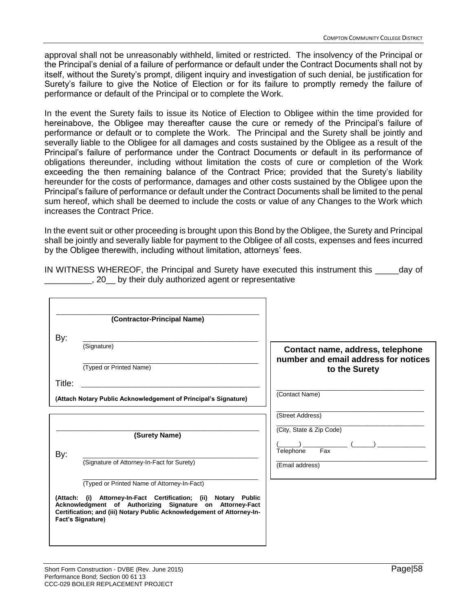approval shall not be unreasonably withheld, limited or restricted. The insolvency of the Principal or the Principal's denial of a failure of performance or default under the Contract Documents shall not by itself, without the Surety's prompt, diligent inquiry and investigation of such denial, be justification for Surety's failure to give the Notice of Election or for its failure to promptly remedy the failure of performance or default of the Principal or to complete the Work.

In the event the Surety fails to issue its Notice of Election to Obligee within the time provided for hereinabove, the Obligee may thereafter cause the cure or remedy of the Principal's failure of performance or default or to complete the Work. The Principal and the Surety shall be jointly and severally liable to the Obligee for all damages and costs sustained by the Obligee as a result of the Principal's failure of performance under the Contract Documents or default in its performance of obligations thereunder, including without limitation the costs of cure or completion of the Work exceeding the then remaining balance of the Contract Price; provided that the Surety's liability hereunder for the costs of performance, damages and other costs sustained by the Obligee upon the Principal's failure of performance or default under the Contract Documents shall be limited to the penal sum hereof, which shall be deemed to include the costs or value of any Changes to the Work which increases the Contract Price.

In the event suit or other proceeding is brought upon this Bond by the Obligee, the Surety and Principal shall be jointly and severally liable for payment to the Obligee of all costs, expenses and fees incurred by the Obligee therewith, including without limitation, attorneys' fees.

IN WITNESS WHEREOF, the Principal and Surety have executed this instrument this \_\_\_\_\_day of <sub>1,</sub> 20<sub>,</sub> by their duly authorized agent or representative

|          | (Contractor-Principal Name)                                                                                                                                                                                                 |                                                                          |
|----------|-----------------------------------------------------------------------------------------------------------------------------------------------------------------------------------------------------------------------------|--------------------------------------------------------------------------|
| By:      |                                                                                                                                                                                                                             |                                                                          |
|          | (Signature)                                                                                                                                                                                                                 | Contact name, address, telephone<br>number and email address for notices |
|          | (Typed or Printed Name)                                                                                                                                                                                                     | to the Surety                                                            |
| Title:   |                                                                                                                                                                                                                             |                                                                          |
|          | (Attach Notary Public Acknowledgement of Principal's Signature)                                                                                                                                                             | (Contact Name)                                                           |
|          |                                                                                                                                                                                                                             | (Street Address)                                                         |
|          | (Surety Name)                                                                                                                                                                                                               | (City, State & Zip Code)<br>Fax<br>Telephone                             |
| By:      | (Signature of Attorney-In-Fact for Surety)                                                                                                                                                                                  | (Email address)                                                          |
|          | (Typed or Printed Name of Attorney-In-Fact)                                                                                                                                                                                 |                                                                          |
| (Attach: | (i) Attorney-In-Fact Certification; (ii)<br>Notary Public<br>Acknowledgment of Authorizing Signature on Attorney-Fact<br>Certification; and (iii) Notary Public Acknowledgement of Attorney-In-<br><b>Fact's Signature)</b> |                                                                          |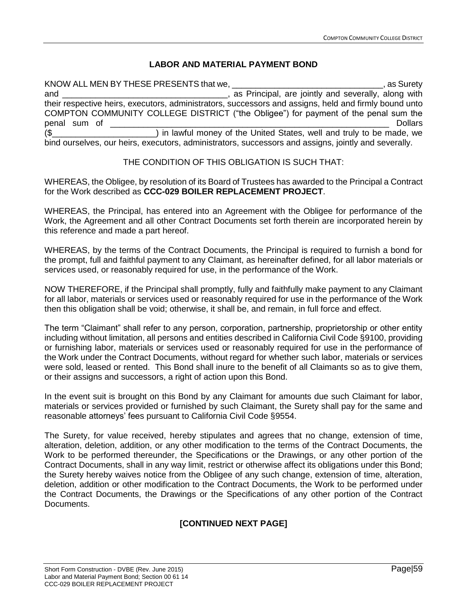# **LABOR AND MATERIAL PAYMENT BOND**

KNOW ALL MEN BY THESE PRESENTS that we, \_\_\_\_\_\_\_\_\_\_\_\_\_\_\_\_\_\_\_\_\_\_\_\_\_\_\_\_\_\_\_\_\_, as Surety and \_\_\_\_\_\_\_\_\_\_\_\_\_\_\_\_\_\_\_\_\_\_\_\_\_\_\_\_\_\_\_\_\_\_\_, as Principal, are jointly and severally, along with their respective heirs, executors, administrators, successors and assigns, held and firmly bound unto COMPTON COMMUNITY COLLEGE DISTRICT ("the Obligee") for payment of the penal sum the penal sum of **Dollars** (\$\_\_\_\_\_\_\_\_\_\_\_\_\_\_\_\_\_\_\_\_\_\_) in lawful money of the United States, well and truly to be made, we bind ourselves, our heirs, executors, administrators, successors and assigns, jointly and severally.

# THE CONDITION OF THIS OBLIGATION IS SUCH THAT:

WHEREAS, the Obligee, by resolution of its Board of Trustees has awarded to the Principal a Contract for the Work described as **CCC-029 BOILER REPLACEMENT PROJECT**.

WHEREAS, the Principal, has entered into an Agreement with the Obligee for performance of the Work, the Agreement and all other Contract Documents set forth therein are incorporated herein by this reference and made a part hereof.

WHEREAS, by the terms of the Contract Documents, the Principal is required to furnish a bond for the prompt, full and faithful payment to any Claimant, as hereinafter defined, for all labor materials or services used, or reasonably required for use, in the performance of the Work.

NOW THEREFORE, if the Principal shall promptly, fully and faithfully make payment to any Claimant for all labor, materials or services used or reasonably required for use in the performance of the Work then this obligation shall be void; otherwise, it shall be, and remain, in full force and effect.

The term "Claimant" shall refer to any person, corporation, partnership, proprietorship or other entity including without limitation, all persons and entities described in California Civil Code §9100, providing or furnishing labor, materials or services used or reasonably required for use in the performance of the Work under the Contract Documents, without regard for whether such labor, materials or services were sold, leased or rented. This Bond shall inure to the benefit of all Claimants so as to give them, or their assigns and successors, a right of action upon this Bond.

In the event suit is brought on this Bond by any Claimant for amounts due such Claimant for labor, materials or services provided or furnished by such Claimant, the Surety shall pay for the same and reasonable attorneys' fees pursuant to California Civil Code §9554.

The Surety, for value received, hereby stipulates and agrees that no change, extension of time, alteration, deletion, addition, or any other modification to the terms of the Contract Documents, the Work to be performed thereunder, the Specifications or the Drawings, or any other portion of the Contract Documents, shall in any way limit, restrict or otherwise affect its obligations under this Bond; the Surety hereby waives notice from the Obligee of any such change, extension of time, alteration, deletion, addition or other modification to the Contract Documents, the Work to be performed under the Contract Documents, the Drawings or the Specifications of any other portion of the Contract Documents.

# **[CONTINUED NEXT PAGE]**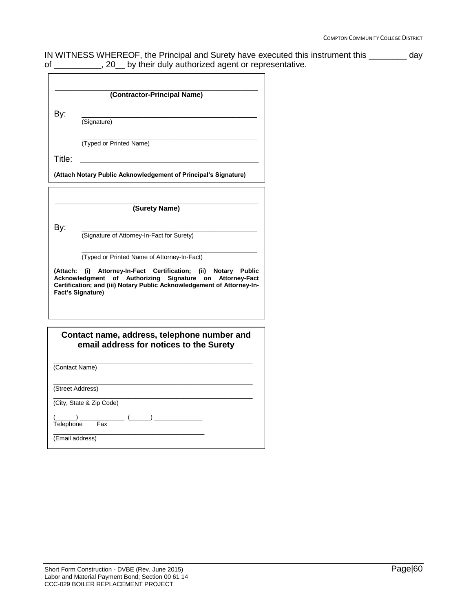|    |  | IN WITNESS WHEREOF, the Principal and Surety have executed this instrument this |  |  | day |
|----|--|---------------------------------------------------------------------------------|--|--|-----|
| of |  | , 20 by their duly authorized agent or representative.                          |  |  |     |

|                                                                                                                                                                                                                                      | (Contractor-Principal Name)                                     |  |  |  |  |
|--------------------------------------------------------------------------------------------------------------------------------------------------------------------------------------------------------------------------------------|-----------------------------------------------------------------|--|--|--|--|
|                                                                                                                                                                                                                                      |                                                                 |  |  |  |  |
| By:                                                                                                                                                                                                                                  |                                                                 |  |  |  |  |
|                                                                                                                                                                                                                                      | (Signature)                                                     |  |  |  |  |
|                                                                                                                                                                                                                                      |                                                                 |  |  |  |  |
|                                                                                                                                                                                                                                      | (Typed or Printed Name)                                         |  |  |  |  |
| Title:                                                                                                                                                                                                                               |                                                                 |  |  |  |  |
|                                                                                                                                                                                                                                      |                                                                 |  |  |  |  |
|                                                                                                                                                                                                                                      | (Attach Notary Public Acknowledgement of Principal's Signature) |  |  |  |  |
|                                                                                                                                                                                                                                      |                                                                 |  |  |  |  |
|                                                                                                                                                                                                                                      |                                                                 |  |  |  |  |
|                                                                                                                                                                                                                                      | (Surety Name)                                                   |  |  |  |  |
|                                                                                                                                                                                                                                      |                                                                 |  |  |  |  |
| By:                                                                                                                                                                                                                                  | (Signature of Attorney-In-Fact for Surety)                      |  |  |  |  |
|                                                                                                                                                                                                                                      |                                                                 |  |  |  |  |
|                                                                                                                                                                                                                                      | (Typed or Printed Name of Attorney-In-Fact)                     |  |  |  |  |
| Attorney-In-Fact Certification; (ii) Notary Public<br>(Attach: (i)<br>Acknowledgment of Authorizing Signature on Attorney-Fact<br>Certification; and (iii) Notary Public Acknowledgement of Attorney-In-<br><b>Fact's Signature)</b> |                                                                 |  |  |  |  |
| Contact name, address, telephone number and<br>email address for notices to the Surety                                                                                                                                               |                                                                 |  |  |  |  |
| (Contact Name)                                                                                                                                                                                                                       |                                                                 |  |  |  |  |
| (Street Address)                                                                                                                                                                                                                     |                                                                 |  |  |  |  |
|                                                                                                                                                                                                                                      | (City, State & Zip Code)                                        |  |  |  |  |
| $(\_\_\_\_)$                                                                                                                                                                                                                         |                                                                 |  |  |  |  |
| Telephone                                                                                                                                                                                                                            | Fax                                                             |  |  |  |  |
| (Email address)                                                                                                                                                                                                                      |                                                                 |  |  |  |  |
|                                                                                                                                                                                                                                      |                                                                 |  |  |  |  |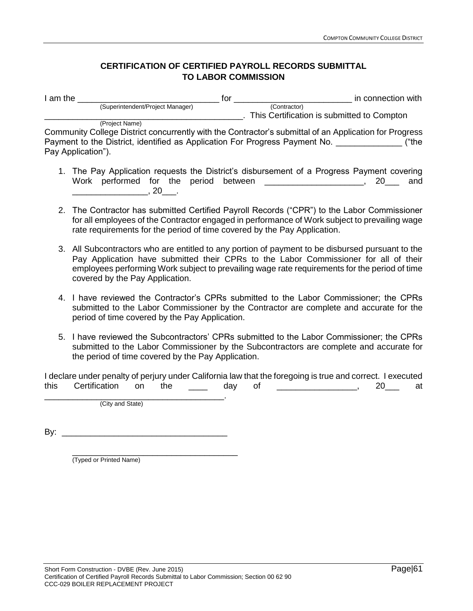# **CERTIFICATION OF CERTIFIED PAYROLL RECORDS SUBMITTAL TO LABOR COMMISSION**

| ! am the |                                  | tor |                                            | in connection with |
|----------|----------------------------------|-----|--------------------------------------------|--------------------|
|          | (Superintendent/Project Manager) |     | (Contractor)                               |                    |
|          |                                  |     | This Certification is submitted to Compton |                    |
|          | (Project Name)                   |     |                                            |                    |

Community College District concurrently with the Contractor's submittal of an Application for Progress Payment to the District, identified as Application For Progress Payment No. \_\_\_\_\_\_\_\_\_\_\_\_\_\_ ("the Pay Application").

- 1. The Pay Application requests the District's disbursement of a Progress Payment covering Work performed for the period between \_\_\_\_\_\_\_\_\_\_\_\_\_\_\_\_\_\_, 20\_\_\_ and  $\overline{\phantom{a}}$ , 20 $\overline{\phantom{a}}$ .
- 2. The Contractor has submitted Certified Payroll Records ("CPR") to the Labor Commissioner for all employees of the Contractor engaged in performance of Work subject to prevailing wage rate requirements for the period of time covered by the Pay Application.
- 3. All Subcontractors who are entitled to any portion of payment to be disbursed pursuant to the Pay Application have submitted their CPRs to the Labor Commissioner for all of their employees performing Work subject to prevailing wage rate requirements for the period of time covered by the Pay Application.
- 4. I have reviewed the Contractor's CPRs submitted to the Labor Commissioner; the CPRs submitted to the Labor Commissioner by the Contractor are complete and accurate for the period of time covered by the Pay Application.
- 5. I have reviewed the Subcontractors' CPRs submitted to the Labor Commissioner; the CPRs submitted to the Labor Commissioner by the Subcontractors are complete and accurate for the period of time covered by the Pay Application.

|      |                                          |  |                             |     | I declare under penalty of perjury under California law that the foregoing is true and correct. I executed |    |
|------|------------------------------------------|--|-----------------------------|-----|------------------------------------------------------------------------------------------------------------|----|
| this | Certification on the                     |  | <u> 1999 - Jan Jan Jawa</u> | dav |                                                                                                            | at |
|      | (C <sub>th</sub> , and C <sub>th</sub> ) |  |                             |     |                                                                                                            |    |

(City and State)

By: \_\_\_\_\_\_\_\_\_\_\_\_\_\_\_\_\_\_\_\_\_\_\_\_\_\_\_\_\_\_\_\_\_\_\_

\_\_\_\_\_\_\_\_\_\_\_\_\_\_\_\_\_\_\_\_\_\_\_\_\_\_\_\_\_\_\_\_\_\_\_ (Typed or Printed Name)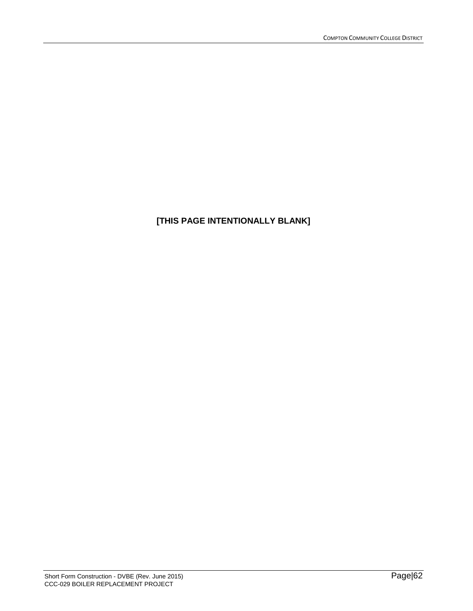# **[THIS PAGE INTENTIONALLY BLANK]**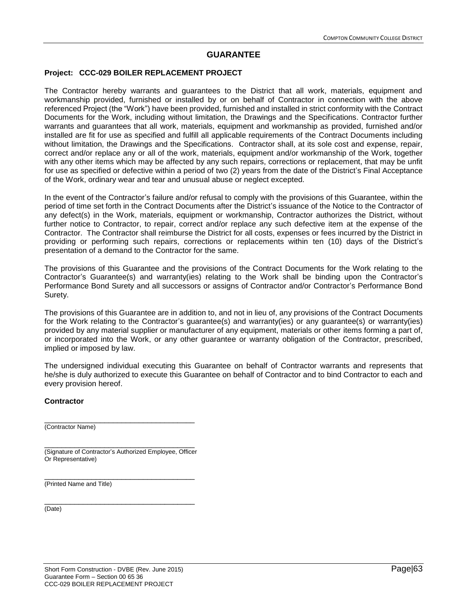#### **GUARANTEE**

#### **Project: CCC-029 BOILER REPLACEMENT PROJECT**

The Contractor hereby warrants and guarantees to the District that all work, materials, equipment and workmanship provided, furnished or installed by or on behalf of Contractor in connection with the above referenced Project (the "Work") have been provided, furnished and installed in strict conformity with the Contract Documents for the Work, including without limitation, the Drawings and the Specifications. Contractor further warrants and guarantees that all work, materials, equipment and workmanship as provided, furnished and/or installed are fit for use as specified and fulfill all applicable requirements of the Contract Documents including without limitation, the Drawings and the Specifications. Contractor shall, at its sole cost and expense, repair, correct and/or replace any or all of the work, materials, equipment and/or workmanship of the Work, together with any other items which may be affected by any such repairs, corrections or replacement, that may be unfit for use as specified or defective within a period of two (2) years from the date of the District's Final Acceptance of the Work, ordinary wear and tear and unusual abuse or neglect excepted.

In the event of the Contractor's failure and/or refusal to comply with the provisions of this Guarantee, within the period of time set forth in the Contract Documents after the District's issuance of the Notice to the Contractor of any defect(s) in the Work, materials, equipment or workmanship, Contractor authorizes the District, without further notice to Contractor, to repair, correct and/or replace any such defective item at the expense of the Contractor. The Contractor shall reimburse the District for all costs, expenses or fees incurred by the District in providing or performing such repairs, corrections or replacements within ten (10) days of the District's presentation of a demand to the Contractor for the same.

The provisions of this Guarantee and the provisions of the Contract Documents for the Work relating to the Contractor's Guarantee(s) and warranty(ies) relating to the Work shall be binding upon the Contractor's Performance Bond Surety and all successors or assigns of Contractor and/or Contractor's Performance Bond Surety.

The provisions of this Guarantee are in addition to, and not in lieu of, any provisions of the Contract Documents for the Work relating to the Contractor's guarantee(s) and warranty(ies) or any guarantee(s) or warranty(ies) provided by any material supplier or manufacturer of any equipment, materials or other items forming a part of, or incorporated into the Work, or any other guarantee or warranty obligation of the Contractor, prescribed, implied or imposed by law.

The undersigned individual executing this Guarantee on behalf of Contractor warrants and represents that he/she is duly authorized to execute this Guarantee on behalf of Contractor and to bind Contractor to each and every provision hereof.

#### **Contractor**

\_\_\_\_\_\_\_\_\_\_\_\_\_\_\_\_\_\_\_\_\_\_\_\_\_\_\_\_\_\_\_\_\_\_\_ (Contractor Name)

\_\_\_\_\_\_\_\_\_\_\_\_\_\_\_\_\_\_\_\_\_\_\_\_\_\_\_\_\_\_\_\_\_\_\_ (Signature of Contractor's Authorized Employee, Officer Or Representative)

\_\_\_\_\_\_\_\_\_\_\_\_\_\_\_\_\_\_\_\_\_\_\_\_\_\_\_\_\_\_\_\_\_\_\_

\_\_\_\_\_\_\_\_\_\_\_\_\_\_\_\_\_\_\_\_\_\_\_\_\_\_\_\_\_\_\_\_\_\_\_

(Printed Name and Title)

(Date)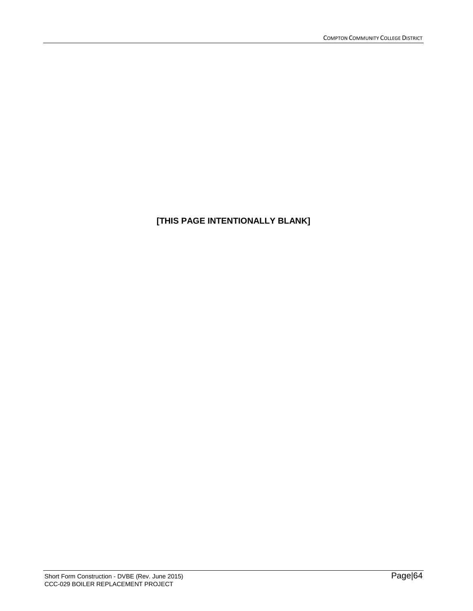# **[THIS PAGE INTENTIONALLY BLANK]**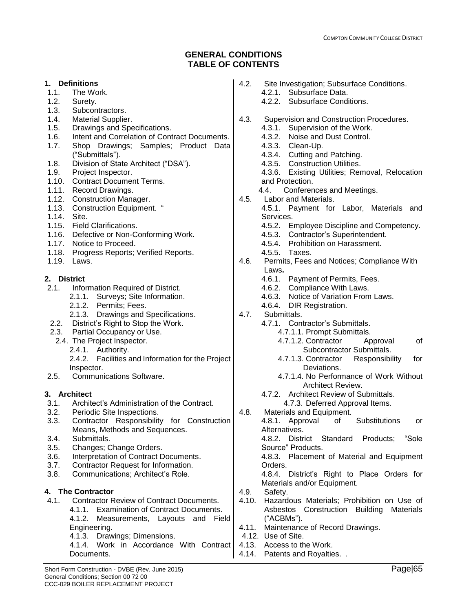# **GENERAL CONDITIONS TABLE OF CONTENTS**

| 1. | <b>Definitions</b> |
|----|--------------------|
|    |                    |

- 1.1. The Work.
- 1.2. Surety.
- 1.3. Subcontractors.
- 1.4. Material Supplier.
- 1.5. Drawings and Specifications.
- 1.6. Intent and Correlation of Contract Documents. 1.7. Shop Drawings; Samples; Product Data
- ("Submittals").
- 1.8. Division of State Architect ("DSA").
- 1.9. Project Inspector.
- 1.10. Contract Document Terms.
- 1.11. Record Drawings.
- 1.12. Construction Manager.
- 1.13. Construction Equipment. "
- 1.14. Site.
- 1.15. Field Clarifications.
- 1.16. Defective or Non-Conforming Work.
- 1.17. Notice to Proceed.
- 1.18. Progress Reports; Verified Reports.
- 1.19. Laws.

## **2. District**

- 2.1. Information Required of District.
	- 2.1.1. Surveys; Site Information.
		- 2.1.2. Permits; Fees.
	- 2.1.3. Drawings and Specifications.
- 2.2. District's Right to Stop the Work.
- 2.3. Partial Occupancy or Use.
	- 2.4. The Project Inspector.
		- 2.4.1. Authority.
		- 2.4.2. Facilities and Information for the Project Inspector.
- 2.5. Communications Software.

## **3. Architect**

- 3.1. Architect's Administration of the Contract.
- 3.2. Periodic Site Inspections.
- 3.3. Contractor Responsibility for Construction Means, Methods and Sequences.
- 3.4. Submittals.
- 3.5. Changes; Change Orders.
- 3.6. Interpretation of Contract Documents.
- 3.7. Contractor Request for Information.
- 3.8. Communications; Architect's Role.

# **4. The Contractor**

- 4.1. Contractor Review of Contract Documents.
	- 4.1.1. Examination of Contract Documents.
	- 4.1.2. Measurements, Layouts and Field Engineering.
	- 4.1.3. Drawings; Dimensions.
	- 4.1.4. Work in Accordance With Contract Documents.
- 4.2. Site Investigation; Subsurface Conditions. 4.2.1. Subsurface Data. 4.2.2. Subsurface Conditions. 4.3. Supervision and Construction Procedures. 4.3.1. Supervision of the Work. 4.3.2. Noise and Dust Control. 4.3.3. Clean-Up. 4.3.4. Cutting and Patching. 4.3.5. Construction Utilities. 4.3.6. Existing Utilities; Removal, Relocation and Protection. 4.4. Conferences and Meetings. 4.5. Labor and Materials. 4.5.1. Payment for Labor, Materials and Services. 4.5.2. Employee Discipline and Competency. 4.5.3. Contractor's Superintendent. 4.5.4. Prohibition on Harassment. 4.5.5. Taxes. 4.6. Permits, Fees and Notices; Compliance With Laws**.** 4.6.1. Payment of Permits, Fees. 4.6.2. Compliance With Laws. 4.6.3. Notice of Variation From Laws. 4.6.4. DIR Registration. 4.7. Submittals. 4.7.1. Contractor's Submittals. 4.7.1.1. Prompt Submittals. 4.7.1.2. Contractor Approval of Subcontractor Submittals. 4.7.1.3. Contractor Responsibility for Deviations. 4.7.1.4. No Performance of Work Without Architect Review. 4.7.2. Architect Review of Submittals. 4.7.3. Deferred Approval Items. 4.8. Materials and Equipment. 4.8.1. Approval of Substitutions or Alternatives. 4.8.2. District Standard Products; "Sole Source" Products. 4.8.3. Placement of Material and Equipment Orders. 4.8.4. District's Right to Place Orders for Materials and/or Equipment. 4.9. Safety.<br>4.10. Hazard Hazardous Materials; Prohibition on Use of Asbestos Construction Building Materials ("ACBMs").
- 4.11. Maintenance of Record Drawings.
- 4.12. Use of Site.
- 4.13. Access to the Work.
- 4.14. Patents and Royalties. .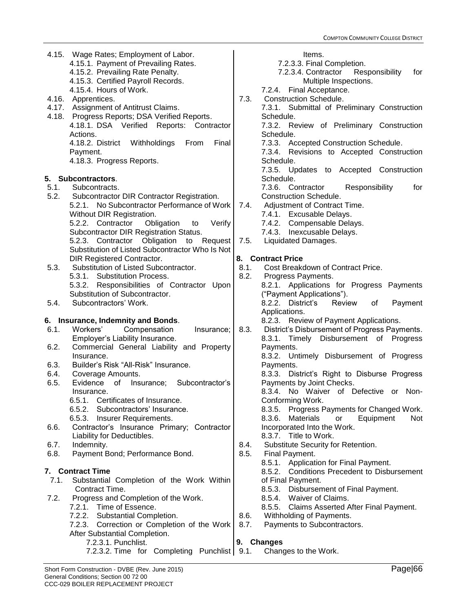| 4.16.<br>4.17. | 4.15. Wage Rates; Employment of Labor.<br>4.15.1. Payment of Prevailing Rates.<br>4.15.2. Prevailing Rate Penalty.<br>4.15.3. Certified Payroll Records.<br>4.15.4. Hours of Work.<br>Apprentices.<br>Assignment of Antitrust Claims. | 7.3. | Items.<br>7.2.3.3. Final Completion.<br>Responsibility<br>7.2.3.4. Contractor<br>for<br>Multiple Inspections.<br>7.2.4. Final Acceptance.<br><b>Construction Schedule.</b><br>7.3.1. Submittal of Preliminary Construction |
|----------------|---------------------------------------------------------------------------------------------------------------------------------------------------------------------------------------------------------------------------------------|------|----------------------------------------------------------------------------------------------------------------------------------------------------------------------------------------------------------------------------|
|                | 4.18. Progress Reports; DSA Verified Reports.<br>4.18.1. DSA Verified Reports: Contractor                                                                                                                                             |      | Schedule.<br>7.3.2. Review of Preliminary Construction                                                                                                                                                                     |
|                | Actions.<br>4.18.2. District<br>Withholdings<br>Final<br>From                                                                                                                                                                         |      | Schedule.<br>7.3.3. Accepted Construction Schedule.                                                                                                                                                                        |
|                | Payment.                                                                                                                                                                                                                              |      | 7.3.4. Revisions to Accepted Construction                                                                                                                                                                                  |
|                | 4.18.3. Progress Reports.                                                                                                                                                                                                             |      | Schedule.                                                                                                                                                                                                                  |
|                | 5. Subcontractors.                                                                                                                                                                                                                    |      | 7.3.5. Updates to Accepted Construction<br>Schedule.                                                                                                                                                                       |
| 5.1.           | Subcontracts.                                                                                                                                                                                                                         |      | 7.3.6. Contractor<br>Responsibility<br>for                                                                                                                                                                                 |
| 5.2.           | Subcontractor DIR Contractor Registration.                                                                                                                                                                                            |      | <b>Construction Schedule.</b>                                                                                                                                                                                              |
|                | 5.2.1. No Subcontractor Performance of Work                                                                                                                                                                                           | 7.4. | Adjustment of Contract Time.                                                                                                                                                                                               |
|                | Without DIR Registration.                                                                                                                                                                                                             |      | 7.4.1. Excusable Delays.                                                                                                                                                                                                   |
|                | Verify<br>5.2.2. Contractor<br>Obligation<br>to<br>Subcontractor DIR Registration Status.                                                                                                                                             |      | 7.4.2. Compensable Delays.<br>7.4.3. Inexcusable Delays.                                                                                                                                                                   |
|                | 5.2.3. Contractor Obligation to<br>Request                                                                                                                                                                                            | 7.5. | Liquidated Damages.                                                                                                                                                                                                        |
|                | Substitution of Listed Subcontractor Who Is Not                                                                                                                                                                                       |      |                                                                                                                                                                                                                            |
|                | <b>DIR Registered Contractor.</b>                                                                                                                                                                                                     |      | 8. Contract Price                                                                                                                                                                                                          |
| 5.3.           | Substitution of Listed Subcontractor.                                                                                                                                                                                                 | 8.1. | Cost Breakdown of Contract Price.                                                                                                                                                                                          |
|                | 5.3.1. Substitution Process.<br>5.3.2. Responsibilities of Contractor Upon                                                                                                                                                            | 8.2. | Progress Payments.<br>8.2.1. Applications for Progress Payments                                                                                                                                                            |
|                | Substitution of Subcontractor.                                                                                                                                                                                                        |      | ("Payment Applications").                                                                                                                                                                                                  |
| 5.4.           | Subcontractors' Work.                                                                                                                                                                                                                 |      | 8.2.2. District's<br>Review<br>of<br>Payment                                                                                                                                                                               |
|                |                                                                                                                                                                                                                                       |      | Applications.                                                                                                                                                                                                              |
|                | 6. Insurance, Indemnity and Bonds.                                                                                                                                                                                                    |      | 8.2.3. Review of Payment Applications.                                                                                                                                                                                     |
| 6.1.           | Workers'<br>Compensation<br>Insurance;<br>Employer's Liability Insurance.                                                                                                                                                             | 8.3. | District's Disbursement of Progress Payments.<br>8.3.1. Timely Disbursement of Progress                                                                                                                                    |
| 6.2.           | Commercial General Liability and Property                                                                                                                                                                                             |      | Payments.                                                                                                                                                                                                                  |
|                | Insurance.                                                                                                                                                                                                                            |      | 8.3.2. Untimely Disbursement of Progress                                                                                                                                                                                   |
| 6.3.           | Builder's Risk "All-Risk" Insurance.                                                                                                                                                                                                  |      | Payments.                                                                                                                                                                                                                  |
| 6.4.           | Coverage Amounts.                                                                                                                                                                                                                     |      | 8.3.3. District's Right to Disburse Progress                                                                                                                                                                               |
| 6.5.           | Evidence<br>of<br>Insurance;<br>Subcontractor's                                                                                                                                                                                       |      | Payments by Joint Checks.<br>8.3.4. No Waiver of Defective or Non-                                                                                                                                                         |
|                | Insurance<br>6.5.1. Certificates of Insurance.                                                                                                                                                                                        |      | Conforming Work.                                                                                                                                                                                                           |
|                | 6.5.2. Subcontractors' Insurance.                                                                                                                                                                                                     |      | 8.3.5. Progress Payments for Changed Work.                                                                                                                                                                                 |
|                | 6.5.3. Insurer Requirements.                                                                                                                                                                                                          |      | 8.3.6.<br><b>Materials</b><br>Equipment<br><b>Not</b><br>or                                                                                                                                                                |
| 6.6.           | Contractor's Insurance Primary; Contractor                                                                                                                                                                                            |      | Incorporated Into the Work.                                                                                                                                                                                                |
|                | Liability for Deductibles.                                                                                                                                                                                                            | 8.4. | 8.3.7. Title to Work.                                                                                                                                                                                                      |
| 6.7.<br>6.8.   | Indemnity.<br>Payment Bond; Performance Bond.                                                                                                                                                                                         | 8.5. | Substitute Security for Retention.<br>Final Payment.                                                                                                                                                                       |
|                |                                                                                                                                                                                                                                       |      | 8.5.1. Application for Final Payment.                                                                                                                                                                                      |
| 7.             | <b>Contract Time</b>                                                                                                                                                                                                                  |      | 8.5.2. Conditions Precedent to Disbursement                                                                                                                                                                                |
| 7.1.           | Substantial Completion of the Work Within                                                                                                                                                                                             |      | of Final Payment.                                                                                                                                                                                                          |
|                | Contract Time.                                                                                                                                                                                                                        |      | 8.5.3. Disbursement of Final Payment.                                                                                                                                                                                      |
| 7.2.           | Progress and Completion of the Work.<br>Time of Essence.<br>7.2.1.                                                                                                                                                                    |      | 8.5.4. Waiver of Claims.<br>8.5.5. Claims Asserted After Final Payment.                                                                                                                                                    |
|                | 7.2.2. Substantial Completion.                                                                                                                                                                                                        | 8.6. | Withholding of Payments.                                                                                                                                                                                                   |
|                | 7.2.3. Correction or Completion of the Work                                                                                                                                                                                           | 8.7. | Payments to Subcontractors.                                                                                                                                                                                                |
|                | After Substantial Completion.                                                                                                                                                                                                         |      |                                                                                                                                                                                                                            |
|                | 7.2.3.1. Punchlist.                                                                                                                                                                                                                   | 9.   | <b>Changes</b>                                                                                                                                                                                                             |
|                | 7.2.3.2. Time for Completing Punchlist   9.1.                                                                                                                                                                                         |      | Changes to the Work.                                                                                                                                                                                                       |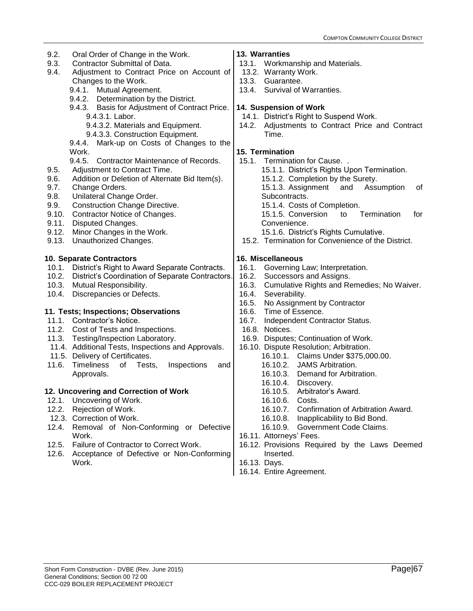- 9.2. Oral Order of Change in the Work.
- 9.3. Contractor Submittal of Data.
- 9.4. Adjustment to Contract Price on Account of Changes to the Work.
	- 9.4.1. Mutual Agreement.
	- 9.4.2. Determination by the District.
	- 9.4.3. Basis for Adjustment of Contract Price. 9.4.3.1. Labor.
		- 9.4.3.2. Materials and Equipment.
		- 9.4.3.3. Construction Equipment.
	- 9.4.4. Mark-up on Costs of Changes to the Work.
	- 9.4.5. Contractor Maintenance of Records.
- 9.5. Adjustment to Contract Time.
- 9.6. Addition or Deletion of Alternate Bid Item(s).
- 9.7. Change Orders.
- 9.8. Unilateral Change Order.
- 9.9. Construction Change Directive.
- 9.10. Contractor Notice of Changes.
- 9.11. Disputed Changes.
- 9.12. Minor Changes in the Work.
- 9.13. Unauthorized Changes.

#### **10. Separate Contractors**

- 10.1. District's Right to Award Separate Contracts.
- 10.2. District's Coordination of Separate Contractors.
- 10.3. Mutual Responsibility.
- 10.4. Discrepancies or Defects.

#### **11. Tests; Inspections; Observations**

- 11.1. Contractor's Notice.
- 11.2. Cost of Tests and Inspections.
- 11.3. Testing/Inspection Laboratory.
- 11.4. Additional Tests, Inspections and Approvals.
- 11.5. Delivery of Certificates.
- 11.6. Timeliness of Tests, Inspections and Approvals.

#### **12. Uncovering and Correction of Work**

- 12.1. Uncovering of Work.
- 12.2. Rejection of Work.
- 12.3. Correction of Work.
- 12.4. Removal of Non-Conforming or Defective Work.
- 12.5. Failure of Contractor to Correct Work.
- 12.6. Acceptance of Defective or Non-Conforming Work.

#### **13. Warranties**

- 13.1. Workmanship and Materials.
- 13.2. Warranty Work.
- 13.3. Guarantee.
- 13.4. Survival of Warranties.

#### **14. Suspension of Work**

- 14.1. District's Right to Suspend Work.
- 14.2. Adjustments to Contract Price and Contract Time.

#### **15. Termination**

- 15.1. Termination for Cause. .
	- 15.1.1. District's Rights Upon Termination.
	- 15.1.2. Completion by the Surety.

15.1.3. Assignment and Assumption of Subcontracts.

15.1.4. Costs of Completion.

15.1.5. Conversion to Termination for Convenience.

- 15.1.6. District's Rights Cumulative.
- 15.2. Termination for Convenience of the District.

#### **16. Miscellaneous**

- 16.1. Governing Law; Interpretation.
- 16.2. Successors and Assigns.
- 16.3. Cumulative Rights and Remedies; No Waiver.
- 16.4. Severability.
- 16.5. No Assignment by Contractor
- 16.6. Time of Essence.
- 16.7. Independent Contractor Status.
- 16.8. Notices.
- 16.9. Disputes; Continuation of Work.
- 16.10. Dispute Resolution; Arbitration.
	- 16.10.1. Claims Under \$375,000.00.
	- 16.10.2. JAMS Arbitration.
	- 16.10.3. Demand for Arbitration.
	- 16.10.4. Discovery.
	- 16.10.5. Arbitrator's Award.
	- 16.10.6. Costs.
	- 16.10.7. Confirmation of Arbitration Award.
	- 16.10.8. Inapplicability to Bid Bond.
	- 16.10.9. Government Code Claims.
- 16.11. Attorneys' Fees.
- 16.12. Provisions Required by the Laws Deemed Inserted.
- 16.13. Days.
- 16.14. Entire Agreement.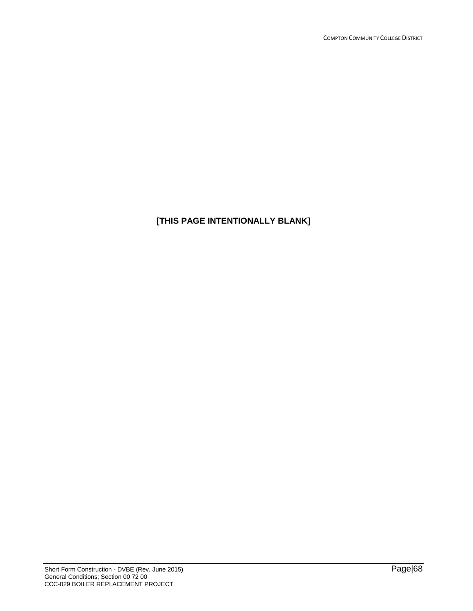# **[THIS PAGE INTENTIONALLY BLANK]**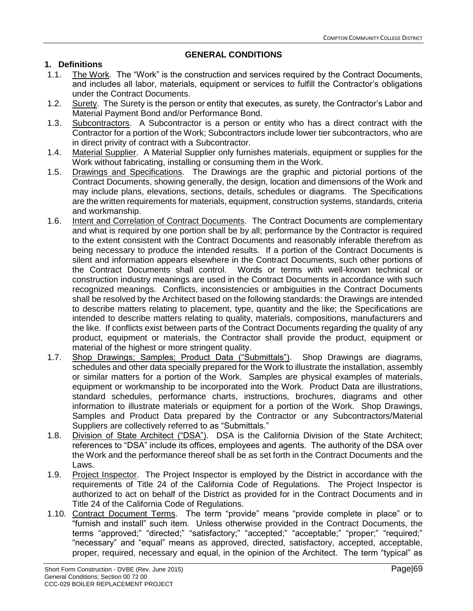# **GENERAL CONDITIONS**

# **1. Definitions**

- 1.1. The Work. The "Work" is the construction and services required by the Contract Documents, and includes all labor, materials, equipment or services to fulfill the Contractor's obligations under the Contract Documents.
- 1.2. Surety. The Surety is the person or entity that executes, as surety, the Contractor's Labor and Material Payment Bond and/or Performance Bond.
- 1.3. Subcontractors. A Subcontractor is a person or entity who has a direct contract with the Contractor for a portion of the Work; Subcontractors include lower tier subcontractors, who are in direct privity of contract with a Subcontractor.
- 1.4. Material Supplier. A Material Supplier only furnishes materials, equipment or supplies for the Work without fabricating, installing or consuming them in the Work.
- 1.5. Drawings and Specifications. The Drawings are the graphic and pictorial portions of the Contract Documents, showing generally, the design, location and dimensions of the Work and may include plans, elevations, sections, details, schedules or diagrams. The Specifications are the written requirements for materials, equipment, construction systems, standards, criteria and workmanship.
- 1.6. Intent and Correlation of Contract Documents. The Contract Documents are complementary and what is required by one portion shall be by all; performance by the Contractor is required to the extent consistent with the Contract Documents and reasonably inferable therefrom as being necessary to produce the intended results. If a portion of the Contract Documents is silent and information appears elsewhere in the Contract Documents, such other portions of the Contract Documents shall control. Words or terms with well-known technical or construction industry meanings are used in the Contract Documents in accordance with such recognized meanings. Conflicts, inconsistencies or ambiguities in the Contract Documents shall be resolved by the Architect based on the following standards: the Drawings are intended to describe matters relating to placement, type, quantity and the like; the Specifications are intended to describe matters relating to quality, materials, compositions, manufacturers and the like. If conflicts exist between parts of the Contract Documents regarding the quality of any product, equipment or materials, the Contractor shall provide the product, equipment or material of the highest or more stringent quality.
- 1.7. Shop Drawings; Samples; Product Data ("Submittals"). Shop Drawings are diagrams, schedules and other data specially prepared for the Work to illustrate the installation, assembly or similar matters for a portion of the Work. Samples are physical examples of materials, equipment or workmanship to be incorporated into the Work. Product Data are illustrations, standard schedules, performance charts, instructions, brochures, diagrams and other information to illustrate materials or equipment for a portion of the Work. Shop Drawings, Samples and Product Data prepared by the Contractor or any Subcontractors/Material Suppliers are collectively referred to as "Submittals."
- 1.8. Division of State Architect ("DSA"). DSA is the California Division of the State Architect; references to "DSA" include its offices, employees and agents. The authority of the DSA over the Work and the performance thereof shall be as set forth in the Contract Documents and the Laws.
- 1.9. Project Inspector. The Project Inspector is employed by the District in accordance with the requirements of Title 24 of the California Code of Regulations. The Project Inspector is authorized to act on behalf of the District as provided for in the Contract Documents and in Title 24 of the California Code of Regulations.
- 1.10. Contract Document Terms. The term "provide" means "provide complete in place" or to "furnish and install" such item. Unless otherwise provided in the Contract Documents, the terms "approved;" "directed;" "satisfactory;" "accepted;" "acceptable;" "proper;" "required;" "necessary" and "equal" means as approved, directed, satisfactory, accepted, acceptable, proper, required, necessary and equal, in the opinion of the Architect. The term "typical" as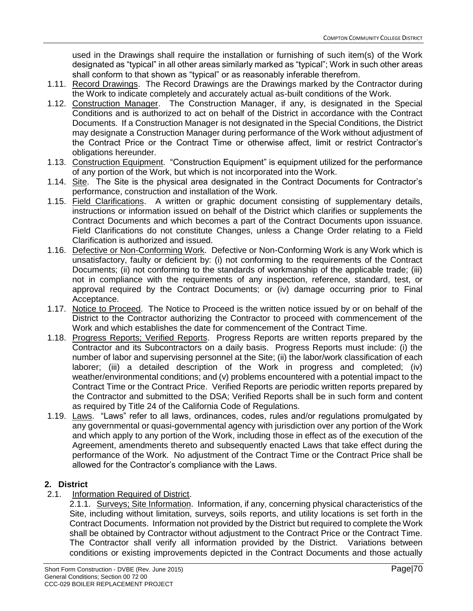used in the Drawings shall require the installation or furnishing of such item(s) of the Work designated as "typical" in all other areas similarly marked as "typical"; Work in such other areas shall conform to that shown as "typical" or as reasonably inferable therefrom.

- 1.11. Record Drawings. The Record Drawings are the Drawings marked by the Contractor during the Work to indicate completely and accurately actual as-built conditions of the Work.
- 1.12. Construction Manager. The Construction Manager, if any, is designated in the Special Conditions and is authorized to act on behalf of the District in accordance with the Contract Documents. If a Construction Manager is not designated in the Special Conditions, the District may designate a Construction Manager during performance of the Work without adjustment of the Contract Price or the Contract Time or otherwise affect, limit or restrict Contractor's obligations hereunder.
- 1.13. Construction Equipment. "Construction Equipment" is equipment utilized for the performance of any portion of the Work, but which is not incorporated into the Work.
- 1.14. Site. The Site is the physical area designated in the Contract Documents for Contractor's performance, construction and installation of the Work.
- 1.15. Field Clarifications. A written or graphic document consisting of supplementary details, instructions or information issued on behalf of the District which clarifies or supplements the Contract Documents and which becomes a part of the Contract Documents upon issuance. Field Clarifications do not constitute Changes, unless a Change Order relating to a Field Clarification is authorized and issued.
- 1.16. Defective or Non-Conforming Work. Defective or Non-Conforming Work is any Work which is unsatisfactory, faulty or deficient by: (i) not conforming to the requirements of the Contract Documents; (ii) not conforming to the standards of workmanship of the applicable trade; (iii) not in compliance with the requirements of any inspection, reference, standard, test, or approval required by the Contract Documents; or (iv) damage occurring prior to Final Acceptance.
- 1.17. Notice to Proceed. The Notice to Proceed is the written notice issued by or on behalf of the District to the Contractor authorizing the Contractor to proceed with commencement of the Work and which establishes the date for commencement of the Contract Time.
- 1.18. Progress Reports; Verified Reports. Progress Reports are written reports prepared by the Contractor and its Subcontractors on a daily basis. Progress Reports must include: (i) the number of labor and supervising personnel at the Site; (ii) the labor/work classification of each laborer; (iii) a detailed description of the Work in progress and completed; (iv) weather/environmental conditions; and (v) problems encountered with a potential impact to the Contract Time or the Contract Price. Verified Reports are periodic written reports prepared by the Contractor and submitted to the DSA; Verified Reports shall be in such form and content as required by Title 24 of the California Code of Regulations.
- 1.19. Laws. "Laws" refer to all laws, ordinances, codes, rules and/or regulations promulgated by any governmental or quasi-governmental agency with jurisdiction over any portion of the Work and which apply to any portion of the Work, including those in effect as of the execution of the Agreement, amendments thereto and subsequently enacted Laws that take effect during the performance of the Work. No adjustment of the Contract Time or the Contract Price shall be allowed for the Contractor's compliance with the Laws.

# **2. District**

- 2.1. Information Required of District.
	- 2.1.1. Surveys; Site Information. Information, if any, concerning physical characteristics of the Site, including without limitation, surveys, soils reports, and utility locations is set forth in the Contract Documents. Information not provided by the District but required to complete the Work shall be obtained by Contractor without adjustment to the Contract Price or the Contract Time. The Contractor shall verify all information provided by the District. Variations between conditions or existing improvements depicted in the Contract Documents and those actually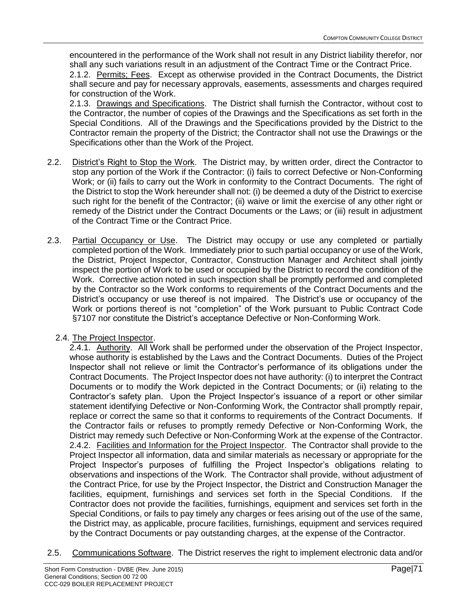encountered in the performance of the Work shall not result in any District liability therefor, nor shall any such variations result in an adjustment of the Contract Time or the Contract Price.

2.1.2. Permits; Fees. Except as otherwise provided in the Contract Documents, the District shall secure and pay for necessary approvals, easements, assessments and charges required for construction of the Work.

2.1.3. Drawings and Specifications. The District shall furnish the Contractor, without cost to the Contractor, the number of copies of the Drawings and the Specifications as set forth in the Special Conditions. All of the Drawings and the Specifications provided by the District to the Contractor remain the property of the District; the Contractor shall not use the Drawings or the Specifications other than the Work of the Project.

- 2.2. District's Right to Stop the Work. The District may, by written order, direct the Contractor to stop any portion of the Work if the Contractor: (i) fails to correct Defective or Non-Conforming Work; or (ii) fails to carry out the Work in conformity to the Contract Documents. The right of the District to stop the Work hereunder shall not: (i) be deemed a duty of the District to exercise such right for the benefit of the Contractor; (ii) waive or limit the exercise of any other right or remedy of the District under the Contract Documents or the Laws; or (iii) result in adjustment of the Contract Time or the Contract Price.
- 2.3. Partial Occupancy or Use. The District may occupy or use any completed or partially completed portion of the Work. Immediately prior to such partial occupancy or use of the Work, the District, Project Inspector, Contractor, Construction Manager and Architect shall jointly inspect the portion of Work to be used or occupied by the District to record the condition of the Work. Corrective action noted in such inspection shall be promptly performed and completed by the Contractor so the Work conforms to requirements of the Contract Documents and the District's occupancy or use thereof is not impaired. The District's use or occupancy of the Work or portions thereof is not "completion" of the Work pursuant to Public Contract Code §7107 nor constitute the District's acceptance Defective or Non-Conforming Work.
	- 2.4. The Project Inspector.

2.4.1. Authority. All Work shall be performed under the observation of the Project Inspector, whose authority is established by the Laws and the Contract Documents. Duties of the Project Inspector shall not relieve or limit the Contractor's performance of its obligations under the Contract Documents. The Project Inspector does not have authority: (i) to interpret the Contract Documents or to modify the Work depicted in the Contract Documents; or (ii) relating to the Contractor's safety plan. Upon the Project Inspector's issuance of a report or other similar statement identifying Defective or Non-Conforming Work, the Contractor shall promptly repair, replace or correct the same so that it conforms to requirements of the Contract Documents. If the Contractor fails or refuses to promptly remedy Defective or Non-Conforming Work, the District may remedy such Defective or Non-Conforming Work at the expense of the Contractor. 2.4.2. Facilities and Information for the Project Inspector. The Contractor shall provide to the Project Inspector all information, data and similar materials as necessary or appropriate for the Project Inspector's purposes of fulfilling the Project Inspector's obligations relating to observations and inspections of the Work. The Contractor shall provide, without adjustment of the Contract Price, for use by the Project Inspector, the District and Construction Manager the facilities, equipment, furnishings and services set forth in the Special Conditions. If the Contractor does not provide the facilities, furnishings, equipment and services set forth in the Special Conditions, or fails to pay timely any charges or fees arising out of the use of the same, the District may, as applicable, procure facilities, furnishings, equipment and services required by the Contract Documents or pay outstanding charges, at the expense of the Contractor.

2.5. Communications Software. The District reserves the right to implement electronic data and/or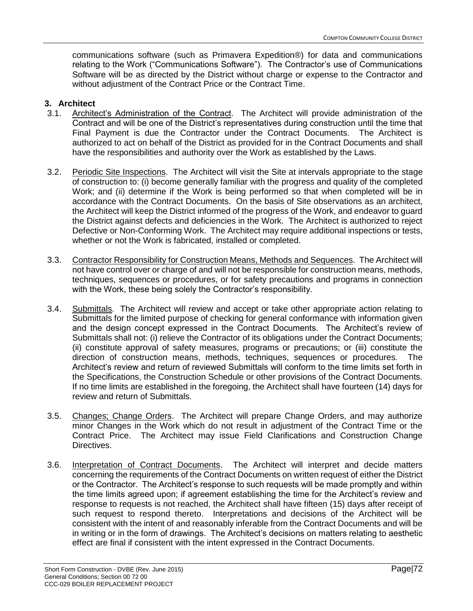communications software (such as Primavera Expedition®) for data and communications relating to the Work ("Communications Software"). The Contractor's use of Communications Software will be as directed by the District without charge or expense to the Contractor and without adjustment of the Contract Price or the Contract Time.

# **3. Architect**

- 3.1. Architect's Administration of the Contract. The Architect will provide administration of the Contract and will be one of the District's representatives during construction until the time that Final Payment is due the Contractor under the Contract Documents. The Architect is authorized to act on behalf of the District as provided for in the Contract Documents and shall have the responsibilities and authority over the Work as established by the Laws.
- 3.2. Periodic Site Inspections. The Architect will visit the Site at intervals appropriate to the stage of construction to: (i) become generally familiar with the progress and quality of the completed Work; and (ii) determine if the Work is being performed so that when completed will be in accordance with the Contract Documents. On the basis of Site observations as an architect, the Architect will keep the District informed of the progress of the Work, and endeavor to guard the District against defects and deficiencies in the Work. The Architect is authorized to reject Defective or Non-Conforming Work. The Architect may require additional inspections or tests, whether or not the Work is fabricated, installed or completed.
- 3.3. Contractor Responsibility for Construction Means, Methods and Sequences. The Architect will not have control over or charge of and will not be responsible for construction means, methods, techniques, sequences or procedures, or for safety precautions and programs in connection with the Work, these being solely the Contractor's responsibility.
- 3.4. Submittals. The Architect will review and accept or take other appropriate action relating to Submittals for the limited purpose of checking for general conformance with information given and the design concept expressed in the Contract Documents. The Architect's review of Submittals shall not: (i) relieve the Contractor of its obligations under the Contract Documents; (ii) constitute approval of safety measures, programs or precautions; or (iii) constitute the direction of construction means, methods, techniques, sequences or procedures. The Architect's review and return of reviewed Submittals will conform to the time limits set forth in the Specifications, the Construction Schedule or other provisions of the Contract Documents. If no time limits are established in the foregoing, the Architect shall have fourteen (14) days for review and return of Submittals.
- 3.5. Changes; Change Orders. The Architect will prepare Change Orders, and may authorize minor Changes in the Work which do not result in adjustment of the Contract Time or the Contract Price. The Architect may issue Field Clarifications and Construction Change Directives.
- 3.6. Interpretation of Contract Documents. The Architect will interpret and decide matters concerning the requirements of the Contract Documents on written request of either the District or the Contractor. The Architect's response to such requests will be made promptly and within the time limits agreed upon; if agreement establishing the time for the Architect's review and response to requests is not reached, the Architect shall have fifteen (15) days after receipt of such request to respond thereto. Interpretations and decisions of the Architect will be consistent with the intent of and reasonably inferable from the Contract Documents and will be in writing or in the form of drawings. The Architect's decisions on matters relating to aesthetic effect are final if consistent with the intent expressed in the Contract Documents.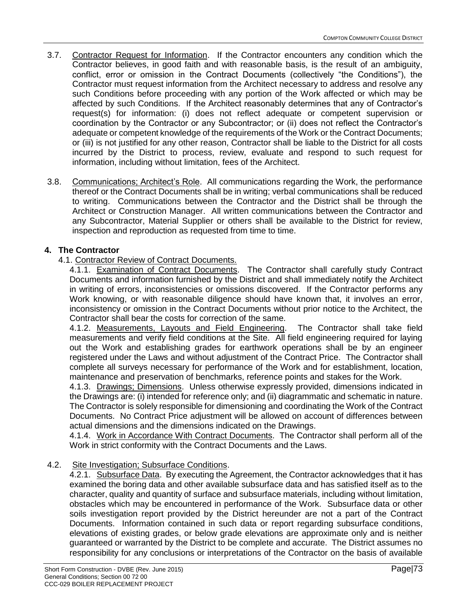- 3.7. Contractor Request for Information. If the Contractor encounters any condition which the Contractor believes, in good faith and with reasonable basis, is the result of an ambiguity, conflict, error or omission in the Contract Documents (collectively "the Conditions"), the Contractor must request information from the Architect necessary to address and resolve any such Conditions before proceeding with any portion of the Work affected or which may be affected by such Conditions. If the Architect reasonably determines that any of Contractor's request(s) for information: (i) does not reflect adequate or competent supervision or coordination by the Contractor or any Subcontractor; or (ii) does not reflect the Contractor's adequate or competent knowledge of the requirements of the Work or the Contract Documents; or (iii) is not justified for any other reason, Contractor shall be liable to the District for all costs incurred by the District to process, review, evaluate and respond to such request for information, including without limitation, fees of the Architect.
- 3.8. Communications; Architect's Role. All communications regarding the Work, the performance thereof or the Contract Documents shall be in writing; verbal communications shall be reduced to writing. Communications between the Contractor and the District shall be through the Architect or Construction Manager. All written communications between the Contractor and any Subcontractor, Material Supplier or others shall be available to the District for review, inspection and reproduction as requested from time to time.

## **4. The Contractor**

## 4.1. Contractor Review of Contract Documents.

4.1.1. Examination of Contract Documents. The Contractor shall carefully study Contract Documents and information furnished by the District and shall immediately notify the Architect in writing of errors, inconsistencies or omissions discovered. If the Contractor performs any Work knowing, or with reasonable diligence should have known that, it involves an error, inconsistency or omission in the Contract Documents without prior notice to the Architect, the Contractor shall bear the costs for correction of the same.

4.1.2. Measurements, Layouts and Field Engineering. The Contractor shall take field measurements and verify field conditions at the Site. All field engineering required for laying out the Work and establishing grades for earthwork operations shall be by an engineer registered under the Laws and without adjustment of the Contract Price. The Contractor shall complete all surveys necessary for performance of the Work and for establishment, location, maintenance and preservation of benchmarks, reference points and stakes for the Work.

4.1.3. Drawings; Dimensions. Unless otherwise expressly provided, dimensions indicated in the Drawings are: (i) intended for reference only; and (ii) diagrammatic and schematic in nature. The Contractor is solely responsible for dimensioning and coordinating the Work of the Contract Documents. No Contract Price adjustment will be allowed on account of differences between actual dimensions and the dimensions indicated on the Drawings.

4.1.4. Work in Accordance With Contract Documents. The Contractor shall perform all of the Work in strict conformity with the Contract Documents and the Laws.

## 4.2. Site Investigation; Subsurface Conditions.

4.2.1. Subsurface Data. By executing the Agreement, the Contractor acknowledges that it has examined the boring data and other available subsurface data and has satisfied itself as to the character, quality and quantity of surface and subsurface materials, including without limitation, obstacles which may be encountered in performance of the Work. Subsurface data or other soils investigation report provided by the District hereunder are not a part of the Contract Documents. Information contained in such data or report regarding subsurface conditions, elevations of existing grades, or below grade elevations are approximate only and is neither guaranteed or warranted by the District to be complete and accurate. The District assumes no responsibility for any conclusions or interpretations of the Contractor on the basis of available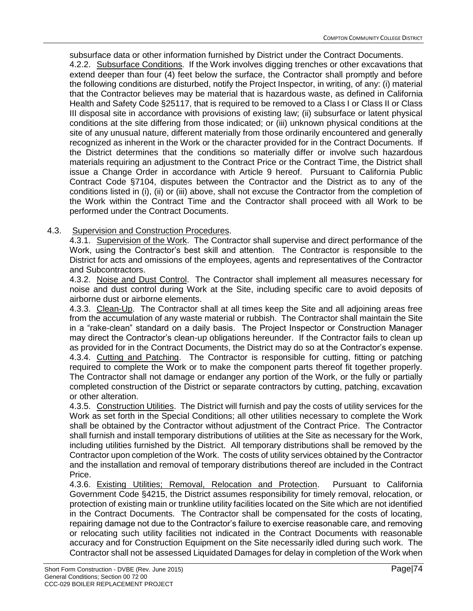subsurface data or other information furnished by District under the Contract Documents. 4.2.2. Subsurface Conditions. If the Work involves digging trenches or other excavations that extend deeper than four (4) feet below the surface, the Contractor shall promptly and before the following conditions are disturbed, notify the Project Inspector, in writing, of any: (i) material that the Contractor believes may be material that is hazardous waste, as defined in California Health and Safety Code §25117, that is required to be removed to a Class I or Class II or Class III disposal site in accordance with provisions of existing law; (ii) subsurface or latent physical conditions at the site differing from those indicated; or (iii) unknown physical conditions at the site of any unusual nature, different materially from those ordinarily encountered and generally recognized as inherent in the Work or the character provided for in the Contract Documents. If the District determines that the conditions so materially differ or involve such hazardous materials requiring an adjustment to the Contract Price or the Contract Time, the District shall issue a Change Order in accordance with Article 9 hereof. Pursuant to California Public Contract Code §7104, disputes between the Contractor and the District as to any of the conditions listed in (i), (ii) or (iii) above, shall not excuse the Contractor from the completion of the Work within the Contract Time and the Contractor shall proceed with all Work to be performed under the Contract Documents.

## 4.3. Supervision and Construction Procedures.

4.3.1. Supervision of the Work. The Contractor shall supervise and direct performance of the Work, using the Contractor's best skill and attention. The Contractor is responsible to the District for acts and omissions of the employees, agents and representatives of the Contractor and Subcontractors.

4.3.2. Noise and Dust Control. The Contractor shall implement all measures necessary for noise and dust control during Work at the Site, including specific care to avoid deposits of airborne dust or airborne elements.

4.3.3. Clean-Up. The Contractor shall at all times keep the Site and all adjoining areas free from the accumulation of any waste material or rubbish. The Contractor shall maintain the Site in a "rake-clean" standard on a daily basis. The Project Inspector or Construction Manager may direct the Contractor's clean-up obligations hereunder. If the Contractor fails to clean up as provided for in the Contract Documents, the District may do so at the Contractor's expense. 4.3.4. Cutting and Patching. The Contractor is responsible for cutting, fitting or patching required to complete the Work or to make the component parts thereof fit together properly. The Contractor shall not damage or endanger any portion of the Work, or the fully or partially completed construction of the District or separate contractors by cutting, patching, excavation or other alteration.

4.3.5. Construction Utilities. The District will furnish and pay the costs of utility services for the Work as set forth in the Special Conditions; all other utilities necessary to complete the Work shall be obtained by the Contractor without adjustment of the Contract Price. The Contractor shall furnish and install temporary distributions of utilities at the Site as necessary for the Work, including utilities furnished by the District. All temporary distributions shall be removed by the Contractor upon completion of the Work. The costs of utility services obtained by the Contractor and the installation and removal of temporary distributions thereof are included in the Contract Price.

4.3.6. Existing Utilities; Removal, Relocation and Protection. Pursuant to California Government Code §4215, the District assumes responsibility for timely removal, relocation, or protection of existing main or trunkline utility facilities located on the Site which are not identified in the Contract Documents. The Contractor shall be compensated for the costs of locating, repairing damage not due to the Contractor's failure to exercise reasonable care, and removing or relocating such utility facilities not indicated in the Contract Documents with reasonable accuracy and for Construction Equipment on the Site necessarily idled during such work. The Contractor shall not be assessed Liquidated Damages for delay in completion of the Work when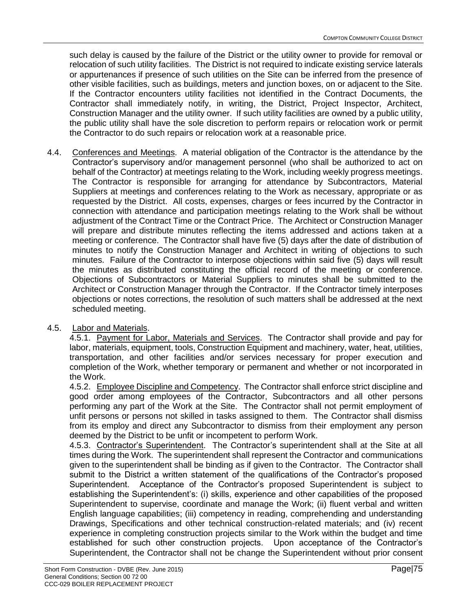such delay is caused by the failure of the District or the utility owner to provide for removal or relocation of such utility facilities. The District is not required to indicate existing service laterals or appurtenances if presence of such utilities on the Site can be inferred from the presence of other visible facilities, such as buildings, meters and junction boxes, on or adjacent to the Site. If the Contractor encounters utility facilities not identified in the Contract Documents, the Contractor shall immediately notify, in writing, the District, Project Inspector, Architect, Construction Manager and the utility owner. If such utility facilities are owned by a public utility, the public utility shall have the sole discretion to perform repairs or relocation work or permit the Contractor to do such repairs or relocation work at a reasonable price.

- 4.4. Conferences and Meetings. A material obligation of the Contractor is the attendance by the Contractor's supervisory and/or management personnel (who shall be authorized to act on behalf of the Contractor) at meetings relating to the Work, including weekly progress meetings. The Contractor is responsible for arranging for attendance by Subcontractors, Material Suppliers at meetings and conferences relating to the Work as necessary, appropriate or as requested by the District. All costs, expenses, charges or fees incurred by the Contractor in connection with attendance and participation meetings relating to the Work shall be without adjustment of the Contract Time or the Contract Price. The Architect or Construction Manager will prepare and distribute minutes reflecting the items addressed and actions taken at a meeting or conference. The Contractor shall have five (5) days after the date of distribution of minutes to notify the Construction Manager and Architect in writing of objections to such minutes. Failure of the Contractor to interpose objections within said five (5) days will result the minutes as distributed constituting the official record of the meeting or conference. Objections of Subcontractors or Material Suppliers to minutes shall be submitted to the Architect or Construction Manager through the Contractor. If the Contractor timely interposes objections or notes corrections, the resolution of such matters shall be addressed at the next scheduled meeting.
- 4.5. Labor and Materials.

4.5.1. Payment for Labor, Materials and Services. The Contractor shall provide and pay for labor, materials, equipment, tools, Construction Equipment and machinery, water, heat, utilities, transportation, and other facilities and/or services necessary for proper execution and completion of the Work, whether temporary or permanent and whether or not incorporated in the Work.

4.5.2. Employee Discipline and Competency. The Contractor shall enforce strict discipline and good order among employees of the Contractor, Subcontractors and all other persons performing any part of the Work at the Site. The Contractor shall not permit employment of unfit persons or persons not skilled in tasks assigned to them. The Contractor shall dismiss from its employ and direct any Subcontractor to dismiss from their employment any person deemed by the District to be unfit or incompetent to perform Work.

4.5.3. Contractor's Superintendent. The Contractor's superintendent shall at the Site at all times during the Work. The superintendent shall represent the Contractor and communications given to the superintendent shall be binding as if given to the Contractor. The Contractor shall submit to the District a written statement of the qualifications of the Contractor's proposed Superintendent. Acceptance of the Contractor's proposed Superintendent is subject to establishing the Superintendent's: (i) skills, experience and other capabilities of the proposed Superintendent to supervise, coordinate and manage the Work; (ii) fluent verbal and written English language capabilities; (iii) competency in reading, comprehending and understanding Drawings, Specifications and other technical construction-related materials; and (iv) recent experience in completing construction projects similar to the Work within the budget and time established for such other construction projects. Upon acceptance of the Contractor's Superintendent, the Contractor shall not be change the Superintendent without prior consent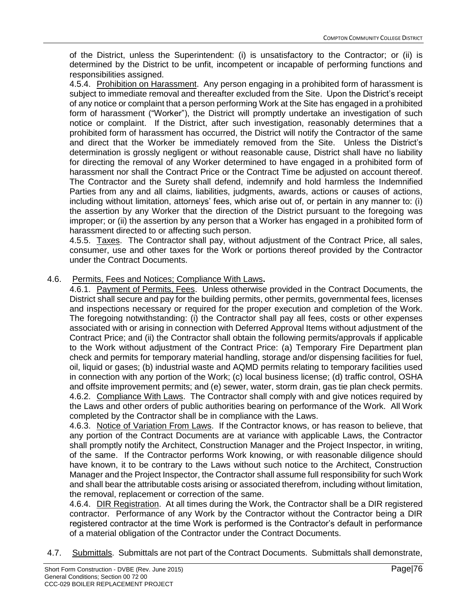of the District, unless the Superintendent: (i) is unsatisfactory to the Contractor; or (ii) is determined by the District to be unfit, incompetent or incapable of performing functions and responsibilities assigned.

4.5.4. Prohibition on Harassment. Any person engaging in a prohibited form of harassment is subject to immediate removal and thereafter excluded from the Site. Upon the District's receipt of any notice or complaint that a person performing Work at the Site has engaged in a prohibited form of harassment ("Worker"), the District will promptly undertake an investigation of such notice or complaint. If the District, after such investigation, reasonably determines that a prohibited form of harassment has occurred, the District will notify the Contractor of the same and direct that the Worker be immediately removed from the Site. Unless the District's determination is grossly negligent or without reasonable cause, District shall have no liability for directing the removal of any Worker determined to have engaged in a prohibited form of harassment nor shall the Contract Price or the Contract Time be adjusted on account thereof. The Contractor and the Surety shall defend, indemnify and hold harmless the Indemnified Parties from any and all claims, liabilities, judgments, awards, actions or causes of actions, including without limitation, attorneys' fees, which arise out of, or pertain in any manner to: (i) the assertion by any Worker that the direction of the District pursuant to the foregoing was improper; or (ii) the assertion by any person that a Worker has engaged in a prohibited form of harassment directed to or affecting such person.

4.5.5. Taxes. The Contractor shall pay, without adjustment of the Contract Price, all sales, consumer, use and other taxes for the Work or portions thereof provided by the Contractor under the Contract Documents.

#### 4.6. Permits, Fees and Notices; Compliance With Laws**.**

4.6.1. Payment of Permits, Fees. Unless otherwise provided in the Contract Documents, the District shall secure and pay for the building permits, other permits, governmental fees, licenses and inspections necessary or required for the proper execution and completion of the Work. The foregoing notwithstanding: (i) the Contractor shall pay all fees, costs or other expenses associated with or arising in connection with Deferred Approval Items without adjustment of the Contract Price; and (ii) the Contractor shall obtain the following permits/approvals if applicable to the Work without adjustment of the Contract Price: (a) Temporary Fire Department plan check and permits for temporary material handling, storage and/or dispensing facilities for fuel, oil, liquid or gases; (b) industrial waste and AQMD permits relating to temporary facilities used in connection with any portion of the Work; (c) local business license; (d) traffic control, OSHA and offsite improvement permits; and (e) sewer, water, storm drain, gas tie plan check permits. 4.6.2. Compliance With Laws. The Contractor shall comply with and give notices required by the Laws and other orders of public authorities bearing on performance of the Work. All Work completed by the Contractor shall be in compliance with the Laws.

4.6.3. Notice of Variation From Laws. If the Contractor knows, or has reason to believe, that any portion of the Contract Documents are at variance with applicable Laws, the Contractor shall promptly notify the Architect, Construction Manager and the Project Inspector, in writing, of the same. If the Contractor performs Work knowing, or with reasonable diligence should have known, it to be contrary to the Laws without such notice to the Architect, Construction Manager and the Project Inspector, the Contractor shall assume full responsibility for such Work and shall bear the attributable costs arising or associated therefrom, including without limitation, the removal, replacement or correction of the same.

4.6.4. DIR Registration. At all times during the Work, the Contractor shall be a DIR registered contractor. Performance of any Work by the Contractor without the Contractor being a DIR registered contractor at the time Work is performed is the Contractor's default in performance of a material obligation of the Contractor under the Contract Documents.

4.7. Submittals. Submittals are not part of the Contract Documents. Submittals shall demonstrate,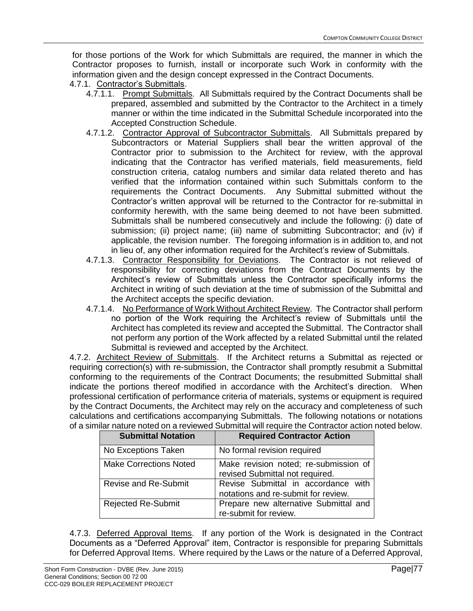for those portions of the Work for which Submittals are required, the manner in which the Contractor proposes to furnish, install or incorporate such Work in conformity with the information given and the design concept expressed in the Contract Documents.

- 4.7.1. Contractor's Submittals.
	- 4.7.1.1. Prompt Submittals. All Submittals required by the Contract Documents shall be prepared, assembled and submitted by the Contractor to the Architect in a timely manner or within the time indicated in the Submittal Schedule incorporated into the Accepted Construction Schedule.
	- 4.7.1.2. Contractor Approval of Subcontractor Submittals. All Submittals prepared by Subcontractors or Material Suppliers shall bear the written approval of the Contractor prior to submission to the Architect for review, with the approval indicating that the Contractor has verified materials, field measurements, field construction criteria, catalog numbers and similar data related thereto and has verified that the information contained within such Submittals conform to the requirements the Contract Documents. Any Submittal submitted without the Contractor's written approval will be returned to the Contractor for re-submittal in conformity herewith, with the same being deemed to not have been submitted. Submittals shall be numbered consecutively and include the following: (i) date of submission; (ii) project name; (iii) name of submitting Subcontractor; and (iv) if applicable, the revision number. The foregoing information is in addition to, and not in lieu of, any other information required for the Architect's review of Submittals.
	- 4.7.1.3. Contractor Responsibility for Deviations. The Contractor is not relieved of responsibility for correcting deviations from the Contract Documents by the Architect's review of Submittals unless the Contractor specifically informs the Architect in writing of such deviation at the time of submission of the Submittal and the Architect accepts the specific deviation.
	- 4.7.1.4. No Performance of Work Without Architect Review. The Contractor shall perform no portion of the Work requiring the Architect's review of Submittals until the Architect has completed its review and accepted the Submittal. The Contractor shall not perform any portion of the Work affected by a related Submittal until the related Submittal is reviewed and accepted by the Architect.

4.7.2. Architect Review of Submittals. If the Architect returns a Submittal as rejected or requiring correction(s) with re-submission, the Contractor shall promptly resubmit a Submittal conforming to the requirements of the Contract Documents; the resubmitted Submittal shall indicate the portions thereof modified in accordance with the Architect's direction. When professional certification of performance criteria of materials, systems or equipment is required by the Contract Documents, the Architect may rely on the accuracy and completeness of such calculations and certifications accompanying Submittals. The following notations or notations of a similar nature noted on a reviewed Submittal will require the Contractor action noted below.

| <b>Submittal Notation</b>     | <b>Required Contractor Action</b>                                          |
|-------------------------------|----------------------------------------------------------------------------|
| No Exceptions Taken           | No formal revision required                                                |
| <b>Make Corrections Noted</b> | Make revision noted; re-submission of<br>revised Submittal not required.   |
| <b>Revise and Re-Submit</b>   | Revise Submittal in accordance with<br>notations and re-submit for review. |
| <b>Rejected Re-Submit</b>     | Prepare new alternative Submittal and<br>re-submit for review.             |

4.7.3. Deferred Approval Items. If any portion of the Work is designated in the Contract Documents as a "Deferred Approval" item, Contractor is responsible for preparing Submittals for Deferred Approval Items. Where required by the Laws or the nature of a Deferred Approval,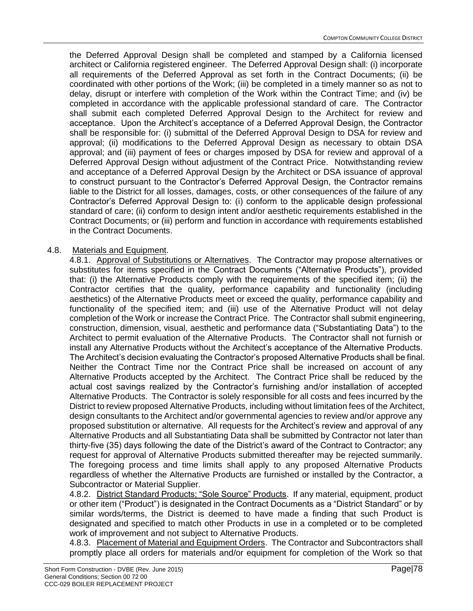the Deferred Approval Design shall be completed and stamped by a California licensed architect or California registered engineer. The Deferred Approval Design shall: (i) incorporate all requirements of the Deferred Approval as set forth in the Contract Documents; (ii) be coordinated with other portions of the Work; (iii) be completed in a timely manner so as not to delay, disrupt or interfere with completion of the Work within the Contract Time; and (iv) be completed in accordance with the applicable professional standard of care. The Contractor shall submit each completed Deferred Approval Design to the Architect for review and acceptance. Upon the Architect's acceptance of a Deferred Approval Design, the Contractor shall be responsible for: (i) submittal of the Deferred Approval Design to DSA for review and approval; (ii) modifications to the Deferred Approval Design as necessary to obtain DSA approval; and (iii) payment of fees or charges imposed by DSA for review and approval of a Deferred Approval Design without adjustment of the Contract Price. Notwithstanding review and acceptance of a Deferred Approval Design by the Architect or DSA issuance of approval to construct pursuant to the Contractor's Deferred Approval Design, the Contractor remains liable to the District for all losses, damages, costs, or other consequences of the failure of any Contractor's Deferred Approval Design to: (i) conform to the applicable design professional standard of care; (ii) conform to design intent and/or aesthetic requirements established in the Contract Documents; or (iii) perform and function in accordance with requirements established in the Contract Documents.

## 4.8. Materials and Equipment.

4.8.1. Approval of Substitutions or Alternatives. The Contractor may propose alternatives or substitutes for items specified in the Contract Documents ("Alternative Products"), provided that: (i) the Alternative Products comply with the requirements of the specified item; (ii) the Contractor certifies that the quality, performance capability and functionality (including aesthetics) of the Alternative Products meet or exceed the quality, performance capability and functionality of the specified item; and (iii) use of the Alternative Product will not delay completion of the Work or increase the Contract Price. The Contractor shall submit engineering, construction, dimension, visual, aesthetic and performance data ("Substantiating Data") to the Architect to permit evaluation of the Alternative Products. The Contractor shall not furnish or install any Alternative Products without the Architect's acceptance of the Alternative Products. The Architect's decision evaluating the Contractor's proposed Alternative Products shall be final. Neither the Contract Time nor the Contract Price shall be increased on account of any Alternative Products accepted by the Architect. The Contract Price shall be reduced by the actual cost savings realized by the Contractor's furnishing and/or installation of accepted Alternative Products. The Contractor is solely responsible for all costs and fees incurred by the District to review proposed Alternative Products, including without limitation fees of the Architect, design consultants to the Architect and/or governmental agencies to review and/or approve any proposed substitution or alternative. All requests for the Architect's review and approval of any Alternative Products and all Substantiating Data shall be submitted by Contractor not later than thirty-five (35) days following the date of the District's award of the Contract to Contractor; any request for approval of Alternative Products submitted thereafter may be rejected summarily. The foregoing process and time limits shall apply to any proposed Alternative Products regardless of whether the Alternative Products are furnished or installed by the Contractor, a Subcontractor or Material Supplier.

4.8.2. District Standard Products; "Sole Source" Products. If any material, equipment, product or other item ("Product") is designated in the Contract Documents as a "District Standard" or by similar words/terms, the District is deemed to have made a finding that such Product is designated and specified to match other Products in use in a completed or to be completed work of improvement and not subject to Alternative Products.

4.8.3. Placement of Material and Equipment Orders. The Contractor and Subcontractors shall promptly place all orders for materials and/or equipment for completion of the Work so that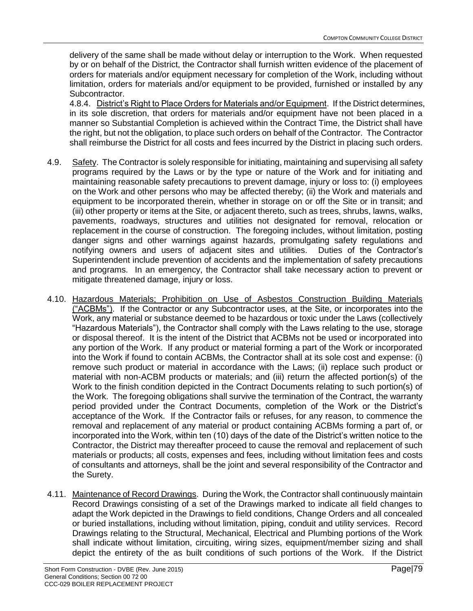delivery of the same shall be made without delay or interruption to the Work. When requested by or on behalf of the District, the Contractor shall furnish written evidence of the placement of orders for materials and/or equipment necessary for completion of the Work, including without limitation, orders for materials and/or equipment to be provided, furnished or installed by any Subcontractor.

4.8.4. District's Right to Place Orders for Materials and/or Equipment. If the District determines, in its sole discretion, that orders for materials and/or equipment have not been placed in a manner so Substantial Completion is achieved within the Contract Time, the District shall have the right, but not the obligation, to place such orders on behalf of the Contractor. The Contractor shall reimburse the District for all costs and fees incurred by the District in placing such orders.

- 4.9. Safety. The Contractor is solely responsible for initiating, maintaining and supervising all safety programs required by the Laws or by the type or nature of the Work and for initiating and maintaining reasonable safety precautions to prevent damage, injury or loss to: (i) employees on the Work and other persons who may be affected thereby; (ii) the Work and materials and equipment to be incorporated therein, whether in storage on or off the Site or in transit; and (iii) other property or items at the Site, or adjacent thereto, such as trees, shrubs, lawns, walks, pavements, roadways, structures and utilities not designated for removal, relocation or replacement in the course of construction. The foregoing includes, without limitation, posting danger signs and other warnings against hazards, promulgating safety regulations and notifying owners and users of adjacent sites and utilities. Duties of the Contractor's Superintendent include prevention of accidents and the implementation of safety precautions and programs. In an emergency, the Contractor shall take necessary action to prevent or mitigate threatened damage, injury or loss.
- 4.10. Hazardous Materials; Prohibition on Use of Asbestos Construction Building Materials ("ACBMs"). If the Contractor or any Subcontractor uses, at the Site, or incorporates into the Work, any material or substance deemed to be hazardous or toxic under the Laws (collectively "Hazardous Materials"), the Contractor shall comply with the Laws relating to the use, storage or disposal thereof. It is the intent of the District that ACBMs not be used or incorporated into any portion of the Work. If any product or material forming a part of the Work or incorporated into the Work if found to contain ACBMs, the Contractor shall at its sole cost and expense: (i) remove such product or material in accordance with the Laws; (ii) replace such product or material with non-ACBM products or materials; and (iii) return the affected portion(s) of the Work to the finish condition depicted in the Contract Documents relating to such portion(s) of the Work. The foregoing obligations shall survive the termination of the Contract, the warranty period provided under the Contract Documents, completion of the Work or the District's acceptance of the Work. If the Contractor fails or refuses, for any reason, to commence the removal and replacement of any material or product containing ACBMs forming a part of, or incorporated into the Work, within ten (10) days of the date of the District's written notice to the Contractor, the District may thereafter proceed to cause the removal and replacement of such materials or products; all costs, expenses and fees, including without limitation fees and costs of consultants and attorneys, shall be the joint and several responsibility of the Contractor and the Surety.
- 4.11. Maintenance of Record Drawings. During the Work, the Contractor shall continuously maintain Record Drawings consisting of a set of the Drawings marked to indicate all field changes to adapt the Work depicted in the Drawings to field conditions, Change Orders and all concealed or buried installations, including without limitation, piping, conduit and utility services. Record Drawings relating to the Structural, Mechanical, Electrical and Plumbing portions of the Work shall indicate without limitation, circuiting, wiring sizes, equipment/member sizing and shall depict the entirety of the as built conditions of such portions of the Work. If the District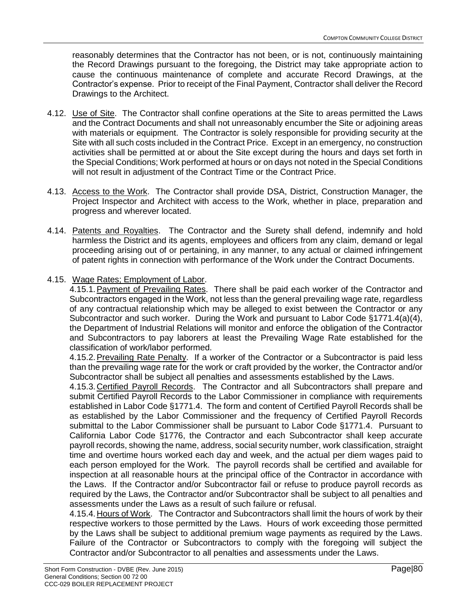reasonably determines that the Contractor has not been, or is not, continuously maintaining the Record Drawings pursuant to the foregoing, the District may take appropriate action to cause the continuous maintenance of complete and accurate Record Drawings, at the Contractor's expense. Prior to receipt of the Final Payment, Contractor shall deliver the Record Drawings to the Architect.

- 4.12. Use of Site. The Contractor shall confine operations at the Site to areas permitted the Laws and the Contract Documents and shall not unreasonably encumber the Site or adjoining areas with materials or equipment. The Contractor is solely responsible for providing security at the Site with all such costs included in the Contract Price. Except in an emergency, no construction activities shall be permitted at or about the Site except during the hours and days set forth in the Special Conditions; Work performed at hours or on days not noted in the Special Conditions will not result in adjustment of the Contract Time or the Contract Price.
- 4.13. Access to the Work. The Contractor shall provide DSA, District, Construction Manager, the Project Inspector and Architect with access to the Work, whether in place, preparation and progress and wherever located.
- 4.14. Patents and Royalties. The Contractor and the Surety shall defend, indemnify and hold harmless the District and its agents, employees and officers from any claim, demand or legal proceeding arising out of or pertaining, in any manner, to any actual or claimed infringement of patent rights in connection with performance of the Work under the Contract Documents.

## 4.15. Wage Rates; Employment of Labor.

4.15.1.Payment of Prevailing Rates. There shall be paid each worker of the Contractor and Subcontractors engaged in the Work, not less than the general prevailing wage rate, regardless of any contractual relationship which may be alleged to exist between the Contractor or any Subcontractor and such worker. During the Work and pursuant to Labor Code §1771.4(a)(4), the Department of Industrial Relations will monitor and enforce the obligation of the Contractor and Subcontractors to pay laborers at least the Prevailing Wage Rate established for the classification of work/labor performed.

4.15.2.Prevailing Rate Penalty. If a worker of the Contractor or a Subcontractor is paid less than the prevailing wage rate for the work or craft provided by the worker, the Contractor and/or Subcontractor shall be subject all penalties and assessments established by the Laws.

4.15.3. Certified Payroll Records. The Contractor and all Subcontractors shall prepare and submit Certified Payroll Records to the Labor Commissioner in compliance with requirements established in Labor Code §1771.4. The form and content of Certified Payroll Records shall be as established by the Labor Commissioner and the frequency of Certified Payroll Records submittal to the Labor Commissioner shall be pursuant to Labor Code §1771.4. Pursuant to California Labor Code §1776, the Contractor and each Subcontractor shall keep accurate payroll records, showing the name, address, social security number, work classification, straight time and overtime hours worked each day and week, and the actual per diem wages paid to each person employed for the Work. The payroll records shall be certified and available for inspection at all reasonable hours at the principal office of the Contractor in accordance with the Laws. If the Contractor and/or Subcontractor fail or refuse to produce payroll records as required by the Laws, the Contractor and/or Subcontractor shall be subject to all penalties and assessments under the Laws as a result of such failure or refusal.

4.15.4.Hours of Work. The Contractor and Subcontractors shall limit the hours of work by their respective workers to those permitted by the Laws. Hours of work exceeding those permitted by the Laws shall be subject to additional premium wage payments as required by the Laws. Failure of the Contractor or Subcontractors to comply with the foregoing will subject the Contractor and/or Subcontractor to all penalties and assessments under the Laws.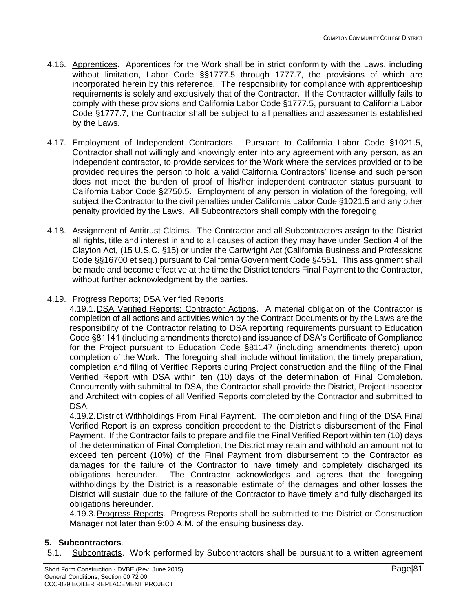- 4.16. Apprentices. Apprentices for the Work shall be in strict conformity with the Laws, including without limitation, Labor Code §§1777.5 through 1777.7, the provisions of which are incorporated herein by this reference. The responsibility for compliance with apprenticeship requirements is solely and exclusively that of the Contractor. If the Contractor willfully fails to comply with these provisions and California Labor Code §1777.5, pursuant to California Labor Code §1777.7, the Contractor shall be subject to all penalties and assessments established by the Laws.
- 4.17. Employment of Independent Contractors. Pursuant to California Labor Code §1021.5, Contractor shall not willingly and knowingly enter into any agreement with any person, as an independent contractor, to provide services for the Work where the services provided or to be provided requires the person to hold a valid California Contractors' license and such person does not meet the burden of proof of his/her independent contractor status pursuant to California Labor Code §2750.5. Employment of any person in violation of the foregoing, will subject the Contractor to the civil penalties under California Labor Code §1021.5 and any other penalty provided by the Laws. All Subcontractors shall comply with the foregoing.
- 4.18. Assignment of Antitrust Claims. The Contractor and all Subcontractors assign to the District all rights, title and interest in and to all causes of action they may have under Section 4 of the Clayton Act, (15 U.S.C. §15) or under the Cartwright Act (California Business and Professions Code §§16700 et seq.) pursuant to California Government Code §4551. This assignment shall be made and become effective at the time the District tenders Final Payment to the Contractor, without further acknowledgment by the parties.
- 4.19. Progress Reports; DSA Verified Reports.

4.19.1.DSA Verified Reports: Contractor Actions. A material obligation of the Contractor is completion of all actions and activities which by the Contract Documents or by the Laws are the responsibility of the Contractor relating to DSA reporting requirements pursuant to Education Code §81141 (including amendments thereto) and issuance of DSA's Certificate of Compliance for the Project pursuant to Education Code §81147 (including amendments thereto) upon completion of the Work. The foregoing shall include without limitation, the timely preparation, completion and filing of Verified Reports during Project construction and the filing of the Final Verified Report with DSA within ten (10) days of the determination of Final Completion. Concurrently with submittal to DSA, the Contractor shall provide the District, Project Inspector and Architect with copies of all Verified Reports completed by the Contractor and submitted to DSA.

4.19.2. District Withholdings From Final Payment. The completion and filing of the DSA Final Verified Report is an express condition precedent to the District's disbursement of the Final Payment. If the Contractor fails to prepare and file the Final Verified Report within ten (10) days of the determination of Final Completion, the District may retain and withhold an amount not to exceed ten percent (10%) of the Final Payment from disbursement to the Contractor as damages for the failure of the Contractor to have timely and completely discharged its obligations hereunder. The Contractor acknowledges and agrees that the foregoing withholdings by the District is a reasonable estimate of the damages and other losses the District will sustain due to the failure of the Contractor to have timely and fully discharged its obligations hereunder.

4.19.3.Progress Reports. Progress Reports shall be submitted to the District or Construction Manager not later than 9:00 A.M. of the ensuing business day.

#### **5. Subcontractors**.

5.1. Subcontracts. Work performed by Subcontractors shall be pursuant to a written agreement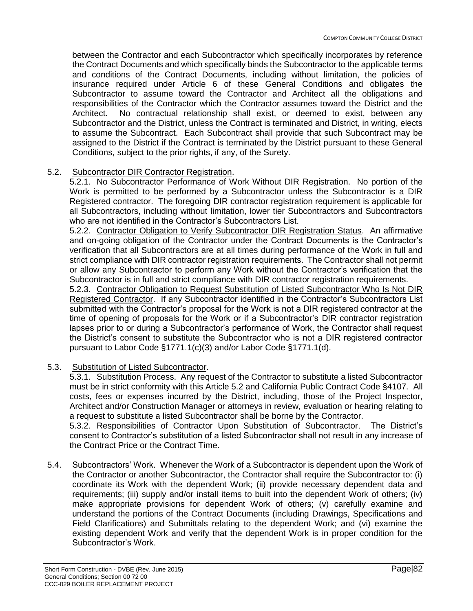between the Contractor and each Subcontractor which specifically incorporates by reference the Contract Documents and which specifically binds the Subcontractor to the applicable terms and conditions of the Contract Documents, including without limitation, the policies of insurance required under Article 6 of these General Conditions and obligates the Subcontractor to assume toward the Contractor and Architect all the obligations and responsibilities of the Contractor which the Contractor assumes toward the District and the Architect. No contractual relationship shall exist, or deemed to exist, between any Subcontractor and the District, unless the Contract is terminated and District, in writing, elects to assume the Subcontract. Each Subcontract shall provide that such Subcontract may be assigned to the District if the Contract is terminated by the District pursuant to these General Conditions, subject to the prior rights, if any, of the Surety.

#### 5.2. Subcontractor DIR Contractor Registration.

5.2.1. No Subcontractor Performance of Work Without DIR Registration. No portion of the Work is permitted to be performed by a Subcontractor unless the Subcontractor is a DIR Registered contractor. The foregoing DIR contractor registration requirement is applicable for all Subcontractors, including without limitation, lower tier Subcontractors and Subcontractors who are not identified in the Contractor's Subcontractors List.

5.2.2. Contractor Obligation to Verify Subcontractor DIR Registration Status. An affirmative and on-going obligation of the Contractor under the Contract Documents is the Contractor's verification that all Subcontractors are at all times during performance of the Work in full and strict compliance with DIR contractor registration requirements. The Contractor shall not permit or allow any Subcontractor to perform any Work without the Contractor's verification that the Subcontractor is in full and strict compliance with DIR contractor registration requirements.

5.2.3. Contractor Obligation to Request Substitution of Listed Subcontractor Who Is Not DIR Registered Contractor. If any Subcontractor identified in the Contractor's Subcontractors List submitted with the Contractor's proposal for the Work is not a DIR registered contractor at the time of opening of proposals for the Work or if a Subcontractor's DIR contractor registration lapses prior to or during a Subcontractor's performance of Work, the Contractor shall request the District's consent to substitute the Subcontractor who is not a DIR registered contractor pursuant to Labor Code §1771.1(c)(3) and/or Labor Code §1771.1(d).

#### 5.3. Substitution of Listed Subcontractor.

5.3.1. Substitution Process. Any request of the Contractor to substitute a listed Subcontractor must be in strict conformity with this Article 5.2 and California Public Contract Code §4107. All costs, fees or expenses incurred by the District, including, those of the Project Inspector, Architect and/or Construction Manager or attorneys in review, evaluation or hearing relating to a request to substitute a listed Subcontractor shall be borne by the Contractor.

5.3.2. Responsibilities of Contractor Upon Substitution of Subcontractor. The District's consent to Contractor's substitution of a listed Subcontractor shall not result in any increase of the Contract Price or the Contract Time.

5.4. Subcontractors' Work. Whenever the Work of a Subcontractor is dependent upon the Work of the Contractor or another Subcontractor, the Contractor shall require the Subcontractor to: (i) coordinate its Work with the dependent Work; (ii) provide necessary dependent data and requirements; (iii) supply and/or install items to built into the dependent Work of others; (iv) make appropriate provisions for dependent Work of others; (v) carefully examine and understand the portions of the Contract Documents (including Drawings, Specifications and Field Clarifications) and Submittals relating to the dependent Work; and (vi) examine the existing dependent Work and verify that the dependent Work is in proper condition for the Subcontractor's Work.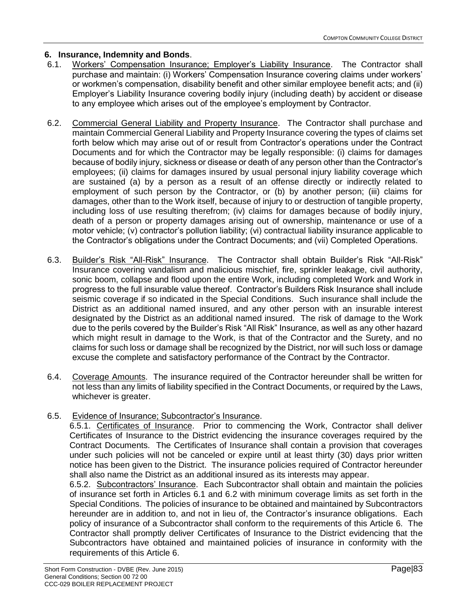#### **6. Insurance, Indemnity and Bonds**.

- 6.1. Workers' Compensation Insurance; Employer's Liability Insurance. The Contractor shall purchase and maintain: (i) Workers' Compensation Insurance covering claims under workers' or workmen's compensation, disability benefit and other similar employee benefit acts; and (ii) Employer's Liability Insurance covering bodily injury (including death) by accident or disease to any employee which arises out of the employee's employment by Contractor.
- 6.2. Commercial General Liability and Property Insurance. The Contractor shall purchase and maintain Commercial General Liability and Property Insurance covering the types of claims set forth below which may arise out of or result from Contractor's operations under the Contract Documents and for which the Contractor may be legally responsible: (i) claims for damages because of bodily injury, sickness or disease or death of any person other than the Contractor's employees; (ii) claims for damages insured by usual personal injury liability coverage which are sustained (a) by a person as a result of an offense directly or indirectly related to employment of such person by the Contractor, or (b) by another person; (iii) claims for damages, other than to the Work itself, because of injury to or destruction of tangible property, including loss of use resulting therefrom; (iv) claims for damages because of bodily injury, death of a person or property damages arising out of ownership, maintenance or use of a motor vehicle; (v) contractor's pollution liability; (vi) contractual liability insurance applicable to the Contractor's obligations under the Contract Documents; and (vii) Completed Operations.
- 6.3. Builder's Risk "All-Risk" Insurance. The Contractor shall obtain Builder's Risk "All-Risk" Insurance covering vandalism and malicious mischief, fire, sprinkler leakage, civil authority, sonic boom, collapse and flood upon the entire Work, including completed Work and Work in progress to the full insurable value thereof. Contractor's Builders Risk Insurance shall include seismic coverage if so indicated in the Special Conditions. Such insurance shall include the District as an additional named insured, and any other person with an insurable interest designated by the District as an additional named insured. The risk of damage to the Work due to the perils covered by the Builder's Risk "All Risk" Insurance, as well as any other hazard which might result in damage to the Work, is that of the Contractor and the Surety, and no claims for such loss or damage shall be recognized by the District, nor will such loss or damage excuse the complete and satisfactory performance of the Contract by the Contractor.
- 6.4. Coverage Amounts. The insurance required of the Contractor hereunder shall be written for not less than any limits of liability specified in the Contract Documents, or required by the Laws, whichever is greater.
- 6.5. Evidence of Insurance; Subcontractor's Insurance.

6.5.1. Certificates of Insurance. Prior to commencing the Work, Contractor shall deliver Certificates of Insurance to the District evidencing the insurance coverages required by the Contract Documents. The Certificates of Insurance shall contain a provision that coverages under such policies will not be canceled or expire until at least thirty (30) days prior written notice has been given to the District. The insurance policies required of Contractor hereunder shall also name the District as an additional insured as its interests may appear.

6.5.2. Subcontractors' Insurance. Each Subcontractor shall obtain and maintain the policies of insurance set forth in Articles 6.1 and 6.2 with minimum coverage limits as set forth in the Special Conditions. The policies of insurance to be obtained and maintained by Subcontractors hereunder are in addition to, and not in lieu of, the Contractor's insurance obligations. Each policy of insurance of a Subcontractor shall conform to the requirements of this Article 6. The Contractor shall promptly deliver Certificates of Insurance to the District evidencing that the Subcontractors have obtained and maintained policies of insurance in conformity with the requirements of this Article 6.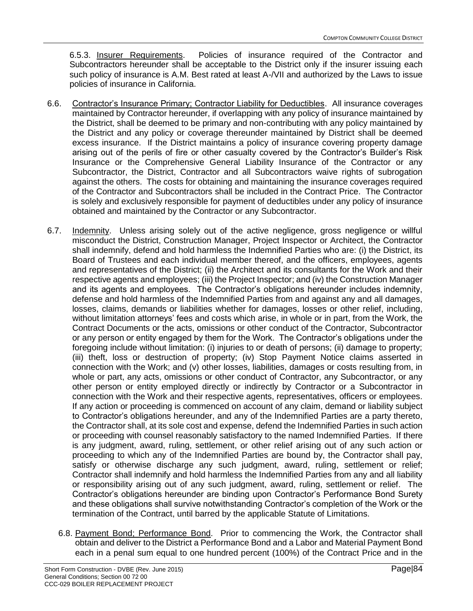6.5.3. Insurer Requirements. Policies of insurance required of the Contractor and Subcontractors hereunder shall be acceptable to the District only if the insurer issuing each such policy of insurance is A.M. Best rated at least A-/VII and authorized by the Laws to issue policies of insurance in California.

- 6.6. Contractor's Insurance Primary; Contractor Liability for Deductibles. All insurance coverages maintained by Contractor hereunder, if overlapping with any policy of insurance maintained by the District, shall be deemed to be primary and non-contributing with any policy maintained by the District and any policy or coverage thereunder maintained by District shall be deemed excess insurance. If the District maintains a policy of insurance covering property damage arising out of the perils of fire or other casualty covered by the Contractor's Builder's Risk Insurance or the Comprehensive General Liability Insurance of the Contractor or any Subcontractor, the District, Contractor and all Subcontractors waive rights of subrogation against the others. The costs for obtaining and maintaining the insurance coverages required of the Contractor and Subcontractors shall be included in the Contract Price. The Contractor is solely and exclusively responsible for payment of deductibles under any policy of insurance obtained and maintained by the Contractor or any Subcontractor.
- 6.7. Indemnity. Unless arising solely out of the active negligence, gross negligence or willful misconduct the District, Construction Manager, Project Inspector or Architect, the Contractor shall indemnify, defend and hold harmless the Indemnified Parties who are: (i) the District, its Board of Trustees and each individual member thereof, and the officers, employees, agents and representatives of the District; (ii) the Architect and its consultants for the Work and their respective agents and employees; (iii) the Project Inspector; and (iv) the Construction Manager and its agents and employees. The Contractor's obligations hereunder includes indemnity, defense and hold harmless of the Indemnified Parties from and against any and all damages, losses, claims, demands or liabilities whether for damages, losses or other relief, including, without limitation attorneys' fees and costs which arise, in whole or in part, from the Work, the Contract Documents or the acts, omissions or other conduct of the Contractor, Subcontractor or any person or entity engaged by them for the Work. The Contractor's obligations under the foregoing include without limitation: (i) injuries to or death of persons; (ii) damage to property; (iii) theft, loss or destruction of property; (iv) Stop Payment Notice claims asserted in connection with the Work; and (v) other losses, liabilities, damages or costs resulting from, in whole or part, any acts, omissions or other conduct of Contractor, any Subcontractor, or any other person or entity employed directly or indirectly by Contractor or a Subcontractor in connection with the Work and their respective agents, representatives, officers or employees. If any action or proceeding is commenced on account of any claim, demand or liability subject to Contractor's obligations hereunder, and any of the Indemnified Parties are a party thereto, the Contractor shall, at its sole cost and expense, defend the Indemnified Parties in such action or proceeding with counsel reasonably satisfactory to the named Indemnified Parties. If there is any judgment, award, ruling, settlement, or other relief arising out of any such action or proceeding to which any of the Indemnified Parties are bound by, the Contractor shall pay, satisfy or otherwise discharge any such judgment, award, ruling, settlement or relief; Contractor shall indemnify and hold harmless the Indemnified Parties from any and all liability or responsibility arising out of any such judgment, award, ruling, settlement or relief. The Contractor's obligations hereunder are binding upon Contractor's Performance Bond Surety and these obligations shall survive notwithstanding Contractor's completion of the Work or the termination of the Contract, until barred by the applicable Statute of Limitations.
	- 6.8. Payment Bond; Performance Bond. Prior to commencing the Work, the Contractor shall obtain and deliver to the District a Performance Bond and a Labor and Material Payment Bond each in a penal sum equal to one hundred percent (100%) of the Contract Price and in the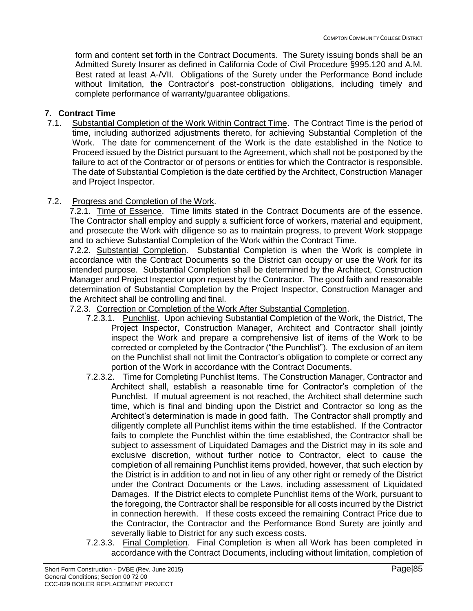form and content set forth in the Contract Documents. The Surety issuing bonds shall be an Admitted Surety Insurer as defined in California Code of Civil Procedure §995.120 and A.M. Best rated at least A-/VII. Obligations of the Surety under the Performance Bond include without limitation, the Contractor's post-construction obligations, including timely and complete performance of warranty/guarantee obligations.

## **7. Contract Time**

- 7.1. Substantial Completion of the Work Within Contract Time. The Contract Time is the period of time, including authorized adjustments thereto, for achieving Substantial Completion of the Work. The date for commencement of the Work is the date established in the Notice to Proceed issued by the District pursuant to the Agreement, which shall not be postponed by the failure to act of the Contractor or of persons or entities for which the Contractor is responsible. The date of Substantial Completion is the date certified by the Architect, Construction Manager and Project Inspector.
- 7.2. Progress and Completion of the Work.

7.2.1. Time of Essence. Time limits stated in the Contract Documents are of the essence. The Contractor shall employ and supply a sufficient force of workers, material and equipment, and prosecute the Work with diligence so as to maintain progress, to prevent Work stoppage and to achieve Substantial Completion of the Work within the Contract Time.

7.2.2. Substantial Completion. Substantial Completion is when the Work is complete in accordance with the Contract Documents so the District can occupy or use the Work for its intended purpose. Substantial Completion shall be determined by the Architect, Construction Manager and Project Inspector upon request by the Contractor. The good faith and reasonable determination of Substantial Completion by the Project Inspector, Construction Manager and the Architect shall be controlling and final.

- 7.2.3. Correction or Completion of the Work After Substantial Completion.
	- 7.2.3.1. Punchlist. Upon achieving Substantial Completion of the Work, the District, The Project Inspector, Construction Manager, Architect and Contractor shall jointly inspect the Work and prepare a comprehensive list of items of the Work to be corrected or completed by the Contractor ("the Punchlist"). The exclusion of an item on the Punchlist shall not limit the Contractor's obligation to complete or correct any portion of the Work in accordance with the Contract Documents.
	- 7.2.3.2. Time for Completing Punchlist Items. The Construction Manager, Contractor and Architect shall, establish a reasonable time for Contractor's completion of the Punchlist. If mutual agreement is not reached, the Architect shall determine such time, which is final and binding upon the District and Contractor so long as the Architect's determination is made in good faith. The Contractor shall promptly and diligently complete all Punchlist items within the time established. If the Contractor fails to complete the Punchlist within the time established, the Contractor shall be subject to assessment of Liquidated Damages and the District may in its sole and exclusive discretion, without further notice to Contractor, elect to cause the completion of all remaining Punchlist items provided, however, that such election by the District is in addition to and not in lieu of any other right or remedy of the District under the Contract Documents or the Laws, including assessment of Liquidated Damages. If the District elects to complete Punchlist items of the Work, pursuant to the foregoing, the Contractor shall be responsible for all costs incurred by the District in connection herewith. If these costs exceed the remaining Contract Price due to the Contractor, the Contractor and the Performance Bond Surety are jointly and severally liable to District for any such excess costs.
	- 7.2.3.3. Final Completion. Final Completion is when all Work has been completed in accordance with the Contract Documents, including without limitation, completion of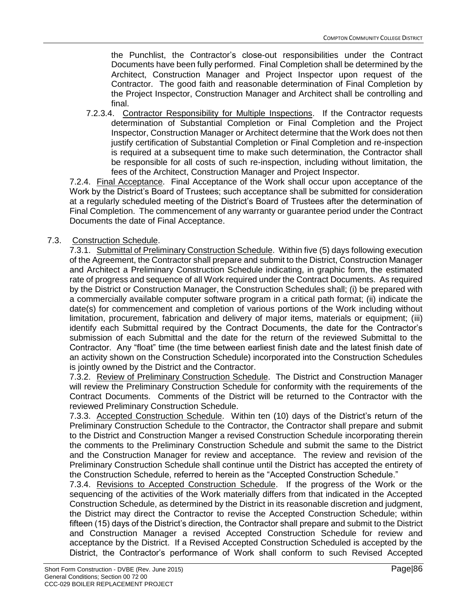the Punchlist, the Contractor's close-out responsibilities under the Contract Documents have been fully performed. Final Completion shall be determined by the Architect, Construction Manager and Project Inspector upon request of the Contractor. The good faith and reasonable determination of Final Completion by the Project Inspector, Construction Manager and Architect shall be controlling and final.

7.2.3.4. Contractor Responsibility for Multiple Inspections. If the Contractor requests determination of Substantial Completion or Final Completion and the Project Inspector, Construction Manager or Architect determine that the Work does not then justify certification of Substantial Completion or Final Completion and re-inspection is required at a subsequent time to make such determination, the Contractor shall be responsible for all costs of such re-inspection, including without limitation, the fees of the Architect, Construction Manager and Project Inspector.

7.2.4. Final Acceptance. Final Acceptance of the Work shall occur upon acceptance of the Work by the District's Board of Trustees; such acceptance shall be submitted for consideration at a regularly scheduled meeting of the District's Board of Trustees after the determination of Final Completion. The commencement of any warranty or guarantee period under the Contract Documents the date of Final Acceptance.

## 7.3. Construction Schedule.

7.3.1. Submittal of Preliminary Construction Schedule. Within five (5) days following execution of the Agreement, the Contractor shall prepare and submit to the District, Construction Manager and Architect a Preliminary Construction Schedule indicating, in graphic form, the estimated rate of progress and sequence of all Work required under the Contract Documents. As required by the District or Construction Manager, the Construction Schedules shall; (i) be prepared with a commercially available computer software program in a critical path format; (ii) indicate the date(s) for commencement and completion of various portions of the Work including without limitation, procurement, fabrication and delivery of major items, materials or equipment; (iii) identify each Submittal required by the Contract Documents, the date for the Contractor's submission of each Submittal and the date for the return of the reviewed Submittal to the Contractor. Any "float" time (the time between earliest finish date and the latest finish date of an activity shown on the Construction Schedule) incorporated into the Construction Schedules is jointly owned by the District and the Contractor.

7.3.2. Review of Preliminary Construction Schedule. The District and Construction Manager will review the Preliminary Construction Schedule for conformity with the requirements of the Contract Documents. Comments of the District will be returned to the Contractor with the reviewed Preliminary Construction Schedule.

7.3.3. Accepted Construction Schedule. Within ten (10) days of the District's return of the Preliminary Construction Schedule to the Contractor, the Contractor shall prepare and submit to the District and Construction Manger a revised Construction Schedule incorporating therein the comments to the Preliminary Construction Schedule and submit the same to the District and the Construction Manager for review and acceptance. The review and revision of the Preliminary Construction Schedule shall continue until the District has accepted the entirety of the Construction Schedule, referred to herein as the "Accepted Construction Schedule."

7.3.4. Revisions to Accepted Construction Schedule. If the progress of the Work or the sequencing of the activities of the Work materially differs from that indicated in the Accepted Construction Schedule, as determined by the District in its reasonable discretion and judgment, the District may direct the Contractor to revise the Accepted Construction Schedule; within fifteen (15) days of the District's direction, the Contractor shall prepare and submit to the District and Construction Manager a revised Accepted Construction Schedule for review and acceptance by the District. If a Revised Accepted Construction Scheduled is accepted by the District, the Contractor's performance of Work shall conform to such Revised Accepted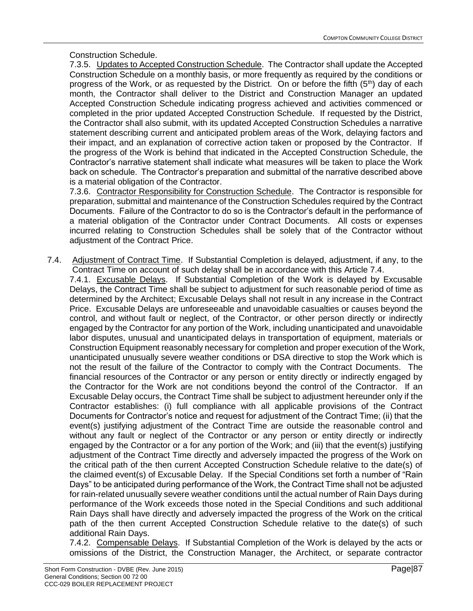Construction Schedule.

7.3.5. Updates to Accepted Construction Schedule. The Contractor shall update the Accepted Construction Schedule on a monthly basis, or more frequently as required by the conditions or progress of the Work, or as requested by the District. On or before the fifth  $(5<sup>th</sup>)$  day of each month, the Contractor shall deliver to the District and Construction Manager an updated Accepted Construction Schedule indicating progress achieved and activities commenced or completed in the prior updated Accepted Construction Schedule. If requested by the District, the Contractor shall also submit, with its updated Accepted Construction Schedules a narrative statement describing current and anticipated problem areas of the Work, delaying factors and their impact, and an explanation of corrective action taken or proposed by the Contractor. If the progress of the Work is behind that indicated in the Accepted Construction Schedule, the Contractor's narrative statement shall indicate what measures will be taken to place the Work back on schedule. The Contractor's preparation and submittal of the narrative described above is a material obligation of the Contractor.

7.3.6. Contractor Responsibility for Construction Schedule. The Contractor is responsible for preparation, submittal and maintenance of the Construction Schedules required by the Contract Documents. Failure of the Contractor to do so is the Contractor's default in the performance of a material obligation of the Contractor under Contract Documents. All costs or expenses incurred relating to Construction Schedules shall be solely that of the Contractor without adjustment of the Contract Price.

7.4. Adjustment of Contract Time. If Substantial Completion is delayed, adjustment, if any, to the Contract Time on account of such delay shall be in accordance with this Article 7.4.

7.4.1. Excusable Delays. If Substantial Completion of the Work is delayed by Excusable Delays, the Contract Time shall be subject to adjustment for such reasonable period of time as determined by the Architect; Excusable Delays shall not result in any increase in the Contract Price. Excusable Delays are unforeseeable and unavoidable casualties or causes beyond the control, and without fault or neglect, of the Contractor, or other person directly or indirectly engaged by the Contractor for any portion of the Work, including unanticipated and unavoidable labor disputes, unusual and unanticipated delays in transportation of equipment, materials or Construction Equipment reasonably necessary for completion and proper execution of the Work, unanticipated unusually severe weather conditions or DSA directive to stop the Work which is not the result of the failure of the Contractor to comply with the Contract Documents. The financial resources of the Contractor or any person or entity directly or indirectly engaged by the Contractor for the Work are not conditions beyond the control of the Contractor. If an Excusable Delay occurs, the Contract Time shall be subject to adjustment hereunder only if the Contractor establishes: (i) full compliance with all applicable provisions of the Contract Documents for Contractor's notice and request for adjustment of the Contract Time; (ii) that the event(s) justifying adjustment of the Contract Time are outside the reasonable control and without any fault or neglect of the Contractor or any person or entity directly or indirectly engaged by the Contractor or a for any portion of the Work; and (iii) that the event(s) justifying adjustment of the Contract Time directly and adversely impacted the progress of the Work on the critical path of the then current Accepted Construction Schedule relative to the date(s) of the claimed event(s) of Excusable Delay. If the Special Conditions set forth a number of "Rain Days" to be anticipated during performance of the Work, the Contract Time shall not be adjusted for rain-related unusually severe weather conditions until the actual number of Rain Days during performance of the Work exceeds those noted in the Special Conditions and such additional Rain Days shall have directly and adversely impacted the progress of the Work on the critical path of the then current Accepted Construction Schedule relative to the date(s) of such additional Rain Days.

7.4.2. Compensable Delays. If Substantial Completion of the Work is delayed by the acts or omissions of the District, the Construction Manager, the Architect, or separate contractor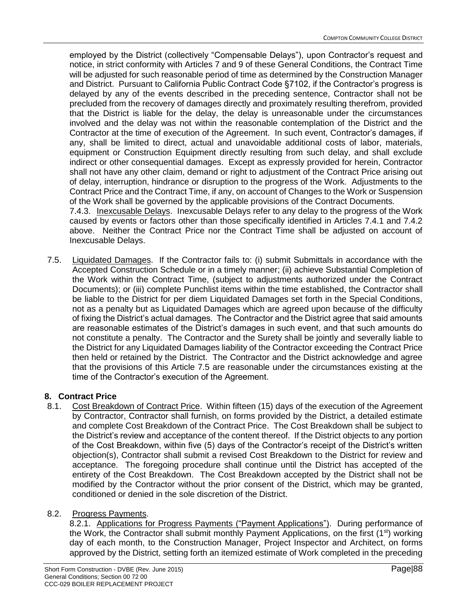employed by the District (collectively "Compensable Delays"), upon Contractor's request and notice, in strict conformity with Articles 7 and 9 of these General Conditions, the Contract Time will be adjusted for such reasonable period of time as determined by the Construction Manager and District. Pursuant to California Public Contract Code §7102, if the Contractor's progress is delayed by any of the events described in the preceding sentence, Contractor shall not be precluded from the recovery of damages directly and proximately resulting therefrom, provided that the District is liable for the delay, the delay is unreasonable under the circumstances involved and the delay was not within the reasonable contemplation of the District and the Contractor at the time of execution of the Agreement. In such event, Contractor's damages, if any, shall be limited to direct, actual and unavoidable additional costs of labor, materials, equipment or Construction Equipment directly resulting from such delay, and shall exclude indirect or other consequential damages. Except as expressly provided for herein, Contractor shall not have any other claim, demand or right to adjustment of the Contract Price arising out of delay, interruption, hindrance or disruption to the progress of the Work. Adjustments to the Contract Price and the Contract Time, if any, on account of Changes to the Work or Suspension of the Work shall be governed by the applicable provisions of the Contract Documents. 7.4.3. Inexcusable Delays. Inexcusable Delays refer to any delay to the progress of the Work

caused by events or factors other than those specifically identified in Articles 7.4.1 and 7.4.2 above. Neither the Contract Price nor the Contract Time shall be adjusted on account of Inexcusable Delays.

7.5. Liquidated Damages. If the Contractor fails to: (i) submit Submittals in accordance with the Accepted Construction Schedule or in a timely manner; (ii) achieve Substantial Completion of the Work within the Contract Time, (subject to adjustments authorized under the Contract Documents); or (iii) complete Punchlist items within the time established, the Contractor shall be liable to the District for per diem Liquidated Damages set forth in the Special Conditions, not as a penalty but as Liquidated Damages which are agreed upon because of the difficulty of fixing the District's actual damages. The Contractor and the District agree that said amounts are reasonable estimates of the District's damages in such event, and that such amounts do not constitute a penalty. The Contractor and the Surety shall be jointly and severally liable to the District for any Liquidated Damages liability of the Contractor exceeding the Contract Price then held or retained by the District. The Contractor and the District acknowledge and agree that the provisions of this Article 7.5 are reasonable under the circumstances existing at the time of the Contractor's execution of the Agreement.

# **8. Contract Price**

8.1. Cost Breakdown of Contract Price. Within fifteen (15) days of the execution of the Agreement by Contractor, Contractor shall furnish, on forms provided by the District, a detailed estimate and complete Cost Breakdown of the Contract Price. The Cost Breakdown shall be subject to the District's review and acceptance of the content thereof. If the District objects to any portion of the Cost Breakdown, within five (5) days of the Contractor's receipt of the District's written objection(s), Contractor shall submit a revised Cost Breakdown to the District for review and acceptance. The foregoing procedure shall continue until the District has accepted of the entirety of the Cost Breakdown. The Cost Breakdown accepted by the District shall not be modified by the Contractor without the prior consent of the District, which may be granted, conditioned or denied in the sole discretion of the District.

## 8.2. Progress Payments.

8.2.1. Applications for Progress Payments ("Payment Applications"). During performance of the Work, the Contractor shall submit monthly Payment Applications, on the first (1<sup>st</sup>) working day of each month, to the Construction Manager, Project Inspector and Architect, on forms approved by the District, setting forth an itemized estimate of Work completed in the preceding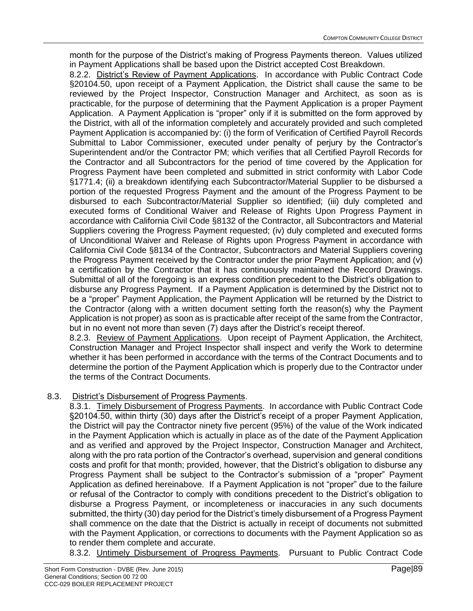month for the purpose of the District's making of Progress Payments thereon. Values utilized in Payment Applications shall be based upon the District accepted Cost Breakdown.

8.2.2. District's Review of Payment Applications. In accordance with Public Contract Code §20104.50, upon receipt of a Payment Application, the District shall cause the same to be reviewed by the Project Inspector, Construction Manager and Architect, as soon as is practicable, for the purpose of determining that the Payment Application is a proper Payment Application. A Payment Application is "proper" only if it is submitted on the form approved by the District, with all of the information completely and accurately provided and such completed Payment Application is accompanied by: (i) the form of Verification of Certified Payroll Records Submittal to Labor Commissioner, executed under penalty of perjury by the Contractor's Superintendent and/or the Contractor PM; which verifies that all Certified Payroll Records for the Contractor and all Subcontractors for the period of time covered by the Application for Progress Payment have been completed and submitted in strict conformity with Labor Code §1771.4; (ii) a breakdown identifying each Subcontractor/Material Supplier to be disbursed a portion of the requested Progress Payment and the amount of the Progress Payment to be disbursed to each Subcontractor/Material Supplier so identified; (iii) duly completed and executed forms of Conditional Waiver and Release of Rights Upon Progress Payment in accordance with California Civil Code §8132 of the Contractor, all Subcontractors and Material Suppliers covering the Progress Payment requested; (iv) duly completed and executed forms of Unconditional Waiver and Release of Rights upon Progress Payment in accordance with California Civil Code §8134 of the Contractor, Subcontractors and Material Suppliers covering the Progress Payment received by the Contractor under the prior Payment Application; and (v) a certification by the Contractor that it has continuously maintained the Record Drawings. Submittal of all of the foregoing is an express condition precedent to the District's obligation to disburse any Progress Payment. If a Payment Application is determined by the District not to be a "proper" Payment Application, the Payment Application will be returned by the District to the Contractor (along with a written document setting forth the reason(s) why the Payment Application is not proper) as soon as is practicable after receipt of the same from the Contractor, but in no event not more than seven (7) days after the District's receipt thereof.

8.2.3. Review of Payment Applications. Upon receipt of Payment Application, the Architect, Construction Manager and Project Inspector shall inspect and verify the Work to determine whether it has been performed in accordance with the terms of the Contract Documents and to determine the portion of the Payment Application which is properly due to the Contractor under the terms of the Contract Documents.

## 8.3. District's Disbursement of Progress Payments.

8.3.1. Timely Disbursement of Progress Payments. In accordance with Public Contract Code §20104.50, within thirty (30) days after the District's receipt of a proper Payment Application, the District will pay the Contractor ninety five percent (95%) of the value of the Work indicated in the Payment Application which is actually in place as of the date of the Payment Application and as verified and approved by the Project Inspector, Construction Manager and Architect, along with the pro rata portion of the Contractor's overhead, supervision and general conditions costs and profit for that month; provided, however, that the District's obligation to disburse any Progress Payment shall be subject to the Contractor's submission of a "proper" Payment Application as defined hereinabove. If a Payment Application is not "proper" due to the failure or refusal of the Contractor to comply with conditions precedent to the District's obligation to disburse a Progress Payment, or incompleteness or inaccuracies in any such documents submitted, the thirty (30) day period for the District's timely disbursement of a Progress Payment shall commence on the date that the District is actually in receipt of documents not submitted with the Payment Application, or corrections to documents with the Payment Application so as to render them complete and accurate.

8.3.2. Untimely Disbursement of Progress Payments. Pursuant to Public Contract Code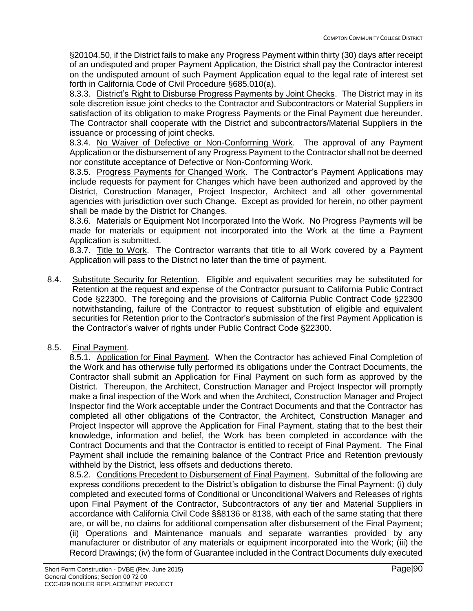§20104.50, if the District fails to make any Progress Payment within thirty (30) days after receipt of an undisputed and proper Payment Application, the District shall pay the Contractor interest on the undisputed amount of such Payment Application equal to the legal rate of interest set forth in California Code of Civil Procedure §685.010(a).

8.3.3. District's Right to Disburse Progress Payments by Joint Checks. The District may in its sole discretion issue joint checks to the Contractor and Subcontractors or Material Suppliers in satisfaction of its obligation to make Progress Payments or the Final Payment due hereunder. The Contractor shall cooperate with the District and subcontractors/Material Suppliers in the issuance or processing of joint checks.

8.3.4. No Waiver of Defective or Non-Conforming Work. The approval of any Payment Application or the disbursement of any Progress Payment to the Contractor shall not be deemed nor constitute acceptance of Defective or Non-Conforming Work.

8.3.5. Progress Payments for Changed Work. The Contractor's Payment Applications may include requests for payment for Changes which have been authorized and approved by the District, Construction Manager, Project Inspector, Architect and all other governmental agencies with jurisdiction over such Change. Except as provided for herein, no other payment shall be made by the District for Changes.

8.3.6. Materials or Equipment Not Incorporated Into the Work. No Progress Payments will be made for materials or equipment not incorporated into the Work at the time a Payment Application is submitted.

8.3.7. Title to Work. The Contractor warrants that title to all Work covered by a Payment Application will pass to the District no later than the time of payment.

- 8.4. Substitute Security for Retention. Eligible and equivalent securities may be substituted for Retention at the request and expense of the Contractor pursuant to California Public Contract Code §22300. The foregoing and the provisions of California Public Contract Code §22300 notwithstanding, failure of the Contractor to request substitution of eligible and equivalent securities for Retention prior to the Contractor's submission of the first Payment Application is the Contractor's waiver of rights under Public Contract Code §22300.
- 8.5. Final Payment.

8.5.1. Application for Final Payment. When the Contractor has achieved Final Completion of the Work and has otherwise fully performed its obligations under the Contract Documents, the Contractor shall submit an Application for Final Payment on such form as approved by the District. Thereupon, the Architect, Construction Manager and Project Inspector will promptly make a final inspection of the Work and when the Architect, Construction Manager and Project Inspector find the Work acceptable under the Contract Documents and that the Contractor has completed all other obligations of the Contractor, the Architect, Construction Manager and Project Inspector will approve the Application for Final Payment, stating that to the best their knowledge, information and belief, the Work has been completed in accordance with the Contract Documents and that the Contractor is entitled to receipt of Final Payment. The Final Payment shall include the remaining balance of the Contract Price and Retention previously withheld by the District, less offsets and deductions thereto.

8.5.2. Conditions Precedent to Disbursement of Final Payment. Submittal of the following are express conditions precedent to the District's obligation to disburse the Final Payment: (i) duly completed and executed forms of Conditional or Unconditional Waivers and Releases of rights upon Final Payment of the Contractor, Subcontractors of any tier and Material Suppliers in accordance with California Civil Code §§8136 or 8138, with each of the same stating that there are, or will be, no claims for additional compensation after disbursement of the Final Payment; (ii) Operations and Maintenance manuals and separate warranties provided by any manufacturer or distributor of any materials or equipment incorporated into the Work; (iii) the Record Drawings; (iv) the form of Guarantee included in the Contract Documents duly executed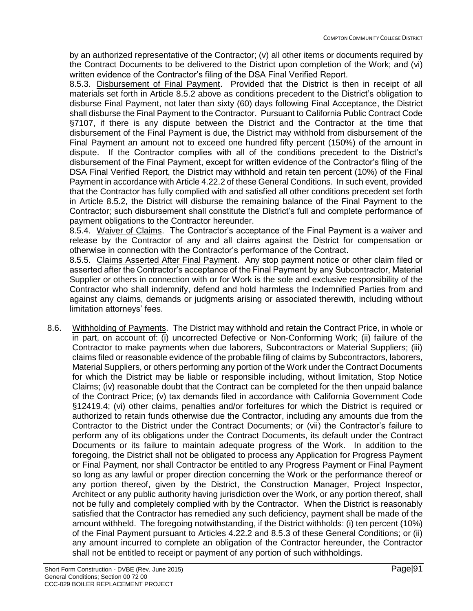by an authorized representative of the Contractor; (v) all other items or documents required by the Contract Documents to be delivered to the District upon completion of the Work; and (vi) written evidence of the Contractor's filing of the DSA Final Verified Report.

8.5.3. Disbursement of Final Payment. Provided that the District is then in receipt of all materials set forth in Article 8.5.2 above as conditions precedent to the District's obligation to disburse Final Payment, not later than sixty (60) days following Final Acceptance, the District shall disburse the Final Payment to the Contractor. Pursuant to California Public Contract Code §7107, if there is any dispute between the District and the Contractor at the time that disbursement of the Final Payment is due, the District may withhold from disbursement of the Final Payment an amount not to exceed one hundred fifty percent (150%) of the amount in dispute. If the Contractor complies with all of the conditions precedent to the District's disbursement of the Final Payment, except for written evidence of the Contractor's filing of the DSA Final Verified Report, the District may withhold and retain ten percent (10%) of the Final Payment in accordance with Article 4.22.2 of these General Conditions. In such event, provided that the Contractor has fully complied with and satisfied all other conditions precedent set forth in Article 8.5.2, the District will disburse the remaining balance of the Final Payment to the Contractor; such disbursement shall constitute the District's full and complete performance of payment obligations to the Contractor hereunder.

8.5.4. Waiver of Claims. The Contractor's acceptance of the Final Payment is a waiver and release by the Contractor of any and all claims against the District for compensation or otherwise in connection with the Contractor's performance of the Contract.

8.5.5. Claims Asserted After Final Payment. Any stop payment notice or other claim filed or asserted after the Contractor's acceptance of the Final Payment by any Subcontractor, Material Supplier or others in connection with or for Work is the sole and exclusive responsibility of the Contractor who shall indemnify, defend and hold harmless the Indemnified Parties from and against any claims, demands or judgments arising or associated therewith, including without limitation attorneys' fees.

8.6. Withholding of Payments. The District may withhold and retain the Contract Price, in whole or in part, on account of: (i) uncorrected Defective or Non-Conforming Work; (ii) failure of the Contractor to make payments when due laborers, Subcontractors or Material Suppliers; (iii) claims filed or reasonable evidence of the probable filing of claims by Subcontractors, laborers, Material Suppliers, or others performing any portion of the Work under the Contract Documents for which the District may be liable or responsible including, without limitation, Stop Notice Claims; (iv) reasonable doubt that the Contract can be completed for the then unpaid balance of the Contract Price; (v) tax demands filed in accordance with California Government Code §12419.4; (vi) other claims, penalties and/or forfeitures for which the District is required or authorized to retain funds otherwise due the Contractor, including any amounts due from the Contractor to the District under the Contract Documents; or (vii) the Contractor's failure to perform any of its obligations under the Contract Documents, its default under the Contract Documents or its failure to maintain adequate progress of the Work. In addition to the foregoing, the District shall not be obligated to process any Application for Progress Payment or Final Payment, nor shall Contractor be entitled to any Progress Payment or Final Payment so long as any lawful or proper direction concerning the Work or the performance thereof or any portion thereof, given by the District, the Construction Manager, Project Inspector, Architect or any public authority having jurisdiction over the Work, or any portion thereof, shall not be fully and completely complied with by the Contractor. When the District is reasonably satisfied that the Contractor has remedied any such deficiency, payment shall be made of the amount withheld. The foregoing notwithstanding, if the District withholds: (i) ten percent (10%) of the Final Payment pursuant to Articles 4.22.2 and 8.5.3 of these General Conditions; or (ii) any amount incurred to complete an obligation of the Contractor hereunder, the Contractor shall not be entitled to receipt or payment of any portion of such withholdings.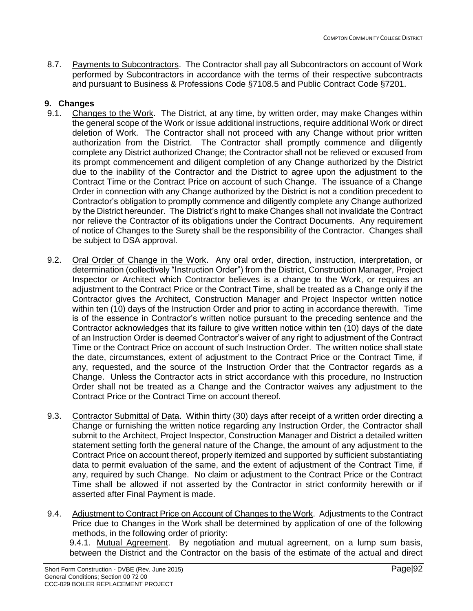8.7. Payments to Subcontractors. The Contractor shall pay all Subcontractors on account of Work performed by Subcontractors in accordance with the terms of their respective subcontracts and pursuant to Business & Professions Code §7108.5 and Public Contract Code §7201.

#### **9. Changes**

- 9.1. Changes to the Work. The District, at any time, by written order, may make Changes within the general scope of the Work or issue additional instructions, require additional Work or direct deletion of Work. The Contractor shall not proceed with any Change without prior written authorization from the District. The Contractor shall promptly commence and diligently complete any District authorized Change; the Contractor shall not be relieved or excused from its prompt commencement and diligent completion of any Change authorized by the District due to the inability of the Contractor and the District to agree upon the adjustment to the Contract Time or the Contract Price on account of such Change. The issuance of a Change Order in connection with any Change authorized by the District is not a condition precedent to Contractor's obligation to promptly commence and diligently complete any Change authorized by the District hereunder. The District's right to make Changes shall not invalidate the Contract nor relieve the Contractor of its obligations under the Contract Documents. Any requirement of notice of Changes to the Surety shall be the responsibility of the Contractor. Changes shall be subject to DSA approval.
- 9.2. Oral Order of Change in the Work. Any oral order, direction, instruction, interpretation, or determination (collectively "Instruction Order") from the District, Construction Manager, Project Inspector or Architect which Contractor believes is a change to the Work, or requires an adjustment to the Contract Price or the Contract Time, shall be treated as a Change only if the Contractor gives the Architect, Construction Manager and Project Inspector written notice within ten (10) days of the Instruction Order and prior to acting in accordance therewith. Time is of the essence in Contractor's written notice pursuant to the preceding sentence and the Contractor acknowledges that its failure to give written notice within ten (10) days of the date of an Instruction Order is deemed Contractor's waiver of any right to adjustment of the Contract Time or the Contract Price on account of such Instruction Order. The written notice shall state the date, circumstances, extent of adjustment to the Contract Price or the Contract Time, if any, requested, and the source of the Instruction Order that the Contractor regards as a Change. Unless the Contractor acts in strict accordance with this procedure, no Instruction Order shall not be treated as a Change and the Contractor waives any adjustment to the Contract Price or the Contract Time on account thereof.
- 9.3. Contractor Submittal of Data. Within thirty (30) days after receipt of a written order directing a Change or furnishing the written notice regarding any Instruction Order, the Contractor shall submit to the Architect, Project Inspector, Construction Manager and District a detailed written statement setting forth the general nature of the Change, the amount of any adjustment to the Contract Price on account thereof, properly itemized and supported by sufficient substantiating data to permit evaluation of the same, and the extent of adjustment of the Contract Time, if any, required by such Change. No claim or adjustment to the Contract Price or the Contract Time shall be allowed if not asserted by the Contractor in strict conformity herewith or if asserted after Final Payment is made.
- 9.4. Adjustment to Contract Price on Account of Changes to the Work. Adjustments to the Contract Price due to Changes in the Work shall be determined by application of one of the following methods, in the following order of priority: 9.4.1. Mutual Agreement. By negotiation and mutual agreement, on a lump sum basis, between the District and the Contractor on the basis of the estimate of the actual and direct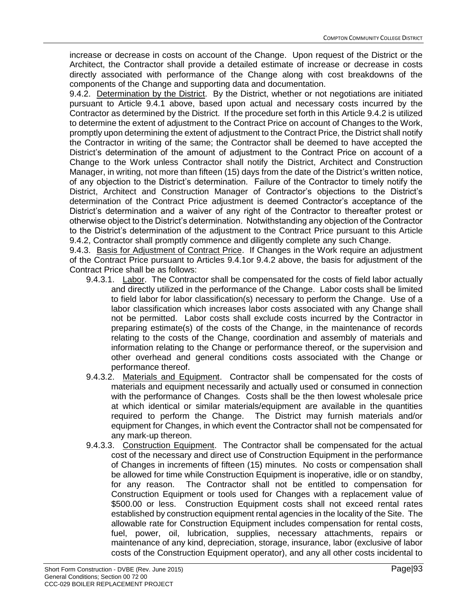increase or decrease in costs on account of the Change. Upon request of the District or the Architect, the Contractor shall provide a detailed estimate of increase or decrease in costs directly associated with performance of the Change along with cost breakdowns of the components of the Change and supporting data and documentation.

9.4.2. Determination by the District. By the District, whether or not negotiations are initiated pursuant to Article 9.4.1 above, based upon actual and necessary costs incurred by the Contractor as determined by the District. If the procedure set forth in this Article 9.4.2 is utilized to determine the extent of adjustment to the Contract Price on account of Changes to the Work, promptly upon determining the extent of adjustment to the Contract Price, the District shall notify the Contractor in writing of the same; the Contractor shall be deemed to have accepted the District's determination of the amount of adjustment to the Contract Price on account of a Change to the Work unless Contractor shall notify the District, Architect and Construction Manager, in writing, not more than fifteen (15) days from the date of the District's written notice, of any objection to the District's determination. Failure of the Contractor to timely notify the District, Architect and Construction Manager of Contractor's objections to the District's determination of the Contract Price adjustment is deemed Contractor's acceptance of the District's determination and a waiver of any right of the Contractor to thereafter protest or otherwise object to the District's determination. Notwithstanding any objection of the Contractor to the District's determination of the adjustment to the Contract Price pursuant to this Article 9.4.2, Contractor shall promptly commence and diligently complete any such Change.

9.4.3. Basis for Adjustment of Contract Price. If Changes in the Work require an adjustment of the Contract Price pursuant to Articles 9.4.1or 9.4.2 above, the basis for adjustment of the Contract Price shall be as follows:

- 9.4.3.1. Labor. The Contractor shall be compensated for the costs of field labor actually and directly utilized in the performance of the Change. Labor costs shall be limited to field labor for labor classification(s) necessary to perform the Change. Use of a labor classification which increases labor costs associated with any Change shall not be permitted. Labor costs shall exclude costs incurred by the Contractor in preparing estimate(s) of the costs of the Change, in the maintenance of records relating to the costs of the Change, coordination and assembly of materials and information relating to the Change or performance thereof, or the supervision and other overhead and general conditions costs associated with the Change or performance thereof.
- 9.4.3.2. Materials and Equipment. Contractor shall be compensated for the costs of materials and equipment necessarily and actually used or consumed in connection with the performance of Changes. Costs shall be the then lowest wholesale price at which identical or similar materials/equipment are available in the quantities required to perform the Change. The District may furnish materials and/or equipment for Changes, in which event the Contractor shall not be compensated for any mark-up thereon.
- 9.4.3.3. Construction Equipment. The Contractor shall be compensated for the actual cost of the necessary and direct use of Construction Equipment in the performance of Changes in increments of fifteen (15) minutes. No costs or compensation shall be allowed for time while Construction Equipment is inoperative, idle or on standby, for any reason. The Contractor shall not be entitled to compensation for Construction Equipment or tools used for Changes with a replacement value of \$500.00 or less. Construction Equipment costs shall not exceed rental rates established by construction equipment rental agencies in the locality of the Site. The allowable rate for Construction Equipment includes compensation for rental costs, fuel, power, oil, lubrication, supplies, necessary attachments, repairs or maintenance of any kind, depreciation, storage, insurance, labor (exclusive of labor costs of the Construction Equipment operator), and any all other costs incidental to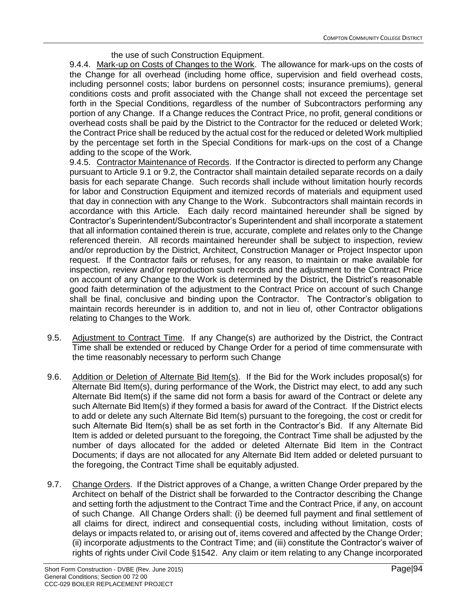## the use of such Construction Equipment.

9.4.4. Mark-up on Costs of Changes to the Work. The allowance for mark-ups on the costs of the Change for all overhead (including home office, supervision and field overhead costs, including personnel costs; labor burdens on personnel costs; insurance premiums), general conditions costs and profit associated with the Change shall not exceed the percentage set forth in the Special Conditions, regardless of the number of Subcontractors performing any portion of any Change. If a Change reduces the Contract Price, no profit, general conditions or overhead costs shall be paid by the District to the Contractor for the reduced or deleted Work; the Contract Price shall be reduced by the actual cost for the reduced or deleted Work multiplied by the percentage set forth in the Special Conditions for mark-ups on the cost of a Change adding to the scope of the Work.

9.4.5. Contractor Maintenance of Records. If the Contractor is directed to perform any Change pursuant to Article 9.1 or 9.2, the Contractor shall maintain detailed separate records on a daily basis for each separate Change. Such records shall include without limitation hourly records for labor and Construction Equipment and itemized records of materials and equipment used that day in connection with any Change to the Work. Subcontractors shall maintain records in accordance with this Article. Each daily record maintained hereunder shall be signed by Contractor's Superintendent/Subcontractor's Superintendent and shall incorporate a statement that all information contained therein is true, accurate, complete and relates only to the Change referenced therein. All records maintained hereunder shall be subject to inspection, review and/or reproduction by the District, Architect, Construction Manager or Project Inspector upon request. If the Contractor fails or refuses, for any reason, to maintain or make available for inspection, review and/or reproduction such records and the adjustment to the Contract Price on account of any Change to the Work is determined by the District, the District's reasonable good faith determination of the adjustment to the Contract Price on account of such Change shall be final, conclusive and binding upon the Contractor. The Contractor's obligation to maintain records hereunder is in addition to, and not in lieu of, other Contractor obligations relating to Changes to the Work.

- 9.5. Adjustment to Contract Time. If any Change(s) are authorized by the District, the Contract Time shall be extended or reduced by Change Order for a period of time commensurate with the time reasonably necessary to perform such Change
- 9.6. Addition or Deletion of Alternate Bid Item(s). If the Bid for the Work includes proposal(s) for Alternate Bid Item(s), during performance of the Work, the District may elect, to add any such Alternate Bid Item(s) if the same did not form a basis for award of the Contract or delete any such Alternate Bid Item(s) if they formed a basis for award of the Contract. If the District elects to add or delete any such Alternate Bid Item(s) pursuant to the foregoing, the cost or credit for such Alternate Bid Item(s) shall be as set forth in the Contractor's Bid. If any Alternate Bid Item is added or deleted pursuant to the foregoing, the Contract Time shall be adjusted by the number of days allocated for the added or deleted Alternate Bid Item in the Contract Documents; if days are not allocated for any Alternate Bid Item added or deleted pursuant to the foregoing, the Contract Time shall be equitably adjusted.
- 9.7. Change Orders. If the District approves of a Change, a written Change Order prepared by the Architect on behalf of the District shall be forwarded to the Contractor describing the Change and setting forth the adjustment to the Contract Time and the Contract Price, if any, on account of such Change. All Change Orders shall: (i) be deemed full payment and final settlement of all claims for direct, indirect and consequential costs, including without limitation, costs of delays or impacts related to, or arising out of, items covered and affected by the Change Order; (ii) incorporate adjustments to the Contract Time; and (iii) constitute the Contractor's waiver of rights of rights under Civil Code §1542. Any claim or item relating to any Change incorporated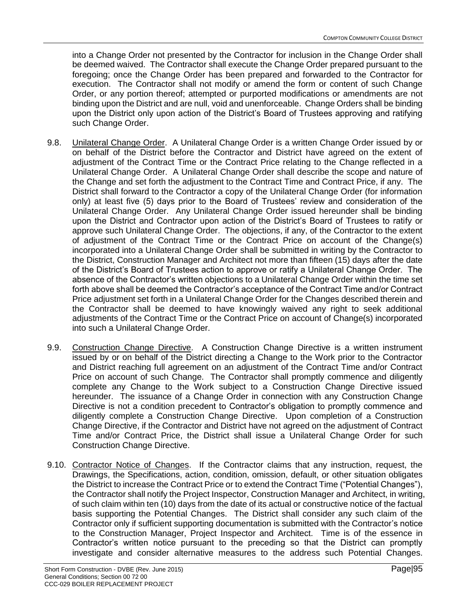into a Change Order not presented by the Contractor for inclusion in the Change Order shall be deemed waived. The Contractor shall execute the Change Order prepared pursuant to the foregoing; once the Change Order has been prepared and forwarded to the Contractor for execution. The Contractor shall not modify or amend the form or content of such Change Order, or any portion thereof; attempted or purported modifications or amendments are not binding upon the District and are null, void and unenforceable. Change Orders shall be binding upon the District only upon action of the District's Board of Trustees approving and ratifying such Change Order.

- 9.8. Unilateral Change Order. A Unilateral Change Order is a written Change Order issued by or on behalf of the District before the Contractor and District have agreed on the extent of adjustment of the Contract Time or the Contract Price relating to the Change reflected in a Unilateral Change Order. A Unilateral Change Order shall describe the scope and nature of the Change and set forth the adjustment to the Contract Time and Contract Price, if any. The District shall forward to the Contractor a copy of the Unilateral Change Order (for information only) at least five (5) days prior to the Board of Trustees' review and consideration of the Unilateral Change Order. Any Unilateral Change Order issued hereunder shall be binding upon the District and Contractor upon action of the District's Board of Trustees to ratify or approve such Unilateral Change Order. The objections, if any, of the Contractor to the extent of adjustment of the Contract Time or the Contract Price on account of the Change(s) incorporated into a Unilateral Change Order shall be submitted in writing by the Contractor to the District, Construction Manager and Architect not more than fifteen (15) days after the date of the District's Board of Trustees action to approve or ratify a Unilateral Change Order. The absence of the Contractor's written objections to a Unilateral Change Order within the time set forth above shall be deemed the Contractor's acceptance of the Contract Time and/or Contract Price adjustment set forth in a Unilateral Change Order for the Changes described therein and the Contractor shall be deemed to have knowingly waived any right to seek additional adjustments of the Contract Time or the Contract Price on account of Change(s) incorporated into such a Unilateral Change Order.
- 9.9. Construction Change Directive. A Construction Change Directive is a written instrument issued by or on behalf of the District directing a Change to the Work prior to the Contractor and District reaching full agreement on an adjustment of the Contract Time and/or Contract Price on account of such Change. The Contractor shall promptly commence and diligently complete any Change to the Work subject to a Construction Change Directive issued hereunder. The issuance of a Change Order in connection with any Construction Change Directive is not a condition precedent to Contractor's obligation to promptly commence and diligently complete a Construction Change Directive. Upon completion of a Construction Change Directive, if the Contractor and District have not agreed on the adjustment of Contract Time and/or Contract Price, the District shall issue a Unilateral Change Order for such Construction Change Directive.
- 9.10. Contractor Notice of Changes. If the Contractor claims that any instruction, request, the Drawings, the Specifications, action, condition, omission, default, or other situation obligates the District to increase the Contract Price or to extend the Contract Time ("Potential Changes"), the Contractor shall notify the Project Inspector, Construction Manager and Architect, in writing, of such claim within ten (10) days from the date of its actual or constructive notice of the factual basis supporting the Potential Changes. The District shall consider any such claim of the Contractor only if sufficient supporting documentation is submitted with the Contractor's notice to the Construction Manager, Project Inspector and Architect. Time is of the essence in Contractor's written notice pursuant to the preceding so that the District can promptly investigate and consider alternative measures to the address such Potential Changes.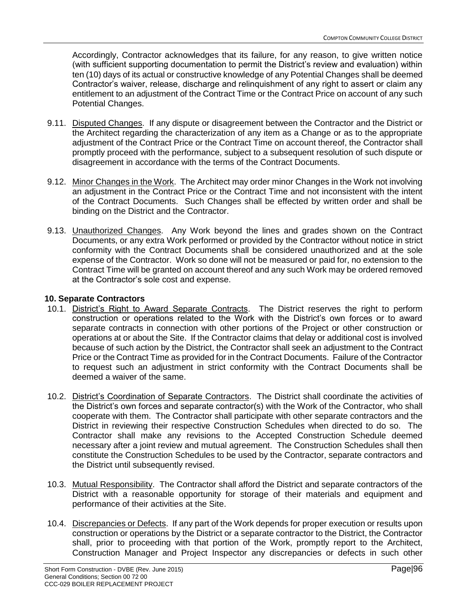Accordingly, Contractor acknowledges that its failure, for any reason, to give written notice (with sufficient supporting documentation to permit the District's review and evaluation) within ten (10) days of its actual or constructive knowledge of any Potential Changes shall be deemed Contractor's waiver, release, discharge and relinquishment of any right to assert or claim any entitlement to an adjustment of the Contract Time or the Contract Price on account of any such Potential Changes.

- 9.11. Disputed Changes. If any dispute or disagreement between the Contractor and the District or the Architect regarding the characterization of any item as a Change or as to the appropriate adjustment of the Contract Price or the Contract Time on account thereof, the Contractor shall promptly proceed with the performance, subject to a subsequent resolution of such dispute or disagreement in accordance with the terms of the Contract Documents.
- 9.12. Minor Changes in the Work. The Architect may order minor Changes in the Work not involving an adjustment in the Contract Price or the Contract Time and not inconsistent with the intent of the Contract Documents. Such Changes shall be effected by written order and shall be binding on the District and the Contractor.
- 9.13. Unauthorized Changes. Any Work beyond the lines and grades shown on the Contract Documents, or any extra Work performed or provided by the Contractor without notice in strict conformity with the Contract Documents shall be considered unauthorized and at the sole expense of the Contractor. Work so done will not be measured or paid for, no extension to the Contract Time will be granted on account thereof and any such Work may be ordered removed at the Contractor's sole cost and expense.

## **10. Separate Contractors**

- 10.1. District's Right to Award Separate Contracts. The District reserves the right to perform construction or operations related to the Work with the District's own forces or to award separate contracts in connection with other portions of the Project or other construction or operations at or about the Site. If the Contractor claims that delay or additional cost is involved because of such action by the District, the Contractor shall seek an adjustment to the Contract Price or the Contract Time as provided for in the Contract Documents. Failure of the Contractor to request such an adjustment in strict conformity with the Contract Documents shall be deemed a waiver of the same.
- 10.2. District's Coordination of Separate Contractors. The District shall coordinate the activities of the District's own forces and separate contractor(s) with the Work of the Contractor, who shall cooperate with them. The Contractor shall participate with other separate contractors and the District in reviewing their respective Construction Schedules when directed to do so. The Contractor shall make any revisions to the Accepted Construction Schedule deemed necessary after a joint review and mutual agreement. The Construction Schedules shall then constitute the Construction Schedules to be used by the Contractor, separate contractors and the District until subsequently revised.
- 10.3. Mutual Responsibility. The Contractor shall afford the District and separate contractors of the District with a reasonable opportunity for storage of their materials and equipment and performance of their activities at the Site.
- 10.4. Discrepancies or Defects. If any part of the Work depends for proper execution or results upon construction or operations by the District or a separate contractor to the District, the Contractor shall, prior to proceeding with that portion of the Work, promptly report to the Architect, Construction Manager and Project Inspector any discrepancies or defects in such other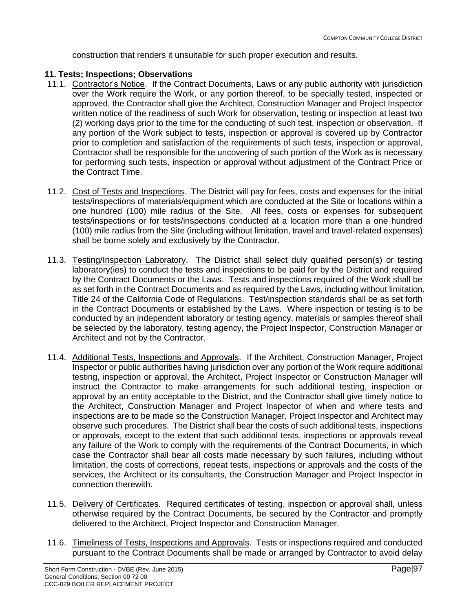construction that renders it unsuitable for such proper execution and results.

#### **11. Tests; Inspections; Observations**

- 11.1. Contractor's Notice. If the Contract Documents, Laws or any public authority with jurisdiction over the Work require the Work, or any portion thereof, to be specially tested, inspected or approved, the Contractor shall give the Architect, Construction Manager and Project Inspector written notice of the readiness of such Work for observation, testing or inspection at least two (2) working days prior to the time for the conducting of such test, inspection or observation. If any portion of the Work subject to tests, inspection or approval is covered up by Contractor prior to completion and satisfaction of the requirements of such tests, inspection or approval, Contractor shall be responsible for the uncovering of such portion of the Work as is necessary for performing such tests, inspection or approval without adjustment of the Contract Price or the Contract Time.
- 11.2. Cost of Tests and Inspections. The District will pay for fees, costs and expenses for the initial tests/inspections of materials/equipment which are conducted at the Site or locations within a one hundred (100) mile radius of the Site. All fees, costs or expenses for subsequent tests/inspections or for tests/inspections conducted at a location more than a one hundred (100) mile radius from the Site (including without limitation, travel and travel-related expenses) shall be borne solely and exclusively by the Contractor.
- 11.3. Testing/Inspection Laboratory. The District shall select duly qualified person(s) or testing laboratory(ies) to conduct the tests and inspections to be paid for by the District and required by the Contract Documents or the Laws. Tests and inspections required of the Work shall be as set forth in the Contract Documents and as required by the Laws, including without limitation, Title 24 of the California Code of Regulations. Test/inspection standards shall be as set forth in the Contract Documents or established by the Laws. Where inspection or testing is to be conducted by an independent laboratory or testing agency, materials or samples thereof shall be selected by the laboratory, testing agency, the Project Inspector, Construction Manager or Architect and not by the Contractor.
- 11.4. Additional Tests, Inspections and Approvals. If the Architect, Construction Manager, Project Inspector or public authorities having jurisdiction over any portion of the Work require additional testing, inspection or approval, the Architect, Project Inspector or Construction Manager will instruct the Contractor to make arrangements for such additional testing, inspection or approval by an entity acceptable to the District, and the Contractor shall give timely notice to the Architect, Construction Manager and Project Inspector of when and where tests and inspections are to be made so the Construction Manager, Project Inspector and Architect may observe such procedures. The District shall bear the costs of such additional tests, inspections or approvals, except to the extent that such additional tests, inspections or approvals reveal any failure of the Work to comply with the requirements of the Contract Documents, in which case the Contractor shall bear all costs made necessary by such failures, including without limitation, the costs of corrections, repeat tests, inspections or approvals and the costs of the services, the Architect or its consultants, the Construction Manager and Project Inspector in connection therewith.
- 11.5. Delivery of Certificates. Required certificates of testing, inspection or approval shall, unless otherwise required by the Contract Documents, be secured by the Contractor and promptly delivered to the Architect, Project Inspector and Construction Manager.
- 11.6. Timeliness of Tests, Inspections and Approvals. Tests or inspections required and conducted pursuant to the Contract Documents shall be made or arranged by Contractor to avoid delay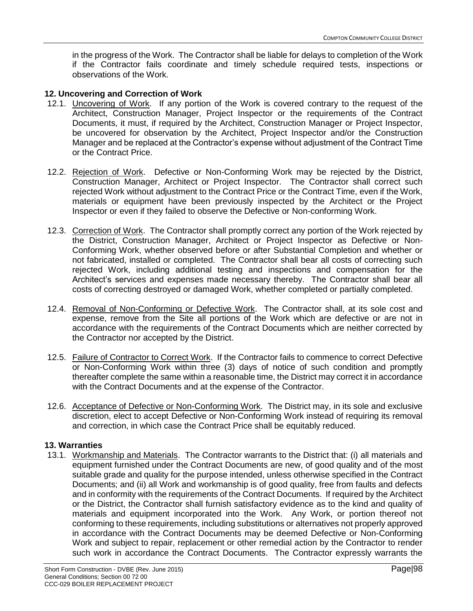in the progress of the Work. The Contractor shall be liable for delays to completion of the Work if the Contractor fails coordinate and timely schedule required tests, inspections or observations of the Work.

#### **12. Uncovering and Correction of Work**

- 12.1. Uncovering of Work. If any portion of the Work is covered contrary to the request of the Architect, Construction Manager, Project Inspector or the requirements of the Contract Documents, it must, if required by the Architect, Construction Manager or Project Inspector, be uncovered for observation by the Architect, Project Inspector and/or the Construction Manager and be replaced at the Contractor's expense without adjustment of the Contract Time or the Contract Price.
- 12.2. Rejection of Work. Defective or Non-Conforming Work may be rejected by the District, Construction Manager, Architect or Project Inspector. The Contractor shall correct such rejected Work without adjustment to the Contract Price or the Contract Time, even if the Work, materials or equipment have been previously inspected by the Architect or the Project Inspector or even if they failed to observe the Defective or Non-conforming Work.
- 12.3. Correction of Work. The Contractor shall promptly correct any portion of the Work rejected by the District, Construction Manager, Architect or Project Inspector as Defective or Non-Conforming Work, whether observed before or after Substantial Completion and whether or not fabricated, installed or completed. The Contractor shall bear all costs of correcting such rejected Work, including additional testing and inspections and compensation for the Architect's services and expenses made necessary thereby. The Contractor shall bear all costs of correcting destroyed or damaged Work, whether completed or partially completed.
- 12.4. Removal of Non-Conforming or Defective Work. The Contractor shall, at its sole cost and expense, remove from the Site all portions of the Work which are defective or are not in accordance with the requirements of the Contract Documents which are neither corrected by the Contractor nor accepted by the District.
- 12.5. Failure of Contractor to Correct Work. If the Contractor fails to commence to correct Defective or Non-Conforming Work within three (3) days of notice of such condition and promptly thereafter complete the same within a reasonable time, the District may correct it in accordance with the Contract Documents and at the expense of the Contractor.
- 12.6. Acceptance of Defective or Non-Conforming Work. The District may, in its sole and exclusive discretion, elect to accept Defective or Non-Conforming Work instead of requiring its removal and correction, in which case the Contract Price shall be equitably reduced.

#### **13. Warranties**

13.1. Workmanship and Materials. The Contractor warrants to the District that: (i) all materials and equipment furnished under the Contract Documents are new, of good quality and of the most suitable grade and quality for the purpose intended, unless otherwise specified in the Contract Documents; and (ii) all Work and workmanship is of good quality, free from faults and defects and in conformity with the requirements of the Contract Documents. If required by the Architect or the District, the Contractor shall furnish satisfactory evidence as to the kind and quality of materials and equipment incorporated into the Work. Any Work, or portion thereof not conforming to these requirements, including substitutions or alternatives not properly approved in accordance with the Contract Documents may be deemed Defective or Non-Conforming Work and subject to repair, replacement or other remedial action by the Contractor to render such work in accordance the Contract Documents. The Contractor expressly warrants the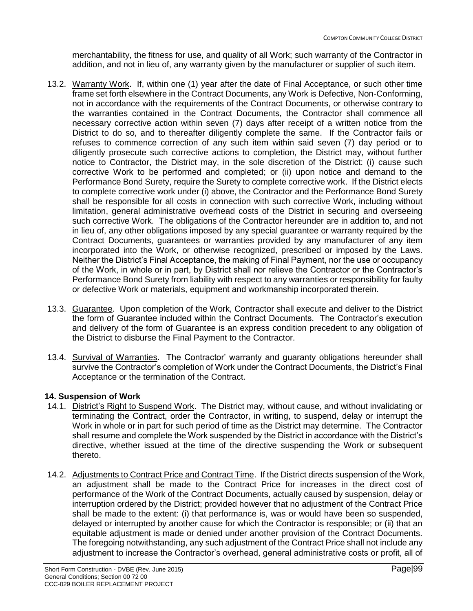merchantability, the fitness for use, and quality of all Work; such warranty of the Contractor in addition, and not in lieu of, any warranty given by the manufacturer or supplier of such item.

- 13.2. Warranty Work. If, within one (1) year after the date of Final Acceptance, or such other time frame set forth elsewhere in the Contract Documents, any Work is Defective, Non-Conforming, not in accordance with the requirements of the Contract Documents, or otherwise contrary to the warranties contained in the Contract Documents, the Contractor shall commence all necessary corrective action within seven (7) days after receipt of a written notice from the District to do so, and to thereafter diligently complete the same. If the Contractor fails or refuses to commence correction of any such item within said seven (7) day period or to diligently prosecute such corrective actions to completion, the District may, without further notice to Contractor, the District may, in the sole discretion of the District: (i) cause such corrective Work to be performed and completed; or (ii) upon notice and demand to the Performance Bond Surety, require the Surety to complete corrective work. If the District elects to complete corrective work under (i) above, the Contractor and the Performance Bond Surety shall be responsible for all costs in connection with such corrective Work, including without limitation, general administrative overhead costs of the District in securing and overseeing such corrective Work. The obligations of the Contractor hereunder are in addition to, and not in lieu of, any other obligations imposed by any special guarantee or warranty required by the Contract Documents, guarantees or warranties provided by any manufacturer of any item incorporated into the Work, or otherwise recognized, prescribed or imposed by the Laws. Neither the District's Final Acceptance, the making of Final Payment, nor the use or occupancy of the Work, in whole or in part, by District shall nor relieve the Contractor or the Contractor's Performance Bond Surety from liability with respect to any warranties or responsibility for faulty or defective Work or materials, equipment and workmanship incorporated therein.
- 13.3. Guarantee. Upon completion of the Work, Contractor shall execute and deliver to the District the form of Guarantee included within the Contract Documents. The Contractor's execution and delivery of the form of Guarantee is an express condition precedent to any obligation of the District to disburse the Final Payment to the Contractor.
- 13.4. Survival of Warranties. The Contractor' warranty and guaranty obligations hereunder shall survive the Contractor's completion of Work under the Contract Documents, the District's Final Acceptance or the termination of the Contract.

## **14. Suspension of Work**

- 14.1. District's Right to Suspend Work. The District may, without cause, and without invalidating or terminating the Contract, order the Contractor, in writing, to suspend, delay or interrupt the Work in whole or in part for such period of time as the District may determine. The Contractor shall resume and complete the Work suspended by the District in accordance with the District's directive, whether issued at the time of the directive suspending the Work or subsequent thereto.
- 14.2. Adjustments to Contract Price and Contract Time. If the District directs suspension of the Work, an adjustment shall be made to the Contract Price for increases in the direct cost of performance of the Work of the Contract Documents, actually caused by suspension, delay or interruption ordered by the District; provided however that no adjustment of the Contract Price shall be made to the extent: (i) that performance is, was or would have been so suspended, delayed or interrupted by another cause for which the Contractor is responsible; or (ii) that an equitable adjustment is made or denied under another provision of the Contract Documents. The foregoing notwithstanding, any such adjustment of the Contract Price shall not include any adjustment to increase the Contractor's overhead, general administrative costs or profit, all of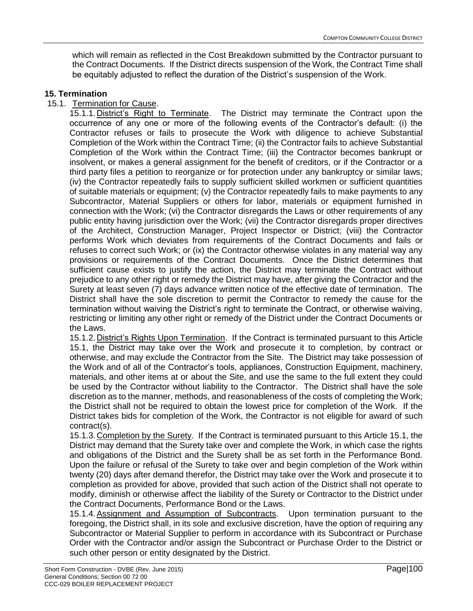which will remain as reflected in the Cost Breakdown submitted by the Contractor pursuant to the Contract Documents. If the District directs suspension of the Work, the Contract Time shall be equitably adjusted to reflect the duration of the District's suspension of the Work.

#### **15. Termination**

15.1. Termination for Cause.

15.1.1.District's Right to Terminate. The District may terminate the Contract upon the occurrence of any one or more of the following events of the Contractor's default: (i) the Contractor refuses or fails to prosecute the Work with diligence to achieve Substantial Completion of the Work within the Contract Time; (ii) the Contractor fails to achieve Substantial Completion of the Work within the Contract Time; (iii) the Contractor becomes bankrupt or insolvent, or makes a general assignment for the benefit of creditors, or if the Contractor or a third party files a petition to reorganize or for protection under any bankruptcy or similar laws; (iv) the Contractor repeatedly fails to supply sufficient skilled workmen or sufficient quantities of suitable materials or equipment; (v) the Contractor repeatedly fails to make payments to any Subcontractor, Material Suppliers or others for labor, materials or equipment furnished in connection with the Work; (vi) the Contractor disregards the Laws or other requirements of any public entity having jurisdiction over the Work; (vii) the Contractor disregards proper directives of the Architect, Construction Manager, Project Inspector or District; (viii) the Contractor performs Work which deviates from requirements of the Contract Documents and fails or refuses to correct such Work; or (ix) the Contractor otherwise violates in any material way any provisions or requirements of the Contract Documents. Once the District determines that sufficient cause exists to justify the action, the District may terminate the Contract without prejudice to any other right or remedy the District may have, after giving the Contractor and the Surety at least seven (7) days advance written notice of the effective date of termination. The District shall have the sole discretion to permit the Contractor to remedy the cause for the termination without waiving the District's right to terminate the Contract, or otherwise waiving, restricting or limiting any other right or remedy of the District under the Contract Documents or the Laws.

15.1.2.District's Rights Upon Termination. If the Contract is terminated pursuant to this Article 15.1, the District may take over the Work and prosecute it to completion, by contract or otherwise, and may exclude the Contractor from the Site. The District may take possession of the Work and of all of the Contractor's tools, appliances, Construction Equipment, machinery, materials, and other items at or about the Site, and use the same to the full extent they could be used by the Contractor without liability to the Contractor. The District shall have the sole discretion as to the manner, methods, and reasonableness of the costs of completing the Work; the District shall not be required to obtain the lowest price for completion of the Work. If the District takes bids for completion of the Work, the Contractor is not eligible for award of such contract(s).

15.1.3.Completion by the Surety. If the Contract is terminated pursuant to this Article 15.1, the District may demand that the Surety take over and complete the Work, in which case the rights and obligations of the District and the Surety shall be as set forth in the Performance Bond. Upon the failure or refusal of the Surety to take over and begin completion of the Work within twenty (20) days after demand therefor, the District may take over the Work and prosecute it to completion as provided for above, provided that such action of the District shall not operate to modify, diminish or otherwise affect the liability of the Surety or Contractor to the District under the Contract Documents, Performance Bond or the Laws.

15.1.4.Assignment and Assumption of Subcontracts. Upon termination pursuant to the foregoing, the District shall, in its sole and exclusive discretion, have the option of requiring any Subcontractor or Material Supplier to perform in accordance with its Subcontract or Purchase Order with the Contractor and/or assign the Subcontract or Purchase Order to the District or such other person or entity designated by the District.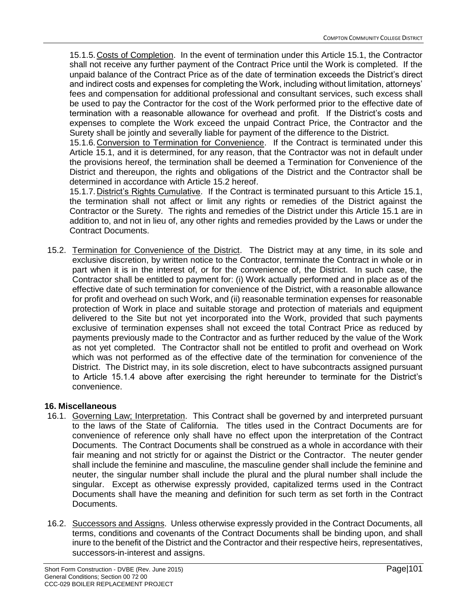15.1.5.Costs of Completion. In the event of termination under this Article 15.1, the Contractor shall not receive any further payment of the Contract Price until the Work is completed. If the unpaid balance of the Contract Price as of the date of termination exceeds the District's direct and indirect costs and expenses for completing the Work, including without limitation, attorneys' fees and compensation for additional professional and consultant services, such excess shall be used to pay the Contractor for the cost of the Work performed prior to the effective date of termination with a reasonable allowance for overhead and profit. If the District's costs and expenses to complete the Work exceed the unpaid Contract Price, the Contractor and the Surety shall be jointly and severally liable for payment of the difference to the District.

15.1.6.Conversion to Termination for Convenience. If the Contract is terminated under this Article 15.1, and it is determined, for any reason, that the Contractor was not in default under the provisions hereof, the termination shall be deemed a Termination for Convenience of the District and thereupon, the rights and obligations of the District and the Contractor shall be determined in accordance with Article 15.2 hereof.

15.1.7.District's Rights Cumulative. If the Contract is terminated pursuant to this Article 15.1, the termination shall not affect or limit any rights or remedies of the District against the Contractor or the Surety. The rights and remedies of the District under this Article 15.1 are in addition to, and not in lieu of, any other rights and remedies provided by the Laws or under the Contract Documents.

15.2. Termination for Convenience of the District. The District may at any time, in its sole and exclusive discretion, by written notice to the Contractor, terminate the Contract in whole or in part when it is in the interest of, or for the convenience of, the District. In such case, the Contractor shall be entitled to payment for: (i) Work actually performed and in place as of the effective date of such termination for convenience of the District, with a reasonable allowance for profit and overhead on such Work, and (ii) reasonable termination expenses for reasonable protection of Work in place and suitable storage and protection of materials and equipment delivered to the Site but not yet incorporated into the Work, provided that such payments exclusive of termination expenses shall not exceed the total Contract Price as reduced by payments previously made to the Contractor and as further reduced by the value of the Work as not yet completed. The Contractor shall not be entitled to profit and overhead on Work which was not performed as of the effective date of the termination for convenience of the District. The District may, in its sole discretion, elect to have subcontracts assigned pursuant to Article 15.1.4 above after exercising the right hereunder to terminate for the District's convenience.

## **16. Miscellaneous**

- 16.1. Governing Law; Interpretation. This Contract shall be governed by and interpreted pursuant to the laws of the State of California. The titles used in the Contract Documents are for convenience of reference only shall have no effect upon the interpretation of the Contract Documents. The Contract Documents shall be construed as a whole in accordance with their fair meaning and not strictly for or against the District or the Contractor. The neuter gender shall include the feminine and masculine, the masculine gender shall include the feminine and neuter, the singular number shall include the plural and the plural number shall include the singular. Except as otherwise expressly provided, capitalized terms used in the Contract Documents shall have the meaning and definition for such term as set forth in the Contract Documents.
- 16.2. Successors and Assigns. Unless otherwise expressly provided in the Contract Documents, all terms, conditions and covenants of the Contract Documents shall be binding upon, and shall inure to the benefit of the District and the Contractor and their respective heirs, representatives, successors-in-interest and assigns.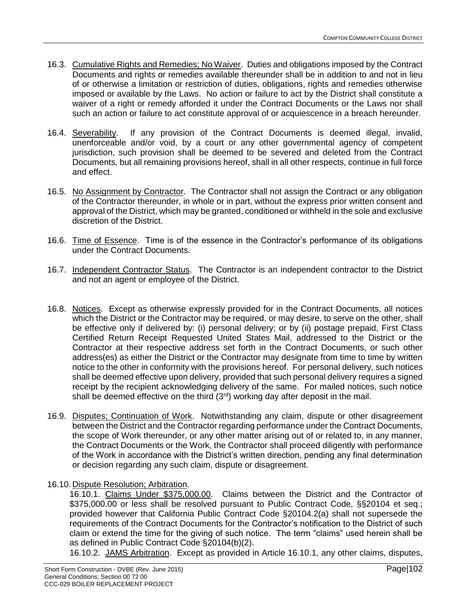- 16.3. Cumulative Rights and Remedies; No Waiver. Duties and obligations imposed by the Contract Documents and rights or remedies available thereunder shall be in addition to and not in lieu of or otherwise a limitation or restriction of duties, obligations, rights and remedies otherwise imposed or available by the Laws. No action or failure to act by the District shall constitute a waiver of a right or remedy afforded it under the Contract Documents or the Laws nor shall such an action or failure to act constitute approval of or acquiescence in a breach hereunder.
- 16.4. Severability. If any provision of the Contract Documents is deemed illegal, invalid, unenforceable and/or void, by a court or any other governmental agency of competent jurisdiction, such provision shall be deemed to be severed and deleted from the Contract Documents, but all remaining provisions hereof, shall in all other respects, continue in full force and effect.
- 16.5. No Assignment by Contractor. The Contractor shall not assign the Contract or any obligation of the Contractor thereunder, in whole or in part, without the express prior written consent and approval of the District, which may be granted, conditioned or withheld in the sole and exclusive discretion of the District.
- 16.6. Time of Essence. Time is of the essence in the Contractor's performance of its obligations under the Contract Documents.
- 16.7. Independent Contractor Status. The Contractor is an independent contractor to the District and not an agent or employee of the District.
- 16.8. Notices. Except as otherwise expressly provided for in the Contract Documents, all notices which the District or the Contractor may be required, or may desire, to serve on the other, shall be effective only if delivered by: (i) personal delivery; or by (ii) postage prepaid, First Class Certified Return Receipt Requested United States Mail, addressed to the District or the Contractor at their respective address set forth in the Contract Documents, or such other address(es) as either the District or the Contractor may designate from time to time by written notice to the other in conformity with the provisions hereof. For personal delivery, such notices shall be deemed effective upon delivery, provided that such personal delivery requires a signed receipt by the recipient acknowledging delivery of the same. For mailed notices, such notice shall be deemed effective on the third  $(3<sup>rd</sup>)$  working day after deposit in the mail.
- 16.9. Disputes; Continuation of Work. Notwithstanding any claim, dispute or other disagreement between the District and the Contractor regarding performance under the Contract Documents, the scope of Work thereunder, or any other matter arising out of or related to, in any manner, the Contract Documents or the Work, the Contractor shall proceed diligently with performance of the Work in accordance with the District's written direction, pending any final determination or decision regarding any such claim, dispute or disagreement.
- 16.10. Dispute Resolution; Arbitration.
	- 16.10.1. Claims Under \$375,000.00. Claims between the District and the Contractor of \$375,000.00 or less shall be resolved pursuant to Public Contract Code, §§20104 et seq.; provided however that California Public Contract Code §20104.2(a) shall not supersede the requirements of the Contract Documents for the Contractor's notification to the District of such claim or extend the time for the giving of such notice. The term "claims" used herein shall be as defined in Public Contract Code §20104(b)(2).

16.10.2. JAMS Arbitration. Except as provided in Article 16.10.1, any other claims, disputes,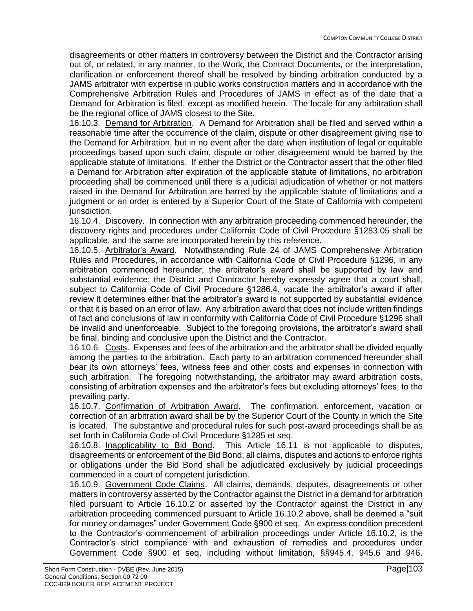disagreements or other matters in controversy between the District and the Contractor arising out of, or related, in any manner, to the Work, the Contract Documents, or the interpretation, clarification or enforcement thereof shall be resolved by binding arbitration conducted by a JAMS arbitrator with expertise in public works construction matters and in accordance with the Comprehensive Arbitration Rules and Procedures of JAMS in effect as of the date that a Demand for Arbitration is filed, except as modified herein. The locale for any arbitration shall be the regional office of JAMS closest to the Site.

16.10.3. Demand for Arbitration. A Demand for Arbitration shall be filed and served within a reasonable time after the occurrence of the claim, dispute or other disagreement giving rise to the Demand for Arbitration, but in no event after the date when institution of legal or equitable proceedings based upon such claim, dispute or other disagreement would be barred by the applicable statute of limitations. If either the District or the Contractor assert that the other filed a Demand for Arbitration after expiration of the applicable statute of limitations, no arbitration proceeding shall be commenced until there is a judicial adjudication of whether or not matters raised in the Demand for Arbitration are barred by the applicable statute of limitations and a judgment or an order is entered by a Superior Court of the State of California with competent jurisdiction.

16.10.4. Discovery. In connection with any arbitration proceeding commenced hereunder, the discovery rights and procedures under California Code of Civil Procedure §1283.05 shall be applicable, and the same are incorporated herein by this reference.

16.10.5. Arbitrator's Award. Notwithstanding Rule 24 of JAMS Comprehensive Arbitration Rules and Procedures, in accordance with California Code of Civil Procedure §1296, in any arbitration commenced hereunder, the arbitrator's award shall be supported by law and substantial evidence; the District and Contractor hereby expressly agree that a court shall, subject to California Code of Civil Procedure §1286.4, vacate the arbitrator's award if after review it determines either that the arbitrator's award is not supported by substantial evidence or that it is based on an error of law. Any arbitration award that does not include written findings of fact and conclusions of law in conformity with California Code of Civil Procedure §1296 shall be invalid and unenforceable. Subject to the foregoing provisions, the arbitrator's award shall be final, binding and conclusive upon the District and the Contractor.

16.10.6. Costs. Expenses and fees of the arbitration and the arbitrator shall be divided equally among the parties to the arbitration. Each party to an arbitration commenced hereunder shall bear its own attorneys' fees, witness fees and other costs and expenses in connection with such arbitration. The foregoing notwithstanding, the arbitrator may award arbitration costs, consisting of arbitration expenses and the arbitrator's fees but excluding attorneys' fees, to the prevailing party.

16.10.7. Confirmation of Arbitration Award. The confirmation, enforcement, vacation or correction of an arbitration award shall be by the Superior Court of the County in which the Site is located. The substantive and procedural rules for such post-award proceedings shall be as set forth in California Code of Civil Procedure §1285 et seq.

16.10.8. Inapplicability to Bid Bond. This Article 16.11 is not applicable to disputes, disagreements or enforcement of the Bid Bond; all claims, disputes and actions to enforce rights or obligations under the Bid Bond shall be adjudicated exclusively by judicial proceedings commenced in a court of competent jurisdiction.

16.10.9. Government Code Claims. All claims, demands, disputes, disagreements or other matters in controversy asserted by the Contractor against the District in a demand for arbitration filed pursuant to Article 16.10.2 or asserted by the Contractor against the District in any arbitration proceeding commenced pursuant to Article 16.10.2 above, shall be deemed a "suit for money or damages" under Government Code §900 et seq. An express condition precedent to the Contractor's commencement of arbitration proceedings under Article 16.10.2, is the Contractor's strict compliance with and exhaustion of remedies and procedures under Government Code §900 et seq, including without limitation, §§945.4, 945.6 and 946.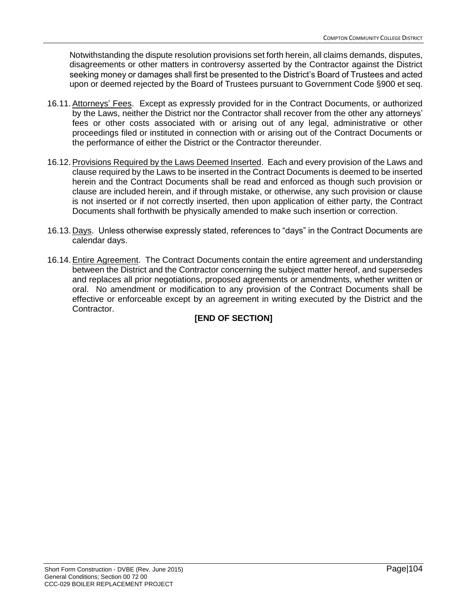Notwithstanding the dispute resolution provisions set forth herein, all claims demands, disputes, disagreements or other matters in controversy asserted by the Contractor against the District seeking money or damages shall first be presented to the District's Board of Trustees and acted upon or deemed rejected by the Board of Trustees pursuant to Government Code §900 et seq.

- 16.11.Attorneys' Fees. Except as expressly provided for in the Contract Documents, or authorized by the Laws, neither the District nor the Contractor shall recover from the other any attorneys' fees or other costs associated with or arising out of any legal, administrative or other proceedings filed or instituted in connection with or arising out of the Contract Documents or the performance of either the District or the Contractor thereunder.
- 16.12.Provisions Required by the Laws Deemed Inserted. Each and every provision of the Laws and clause required by the Laws to be inserted in the Contract Documents is deemed to be inserted herein and the Contract Documents shall be read and enforced as though such provision or clause are included herein, and if through mistake, or otherwise, any such provision or clause is not inserted or if not correctly inserted, then upon application of either party, the Contract Documents shall forthwith be physically amended to make such insertion or correction.
- 16.13. Days. Unless otherwise expressly stated, references to "days" in the Contract Documents are calendar days.
- 16.14.Entire Agreement. The Contract Documents contain the entire agreement and understanding between the District and the Contractor concerning the subject matter hereof, and supersedes and replaces all prior negotiations, proposed agreements or amendments, whether written or oral. No amendment or modification to any provision of the Contract Documents shall be effective or enforceable except by an agreement in writing executed by the District and the Contractor.

# **[END OF SECTION]**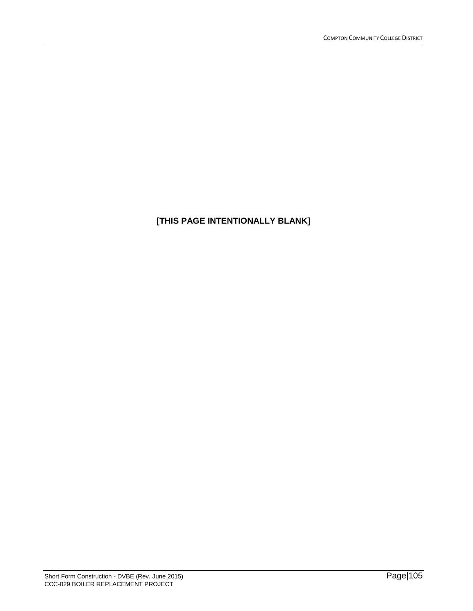# **[THIS PAGE INTENTIONALLY BLANK]**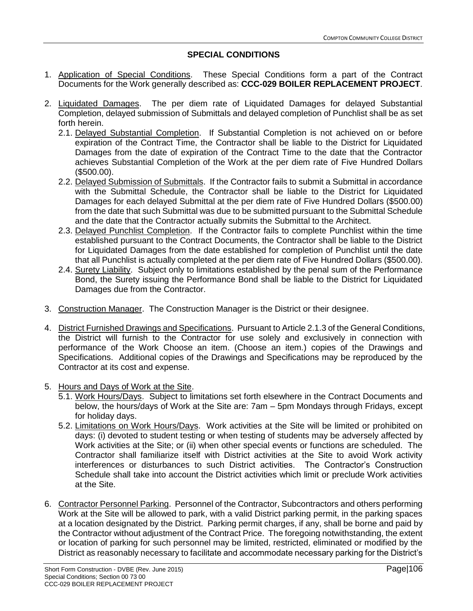# **SPECIAL CONDITIONS**

- 1. Application of Special Conditions. These Special Conditions form a part of the Contract Documents for the Work generally described as: **CCC-029 BOILER REPLACEMENT PROJECT**.
- 2. Liquidated Damages. The per diem rate of Liquidated Damages for delayed Substantial Completion, delayed submission of Submittals and delayed completion of Punchlist shall be as set forth herein.
	- 2.1. Delayed Substantial Completion. If Substantial Completion is not achieved on or before expiration of the Contract Time, the Contractor shall be liable to the District for Liquidated Damages from the date of expiration of the Contract Time to the date that the Contractor achieves Substantial Completion of the Work at the per diem rate of Five Hundred Dollars (\$500.00).
	- 2.2. Delayed Submission of Submittals. If the Contractor fails to submit a Submittal in accordance with the Submittal Schedule, the Contractor shall be liable to the District for Liquidated Damages for each delayed Submittal at the per diem rate of Five Hundred Dollars (\$500.00) from the date that such Submittal was due to be submitted pursuant to the Submittal Schedule and the date that the Contractor actually submits the Submittal to the Architect.
	- 2.3. Delayed Punchlist Completion. If the Contractor fails to complete Punchlist within the time established pursuant to the Contract Documents, the Contractor shall be liable to the District for Liquidated Damages from the date established for completion of Punchlist until the date that all Punchlist is actually completed at the per diem rate of Five Hundred Dollars (\$500.00).
	- 2.4. Surety Liability. Subject only to limitations established by the penal sum of the Performance Bond, the Surety issuing the Performance Bond shall be liable to the District for Liquidated Damages due from the Contractor.
- 3. Construction Manager. The Construction Manager is the District or their designee.
- 4. District Furnished Drawings and Specifications. Pursuant to Article 2.1.3 of the General Conditions, the District will furnish to the Contractor for use solely and exclusively in connection with performance of the Work Choose an item. (Choose an item.) copies of the Drawings and Specifications. Additional copies of the Drawings and Specifications may be reproduced by the Contractor at its cost and expense.
- 5. Hours and Days of Work at the Site.
	- 5.1. Work Hours/Days. Subject to limitations set forth elsewhere in the Contract Documents and below, the hours/days of Work at the Site are: 7am – 5pm Mondays through Fridays, except for holiday days.
	- 5.2. Limitations on Work Hours/Days. Work activities at the Site will be limited or prohibited on days: (i) devoted to student testing or when testing of students may be adversely affected by Work activities at the Site; or (ii) when other special events or functions are scheduled. The Contractor shall familiarize itself with District activities at the Site to avoid Work activity interferences or disturbances to such District activities. The Contractor's Construction Schedule shall take into account the District activities which limit or preclude Work activities at the Site.
- 6. Contractor Personnel Parking. Personnel of the Contractor, Subcontractors and others performing Work at the Site will be allowed to park, with a valid District parking permit, in the parking spaces at a location designated by the District. Parking permit charges, if any, shall be borne and paid by the Contractor without adjustment of the Contract Price. The foregoing notwithstanding, the extent or location of parking for such personnel may be limited, restricted, eliminated or modified by the District as reasonably necessary to facilitate and accommodate necessary parking for the District's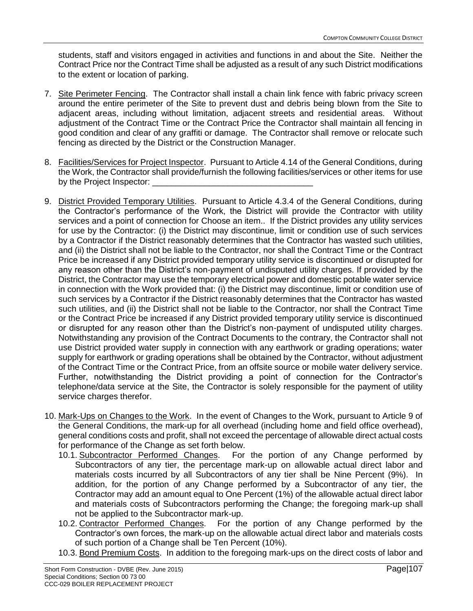students, staff and visitors engaged in activities and functions in and about the Site. Neither the Contract Price nor the Contract Time shall be adjusted as a result of any such District modifications to the extent or location of parking.

- 7. Site Perimeter Fencing. The Contractor shall install a chain link fence with fabric privacy screen around the entire perimeter of the Site to prevent dust and debris being blown from the Site to adjacent areas, including without limitation, adjacent streets and residential areas. Without adjustment of the Contract Time or the Contract Price the Contractor shall maintain all fencing in good condition and clear of any graffiti or damage. The Contractor shall remove or relocate such fencing as directed by the District or the Construction Manager.
- 8. Facilities/Services for Project Inspector. Pursuant to Article 4.14 of the General Conditions, during the Work, the Contractor shall provide/furnish the following facilities/services or other items for use by the Project Inspector:
- 9. District Provided Temporary Utilities. Pursuant to Article 4.3.4 of the General Conditions, during the Contractor's performance of the Work, the District will provide the Contractor with utility services and a point of connection for Choose an item.. If the District provides any utility services for use by the Contractor: (i) the District may discontinue, limit or condition use of such services by a Contractor if the District reasonably determines that the Contractor has wasted such utilities, and (ii) the District shall not be liable to the Contractor, nor shall the Contract Time or the Contract Price be increased if any District provided temporary utility service is discontinued or disrupted for any reason other than the District's non-payment of undisputed utility charges. If provided by the District, the Contractor may use the temporary electrical power and domestic potable water service in connection with the Work provided that: (i) the District may discontinue, limit or condition use of such services by a Contractor if the District reasonably determines that the Contractor has wasted such utilities, and (ii) the District shall not be liable to the Contractor, nor shall the Contract Time or the Contract Price be increased if any District provided temporary utility service is discontinued or disrupted for any reason other than the District's non-payment of undisputed utility charges. Notwithstanding any provision of the Contract Documents to the contrary, the Contractor shall not use District provided water supply in connection with any earthwork or grading operations; water supply for earthwork or grading operations shall be obtained by the Contractor, without adjustment of the Contract Time or the Contract Price, from an offsite source or mobile water delivery service. Further, notwithstanding the District providing a point of connection for the Contractor's telephone/data service at the Site, the Contractor is solely responsible for the payment of utility service charges therefor.
- 10. Mark-Ups on Changes to the Work. In the event of Changes to the Work, pursuant to Article 9 of the General Conditions, the mark-up for all overhead (including home and field office overhead), general conditions costs and profit, shall not exceed the percentage of allowable direct actual costs for performance of the Change as set forth below.
	- 10.1. Subcontractor Performed Changes. For the portion of any Change performed by Subcontractors of any tier, the percentage mark-up on allowable actual direct labor and materials costs incurred by all Subcontractors of any tier shall be Nine Percent (9%). In addition, for the portion of any Change performed by a Subcontractor of any tier, the Contractor may add an amount equal to One Percent (1%) of the allowable actual direct labor and materials costs of Subcontractors performing the Change; the foregoing mark-up shall not be applied to the Subcontractor mark-up.
	- 10.2. Contractor Performed Changes. For the portion of any Change performed by the Contractor's own forces, the mark-up on the allowable actual direct labor and materials costs of such portion of a Change shall be Ten Percent (10%).
	- 10.3. Bond Premium Costs. In addition to the foregoing mark-ups on the direct costs of labor and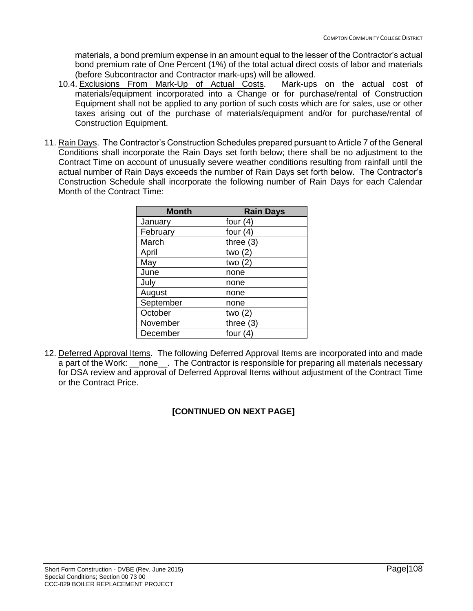materials, a bond premium expense in an amount equal to the lesser of the Contractor's actual bond premium rate of One Percent (1%) of the total actual direct costs of labor and materials (before Subcontractor and Contractor mark-ups) will be allowed.

- 10.4. Exclusions From Mark-Up of Actual Costs. Mark-ups on the actual cost of materials/equipment incorporated into a Change or for purchase/rental of Construction Equipment shall not be applied to any portion of such costs which are for sales, use or other taxes arising out of the purchase of materials/equipment and/or for purchase/rental of Construction Equipment.
- 11. Rain Days. The Contractor's Construction Schedules prepared pursuant to Article 7 of the General Conditions shall incorporate the Rain Days set forth below; there shall be no adjustment to the Contract Time on account of unusually severe weather conditions resulting from rainfall until the actual number of Rain Days exceeds the number of Rain Days set forth below. The Contractor's Construction Schedule shall incorporate the following number of Rain Days for each Calendar Month of the Contract Time:

| <b>Month</b> | <b>Rain Days</b> |
|--------------|------------------|
| January      | four $(4)$       |
| February     | four $(4)$       |
| March        | three $(3)$      |
| April        | two $(2)$        |
| May          | two $(2)$        |
| June         | none             |
| July         | none             |
| August       | none             |
| September    | none             |
| October      | two $(2)$        |
| November     | three $(3)$      |
| December     | four $(4)$       |

12. Deferred Approval Items. The following Deferred Approval Items are incorporated into and made a part of the Work: \_\_none\_\_. The Contractor is responsible for preparing all materials necessary for DSA review and approval of Deferred Approval Items without adjustment of the Contract Time or the Contract Price.

# **[CONTINUED ON NEXT PAGE]**